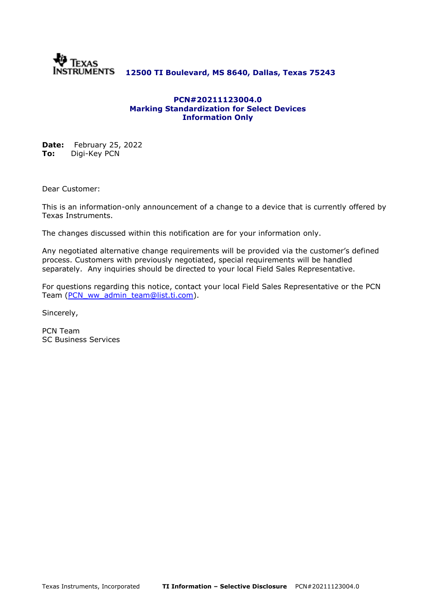

## **12500 TI Boulevard, MS 8640, Dallas, Texas 75243**

#### **PCN#20211123004.0 Marking Standardization for Select Devices Information Only**

**Date:** February 25, 2022 **To:** Digi-Key PCN

Dear Customer:

This is an information-only announcement of a change to a device that is currently offered by Texas Instruments.

The changes discussed within this notification are for your information only.

Any negotiated alternative change requirements will be provided via the customer's defined process. Customers with previously negotiated, special requirements will be handled separately. Any inquiries should be directed to your local Field Sales Representative.

For questions regarding this notice, contact your local Field Sales Representative or the PCN Team [\(PCN\\_ww\\_admin\\_team@list.ti.com\)](mailto:PCN_ww_admin_team@list.ti.com).

Sincerely,

PCN Team SC Business Services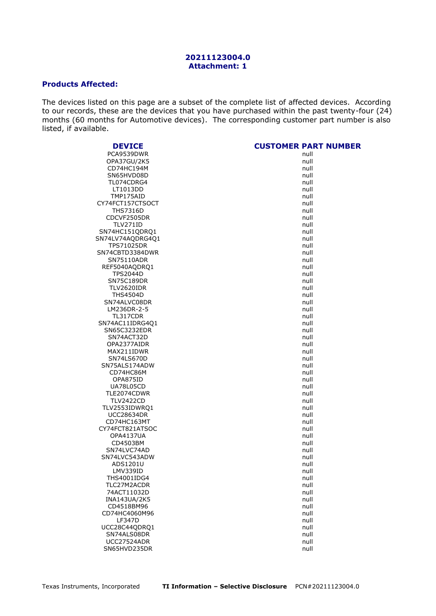#### **20211123004.0 Attachment: 1**

### **Products Affected:**

The devices listed on this page are a subset of the complete list of affected devices. According to our records, these are the devices that you have purchased within the past twenty-four (24) months (60 months for Automotive devices). The corresponding customer part number is also listed, if available.

| <b>DEVICE</b>      | <b>CUSTOMER PART NUMBER</b> |
|--------------------|-----------------------------|
| PCA9539DWR         | null                        |
| OPA37GU/2K5        | null                        |
| CD74HC194M         | null                        |
| SN65HVD08D         | null                        |
| TL074CDRG4         | null                        |
| LT1013DD           | null                        |
| TMP175AID          | null                        |
| CY74FCT157CTSOCT   | null                        |
| THS7316D           | null                        |
| CDCVF2505DR        | null                        |
| <b>TLV271ID</b>    | null                        |
| SN74HC151QDRQ1     | null                        |
| SN74LV74AQDRG4Q1   | null                        |
| <b>TPS71025DR</b>  | null                        |
| SN74CBTD3384DWR    | null                        |
| SN75110ADR         | null                        |
| REF5040AQDRQ1      | null                        |
| <b>TPS2044D</b>    | null                        |
| SN75C189DR         | null                        |
| <b>TLV2620IDR</b>  | null                        |
| <b>THS4504D</b>    | null                        |
| SN74ALVC08DR       | null                        |
| LM236DR-2-5        | null                        |
| TL317CDR           | null                        |
| SN74AC11IDRG4Q1    | null                        |
| SN65C3232EDR       | null                        |
| SN74ACT32D         | null                        |
| OPA2377AIDR        | null                        |
| MAX211IDWR         | null                        |
| SN74LS670D         | null                        |
| SN75ALS174ADW      | null                        |
| CD74HC86M          | null                        |
| OPA875ID           | null                        |
| UA78L05CD          | null                        |
| TLE2074CDWR        | null                        |
| <b>TLV2422CD</b>   | null                        |
| TLV2553IDWRQ1      | null                        |
| <b>UCC28634DR</b>  | null                        |
| CD74HC163MT        | null                        |
| CY74FCT821ATSOC    | null                        |
| OPA4137UA          | null                        |
| CD4503BM           | null                        |
| SN74LVC74AD        | null                        |
| SN74LVC543ADW      | null                        |
| ADS1201U           | null                        |
| LMV339ID           | null                        |
| <b>THS4001IDG4</b> | null                        |
| TLC27M2ACDR        | null                        |
| 74ACT11032D        | null                        |
| INA143UA/2K5       | null                        |
| CD4518BM96         | null                        |
| CD74HC4060M96      | null                        |
| <b>LF347D</b>      | null                        |
| UCC28C44QDRQ1      | null                        |
| SN74ALS08DR        | null                        |
| <b>UCC27524ADR</b> | null                        |
| SN65HVD235DR       | null                        |
|                    |                             |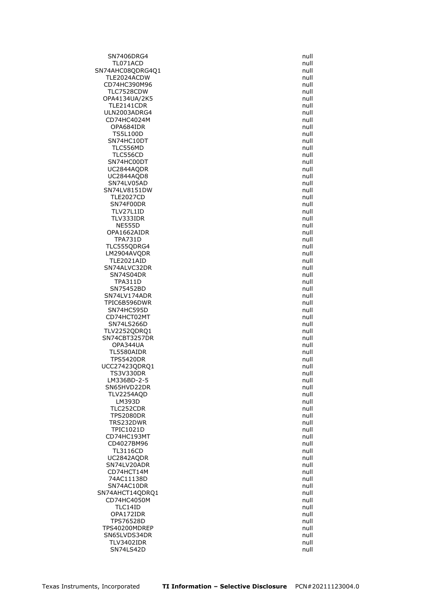SN7406DRG4 null null and the state of the state of the state of the state of the state of the state of the state of the state of the state of the state of the state of the state of the state of the state of the state of th TL071ACD null SN74AHC08QDRG4Q1 null null TLE2024ACDW null null and the state of the state of the state of the state of the state of the state of the st<br>CD74HC390M96 state of the state of the state of the state of the state of the state of the state of the state CD74HC390M96 TLC7528CDW null OPA4134UA/2K5 null TLE2141CDR null ULN2003ADRG4 null CD74HC4024M null and the contract of the contract of the contract of the contract of the contract of the contract of the contract of the contract of the contract of the contract of the contract of the contract of the contr OPA684IDR null<br>TS5L100D null null null null null null **TS5L100D** SN74HC10DT null null and the state of the state of the state of the state of the state of the state of the state of the state of the state of the state of the state of the state of the state of the state of the state of th TLC556MD TLC556CD null SN74HC00DT null and the state of the state of the state of the state of the state of the state of the state of the state of the state of the state of the state of the state of the state of the state of the state of the sta UC2844AQDR null UC2844AQD8 null SN74LV05AD null SN74LV8151DW null TLE2027CD null SN74F00DR null<br>TLV27L1ID null null null null TLV27L1ID TLV333IDR null and the state of the state of the state of the state of the state of the state of the state of the state of the state of the state of the state of the state of the state of the state of the state of the stat NE555D null OPA1662AIDR null TPA731D null TLC555QDRG4 null LM2904AVQDR null TLE2021AID SN74ALVC32DR null<br>SN74S04DR null and the state of the state of the state of the state of the state of the state of the state of SN74S04DR TPA311D null SN75452BD null and the state of the state of the state of the state of the state of the state of the state of the state of the state of the state of the state of the state of the state of the state of the state of the stat SN74LV174ADR null TPIC6B596DWR null SN74HC595D CD74HCT02MT null SN74LS266D null and the state of the state of the state of the state of the state of the state of the state of the state of the state of the state of the state of the state of the state of the state of the state of the sta TLV2252QDRQ1 null SN74CBT3257DR null OPA344UA null TL5580AIDR null null and the state of the state of the state of the state of the state of the state of the state of the state of the state of the state of the state of the state of the state of the state of the state of th **TPS5420DR** UCC27423QDRQ1 null TS3V330DR null LM336BD-2-5 null SN65HVD22DR null TLV2254AQD null LM393D null TLC252CDR null TPS2080DR null and the state of the state of the state of the state of the state of the state of the state of the state of the state of the state of the state of the state of the state of the state of the state of the stat TRS232DWR null<br>TPIC1021D null null null null  $TPIC1021D$ CD74HC193MT and the control of the control of the control of the control of the control of the control of the c<br>CD4027BM96 and the control of the control of the control of the control of the control of the control of the c CD4027BM96 TL3116CD null UC2842AQDR null SN74LV20ADR null CD74HCT14M null 74AC11138D null SN74AC10DR null null and the state of the state of the state of the state of the state of the state of the state of the state of the state of the state of the state of the state of the state of the state of the state of th SN74AHCT14QDRQ1 null CD74HC4050M null TLC14ID null OPA172IDR null TPS76528D null TPS40200MDREP null and the control of the control of the control of the control of the control of the control of the control of the control of the control of the control of the control of the control of the control of the SN65LVDS34DR null null and the state of the state of the state of the state of the state of the state of the state of the state of the state of the state of the state of the state of the state of the state of the state of TLV3402IDR null SN74LS42D null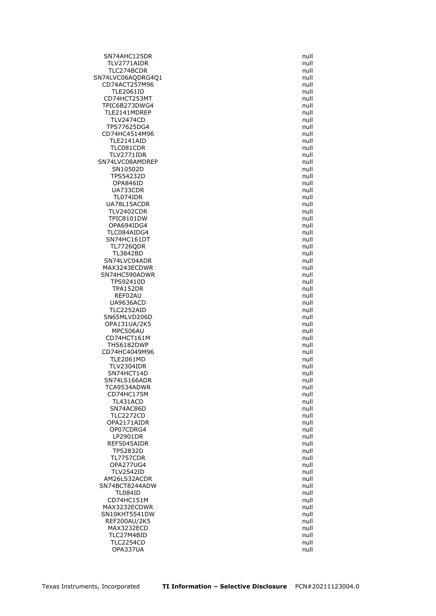SN74AHC125DR null TLV2771AIDR null TLC274BCDR null SN74LVC06AQDRG4Q1 null<br>CD74ACT257M96 null null CD74ACT257M96 TLE2061ID null CD74HCT253MT null TPIC6B273DWG4 null TLE2141MDREP null TLV2474CD null and the contract of the contract of the contract of the contract of the contract of the contract of the contract of the contract of the contract of the contract of the contract of the contract of the contrac TPS77625DG4<br>CD74HC4514M96 null CD74HC4514M96 TLE2141AID null<br>TLC081CDR null null null null null null TLC081CDR TLV2771IDR null SN74LVC08AMDREP null and the state of the state of the state of the state of the state of the state of the state of the state of the state of the state of the state of the state of the state of the state of the state of th SN10502D null and the state of the state of the state of the state of the state of the state of the state of the state of the state of the state of the state of the state of the state of the state of the state of the state TPS54232D null OPA846ID null UA733CDR null TL074IDR null UA78L15ACDR<br>TLV2402CDR null null null null null null **TLV2402CDR** TPIC8101DW null OPA694IDG4 null TLC084AIDG4 null SN74HC161DT null TL7726QDR null TL3842BD null<br>I74LVC04ADR null and the state of the state of the state of the state of the state of the state of the state o SN74LVC04ADR MAX3243ECDWR null and the matrix of the matrix of the matrix of the matrix of the matrix of the matrix of the<br>Null and the matrix of the matrix of the matrix of the matrix of the matrix of the matrix of the matrix of the SN74HC590ADWR TPS92410D null TPA152DR null REF02AU null and the contract of the contract of the contract of the contract of the contract of the contract of the contract of the contract of the contract of the contract of the contract of the contract of the contract UA9636ACD null TLC2252AID SN65MLVD206D null null and the state of the state of the state of the state of the state of the state of the state of the state of the state of the state of the state of the state of the state of the state of the state of OPA131UA/2K5 null MPC506AU null and the control of the control of the control of the control of the control of the control of the control of the control of the control of the control of the control of the control of the control of the contr CD74HCT161M null THS6182DWP null CD74HC4049M96 null<br>TLE2061MD null null null null null null **TLE2061MD** TLV2304IDR null and the contract of the contract of the contract of the contract of the contract of the contract of the contract of the contract of the contract of the contract of the contract of the contract of the contra SN74HCT14D null SN74LS166ADR null TCA9534ADWR null and the matrix of the matrix of the matrix of the matrix of the matrix of the matrix of the matrix of the matrix of the matrix of the matrix of the matrix of the matrix of the matrix of the matrix of the m CD74HC175M null TL431ACD null SN74AC86D null and the state of the state of the state of the state of the state of the state of the state of the state of the state of the state of the state of the state of the state of the state of the state of the stat TLC2272CD null OPA2171AIDR null OP07CDRG4 LP2901DR null REF5045AIDR TPS2832D null TL7757CDR null OPA277UG4 null TLV2542ID null AM26LS32ACDR null SN74BCT8244ADW null TL084ID null CD74HC151M null MAX3232ECDWR null SN10KHT5541DW null and the state of the state of the state of the state of the state of the state of the state of the state of the state of the state of the state of the state of the state of the state of the state of the REF200AU/2K5 null MAX3232ECD null and the state of the state of the state of the state of the state of the state of the state of the state of the state of the state of the state of the state of the state of the state of the state of the sta TLC27M4BID null TLC2254CD null OPA337UA null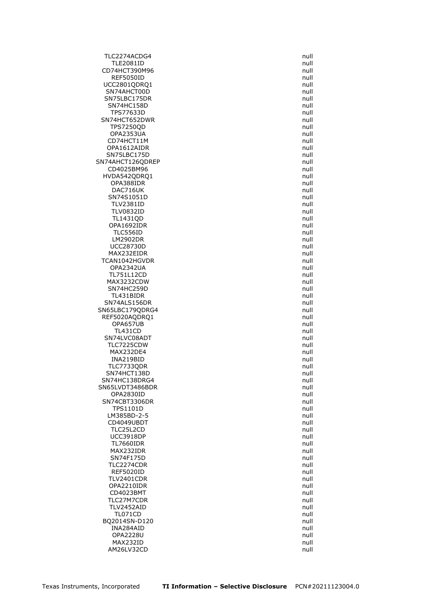TLC2274ACDG4 null TLE2081ID null CD74HCT390M96 null REF5050ID null UCC2801QDRQ1 SN74AHCT00D null and the state of the state of the state of the state of the state of the state of the state of the state of the state of the state of the state of the state of the state of the state of the state of the st SN75LBC175DR null SN74HC158D null TPS77633D null SN74HCT652DWR null TPS7250QD null  $OPA2353UA$ CD74HCT11M null<br>OPA1612AIDR null null null null null null null OPA1612AIDR SN75LBC175D null SN74AHCT126QDREP null CD4025BM96 **null** HVDA542QDRQ1 null OPA388IDR null DAC716UK null SN74S1051D null TLV2381ID null<br>TLV0832ID null null null null null null **TLV0832ID** TL1431OD null and the contract of the contract of the contract of the contract of the contract of the contract of the contract of the contract of the contract of the contract of the contract of the contract of the contract OPA1692IDR null TLC556ID null LM2902DR null UCC28730D null MAX232EIDR null TCAN1042HGVDR OPA2342UA null<br>TL751L12CD null null null null null TL751L12CD MAX3232CDW null SN74HC259D null and the state of the state of the state of the state of the state of the state of the state of the state of the state of the state of the state of the state of the state of the state of the state of the sta TL431BIDR null SN74ALS156DR<br>N65LBC179ODRG4 null SN65LBC179QDRG4 REF5020AQDRQ1 null OPA657UB null TL431CD null and the contract of the contract of the contract of the contract of the contract of the contract of the contract of the contract of the contract of the contract of the contract of the contract of the contract SN74LVC08ADT and the state of the state of the state of the state of the state of the state of the state of the TLC7225CDW null MAX232DE4 null<br>INA219BID null null null null INA219BID TLC7733QDR null SN74HCT138D null SN74HC138DRG4 null SN65LVDT3486BDR null OPA2830ID null SN74CBT3306DR null TPS1101D null LM385BD-2-5 null CD4049UBDT null null and the control of the control of the control of the control of the control of the control of the control of the control of the control of the control of the control of the control of the control of th TLC25L2CD UCC3918DP null<br>TL7660IDR null null null null null null **TL7660IDR** MAX232IDR null SN74F175D null TLC2274CDR null REF5020ID null TLV2401CDR null OPA2210IDR null CD4023BMT null TLC27M7CDR null TLV2452AID null TL071CD null null and the matter of the matter of the matter of the matter of the matter of the matter of the matter of the matter of the matter of the matter of the matter of the matter of the matter of the matter of the BQ2014SN-D120 null INA284AID null OPA2228U null MAX232ID null AM26LV32CD null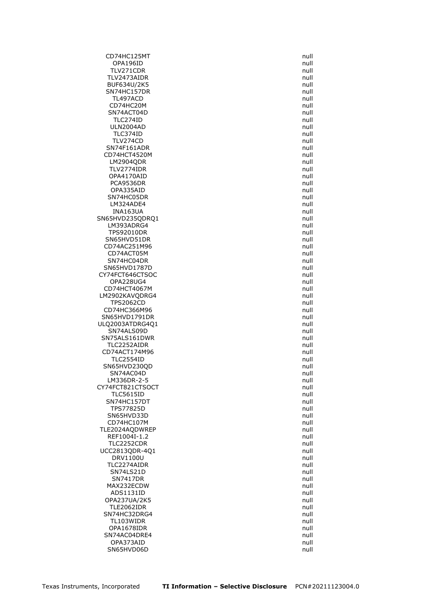CD74HC125MT null OPA196ID null TLV271CDR null TLV2473AIDR null BUF634U/2K5 SN74HC157DR null TL497ACD null CD74HC20M null SN74ACT04D null and the state of the state of the state of the state of the state of the state of the state of the state of the state of the state of the state of the state of the state of the state of the state of the sta TLC274ID null ULN2004AD null<br>TLC374ID null null null null null null TLC374ID TLV274CD null<br>N74F161ADR null null null null null SN74F161ADR CD74HCT4520M null LM2904QDR null TLV2774IDR null OPA4170AID null and the contract of the contract of the contract of the contract of the contract of the contract of the contract of the contract of the contract of the contract of the contract of the contract of the contra PCA9536DR null OPA335AID null SN74HC05DR null and the state of the state of the state of the state of the state of the state of the state of the state of the state of the state of the state of the state of the state of the state of the state of the sta LM324ADE4 null  $INA163UA$ SN65HVD235QDRQ1 null LM393ADRG4 null null and the state of the state of the state of the state of the state of the state of the state of the state of the state of the state of the state of the state of the state of the state of the state of th TPS92010DR null SN65HVD51DR null CD74AC251M96 null CD74ACT05M null and the control of the control of the control of the control of the control of the control of the control of the control of the control of the control of the control of the control of the control of the con SN74HC04DR SN65HVD1787D null CY74FCT646CTSOC OPA228UG4 null CD74HCT4067M null LM2902KAVQDRG4 null TPS2062CD null CD74HC366M96 SN65HVD1791DR null ULQ2003ATDRG4Q1 null SN74ALS09D null and the state of the state of the state of the state of the state of the state of the state of the state of the state of the state of the state of the state of the state of the state of the state of the sta SN75ALS161DWR null TLC2252AIDR null CD74ACT174M96 null **TLC2554ID** SN65HVD230QD null SN74AC04D null and the state of the state of the state of the state of the state of the state of the state of the state of the state of the state of the state of the state of the state of the state of the state of the stat LM336DR-2-5 null CY74FCT821CTSOCT null TLC5615ID null SN74HC157DT null TPS77825D null SN65HVD33D null CD74HC107M null<br>E2024AODWREP contract the contract of the contract of the contract of the contract of the contract of the contr<br>Contract of the contract of the contract of the contract of the contract of the contract of th TLE2024AODWREP REF1004I-1.2 null TLC2252CDR UCC2813QDR-4Q1 null DRV1100U null TLC2274AIDR null SN74LS21D null SN7417DR null MAX232ECDW and the contract of the contract of the contract of the contract of the contract of the contract of the contract of the contract of the contract of the contract of the contract of the contract of the contract of ADS1131ID null OPA237UA/2K5 null TLE2062IDR null SN74HC32DRG4 null TL103WIDR null OPA1678IDR null SN74AC04DRE4 null OPA373AID null SN65HVD06D null null and the state of the state of the state of the state of the state of the state of the state of the state of the state of the state of the state of the state of the state of the state of the state of th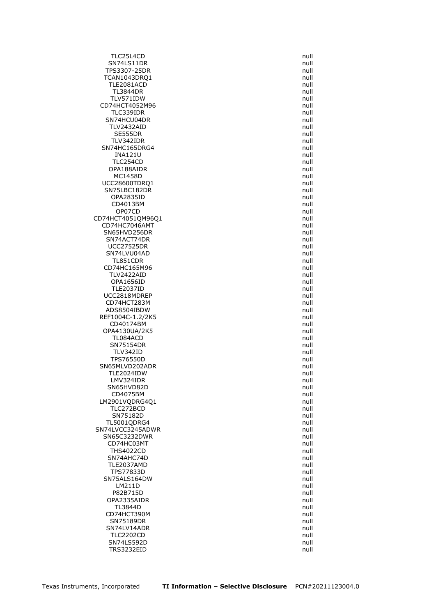TLC25L4CD null SN74LS11DR null TPS3307-25DR null TCAN1043DRQ1 null<br>TLE2081ACD null null null null TLE2081ACD TL3844DR null TLV571IDW null CD74HCT4052M96 null TLC339IDR null SN74HCU04DR null TLV2432AID null<br>SE555DR null null null null null null SE555DR TLV342IDR null SN74HC165DRG4 INA121U null TLC254CD null OPA188AIDR null MC1458D null UCC28600TDRO1 null SN75LBC182DR null OPA2835ID null CD4013BM null OP07CD CD74HCT4051QM96Q1 null CD74HC7046AMT null SN65HVD256DR null SN74ACT74DR null and the state of the state of the state of the state of the state of the state of the state of the state of the state of the state of the state of the state of the state of the state of the state of the st UCC27525DR null SN74LVU04AD null null that the state of the state of the state of the state of the state of the state of the s<br>TL851CDR null that the state of the state of the state of the state of the state of the state of the state of TL851CDR CD74HC165M96 null TLV2422AID OPA1656ID null TLE2037ID null UCC2818MDREP null CD74HCT283M null<br>ADS8504IBDW null and the control of the control of the control of the control of the control of the control of ADS8504IBDW REF1004C-1.2/2K5 null CD40174BM null OPA4130UA/2K5 null TL084ACD null SN75154DR null TLV342ID null TPS76550D SN65MLVD202ADR null TLE2024IDW and the contract of the contract of the contract of the contract of the contract of the contract of the contract of the contract of the contract of the contract of the contract of the contract of the contract of LMV324IDR null SN65HVD82D null CD4075BM null LM2901VQDRG4Q1 null TLC272BCD null SN75182D null TL5001QDRG4 null<br>74LVCC3245ADWR null SN74LVCC3245ADWR SN65C3232DWR null<br>CD74HC03MT null null null null CD74HC03MT THS4022CD null SN74AHC74D null and the state of the state of the state of the state of the state of the state of the state of the state of the state of the state of the state of the state of the state of the state of the state of the sta TLE2037AMD null TPS77833D null SN75ALS164DW null LM211D null P82B715D null OPA2335AIDR null TL3844D null CD74HCT390M null SN75189DR null SN74LV14ADR null TLC2202CD null SN74LS592D null TRS3232EID null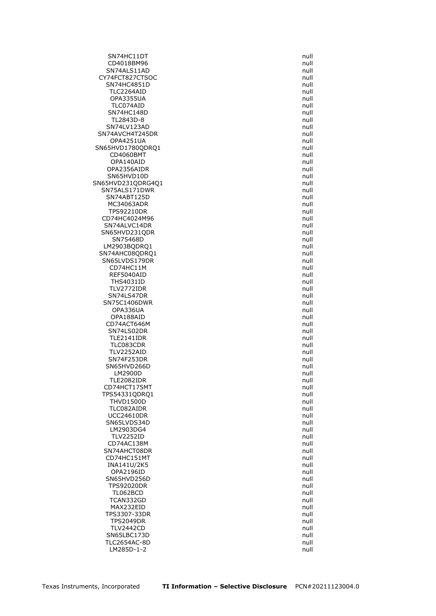SN74HC11DT null CD4018BM96 null and the contract of the contract of the contract of the contract of the contract of the contract of the contract of the contract of the contract of the contract of the contract of the contract of the contra SN74ALS11AD null CY74FCT827CTSOC null<br>SN74HC4851D sn74HC4851D SN74HC4851D TLC2264AID null OPA3355UA null TLC074AID null SN74HC148D null TL2843D-8 null SN74LV123AD null<br>174AVCH4T245DR 177AVCH4T245DR SN74AVCH4T245DR OPA4251UA null SN65HVD1780QDRQ1 CD4060BMT null OPA140AID null OPA2356AIDR null SN65HVD10D null SN65HVD231QDRG4Q1 null SN75ALS171DWR null SN74ABT125D null MC34063ADR null TPS92210DR CD74HC4024M96 null SN74ALVC14DR null null and the state of the state of the state of the state of the state of the state of the state of the state of the state of the state of the state of the state of the state of the state of the state of SN65HVD231QDR null SN75468D null and the state of the state of the state of the state of the state of the state of the state of the state of the state of the state of the state of the state of the state of the state of the state of the state LM2903BODRO1 null and the contract of the contract of the contract of the contract of the contract of the contract of the contract of the contract of the contract of the contract of the contract of the contract of the cont SN74AHC08QDRQ1 null null null hadden and the source of the state of the state of the state of the state of the<br>SN65LVDS179DR SN65LVDS179DR CD74HC11M null<br>REF5040AID null null null null null null null REF5040AID THS4031ID null TLV2772IDR null SN74LS47DR null SN75C1406DWR null<br>OPA336UA null opassus and the contract of the contract of the contract of the contract of the contract of the c OPA336UA OPA188AID null and the contract of the contract of the contract of the contract of the contract of the contract of the contract of the contract of the contract of the contract of the contract of the contract of the contrac CD74ACT646M null SN74LS02DR null TLE2141IDR null TLC083CDR null TLV2252AID null<br>SN74F253DR null null null null null SN74F253DR SN65HVD266D null and the state of the state of the state of the state of the state of the state of the state o LM2900D null and the contract of the contract of the contract of the contract of the contract of the contract of the contract of the contract of the contract of the contract of the contract of the contract of the contract TLE2082IDR null CD74HCT175MT null TPS54331QDRQ1 null THVD1500D null TLC082AIDR null UCC24610DR null SN65LVDS34D null LM2903DG4 TLV2252ID null<br>CD74AC138M null and the contract of the contract of the contract of the contract of the contract of the contra CD74AC138M SN74AHCT08DR null CD74HC151MT null INA141U/2K5 null OPA2196ID null SN65HVD256D null TPS92020DR null TL062BCD null TCAN332GD null MAX232EID null TPS3307-33DR null TPS2049DR null TLV2442CD null SN65LBC173D null TLC2654AC-8D null LM285D-1-2 null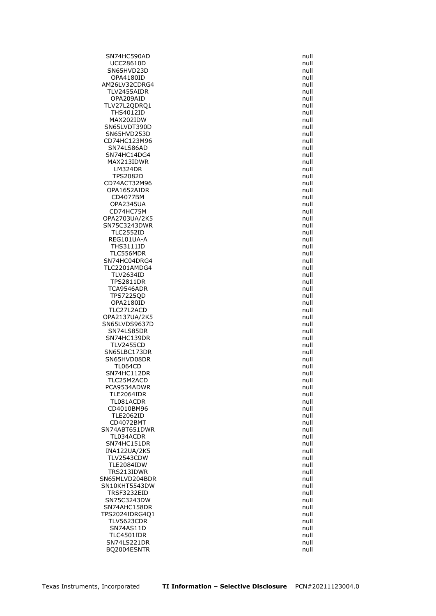SN74HC590AD null and the state of the state of the state of the state of the state of the state of the state of the state of the state of the state of the state of the state of the state of the state of the state of the st UCC28610D null SN65HVD23D null and the state of the state of the state of the state of the state of the state of the state of the state of the state of the state of the state of the state of the state of the state of the state of the sta OPA4180ID null AM26LV32CDRG4 TLV2455AIDR null OPA209AID null and the contract of the contract of the contract of the contract of the contract of the contract of the contract of the contract of the contract of the contract of the contract of the contract of the contrac TLV27L2QDRQ1 null THS4012ID null MAX202IDW null and the contract of the contract of the contract of the contract of the contract of the contract of the contract of the contract of the contract of the contract of the contract of the contract of the contrac SN65LVDT390D null SN65HVD253D CD74HC123M96 null<br>CD74HC123M96 share and the state of the state of the state of the state of the state of the state of the state SN74LS86AD SN74HC14DG4 null MAX213IDWR null LM324DR null and the control of the control of the control of the control of the control of the control of the control of the control of the control of the control of the control of the control of the control of the contro TPS2082D null CD74ACT32M96 null OPA1652AIDR null CD4077BM null OPA2345UA null<br>CD74HC75M null and the contract of the contract of the contract of the contract of the contract of the contract o CD74HC75M OPA2703UA/2K5 null SN75C3243DWR null TLC2552ID null REG101UA-A null THS3111ID null TLC556MDR<br>N74HC04DRG4 null SN74HC04DRG4 TLC2201AMDG4 null TLV2634ID TPS2811DR null TCA9546ADR null null and the state of the state of the state of the state of the state of the state of the state of the state of the state of the state of the state of the state of the state of the state of the state of th TPS7225QD null opa2180ID null and the control of the control of the control of the control of the control of the control of t<br>TLC27L2ACD null and the control of the control of the control of the control of the control of the control of TLC27L2ACD OPA2137UA/2K5 null SN65LVDS9637D null SN74LS85DR null SN74HC139DR null TLV2455CD null SN65LBC173DR null<br>SN65HVD08DR null sn65HVD08DR null SN65HVD08DR TL064CD null and the state of the state of the state of the state of the state of the state of the state of the state of the state of the state of the state of the state of the state of the state of the state of the state SN74HC112DR null TLC25M2ACD null PCA9534ADWR null and the contract of the contract of the contract of the contract of the contract of the contract of the contract of the contract of the contract of the contract of the contract of the contract of the contr TLE2064IDR null TL081ACDR null CD4010BM96 null TLE2062ID null and the state of the state of the state of the state of the state of the state of the state of the state of the state of the state of the state of the state of the state of the state of the state of the stat CD4072BMT null SN74ABT651DWR TL034ACDR null SN74HC151DR INA122UA/2K5 null TLV2543CDW null TLE2084IDW null TRS213IDWR null SN65MLVD204BDR null SN10KHT5543DW null TRSF3232EID null null and the matrix of the matrix of the matrix of the matrix of the matrix of the matrix of the matrix of the matrix of the matrix of the matrix of the matrix of the matrix of the matrix of the matrix of SN75C3243DW null SN74AHC158DR null TPS2024IDRG4Q1 null TLV5623CDR null SN74AS11D null TLC4501IDR null SN74LS221DR null BQ2004ESNTR null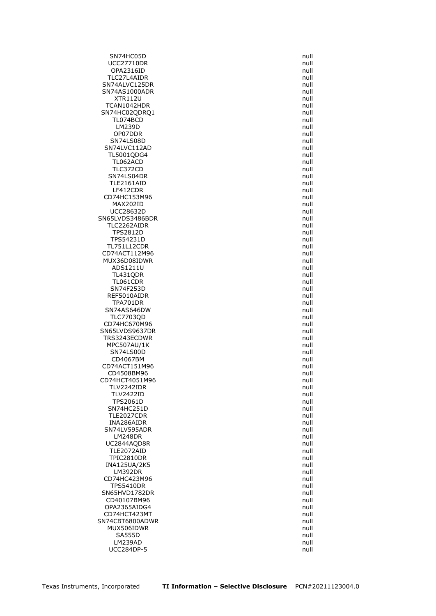SN74HC05D null and the state of the state of the state of the state of the state of the state of the state of the state of the state of the state of the state of the state of the state of the state of the state of the stat UCC27710DR null OPA2316ID null and the contract of the contract of the contract of the contract of the contract of the contract of the contract of the contract of the contract of the contract of the contract of the contract of the contrac TLC27L4AIDR null SN74ALVC125DR SN74AS1000ADR null XTR112U null TCAN1042HDR null SN74HC02QDRQ1 null TL074BCD null LM239D null and the control of the control of the control of the control of the control of the control of the c<br>DP07DDR OP07DDR SN74LS08D null SN74LVC112AD TL5001QDG4 null TL062ACD null and the contract of the contract of the contract of the contract of the contract of the contract of the contract of the contract of the contract of the contract of the contract of the contract of the contract TLC372CD null and the state of the state of the state of the state of the state of the state of the state of the state of the state of the state of the state of the state of the state of the state of the state of the state SN74LS04DR null and the state of the state of the state of the state of the state of the state of the state of the state of the state of the state of the state of the state of the state of the state of the state of the sta TLE2161AID null LF412CDR null CD74HC153M96 null MAX202ID null UCC28632D SN65LVDS3486BDR null null and the state of the state of the state of the state of the state of the state of the state of the state of the state of the state of the state of the state of the state of the state of the state TLC2262AIDR null TPS2812D null TPS54231D null TL751L12CDR null CD74ACT112M96 null<br>MUX36D08IDWR null null null null null null null MUX36D08IDWR ADS1211U null TL431QDR TL061CDR null SN74F253D null REF5010AIDR null and the contract of the contract of the contract of the contract of the contract of the contract of the contract of the contract of the contract of the contract of the contract of the contract of the contr TPA701DR null SN74AS646DW TLC7703QD null CD74HC670M96 **null** SN65LVDS9637DR null TRS3243ECDWR null MPC507AU/1K null SN74LS00D null null to the state of the state of the state of the state of the state of the state of the state of the state of the state of the state of the state of the state of the state of the state of the state of the CD4067BM CD74ACT151M96 **null** CD4508BM96 null and the contract of the contract of the contract of the contract of the contract of the contract of the contract of the contract of the contract of the contract of the contract of the contract of the contra CD74HCT4051M96 null TLV2242IDR null TLV2422ID null TPS2061D null SN74HC251D null TLE2027CDR null and the state of the state of the state of the state of the state of the state of the state of INA286AIDR null SN74LV595ADR LM248DR null<br>C2844AQD8R null and the control of the control of the control of the control of the control of the control of UC2844AQD8R TLE2072AID null TPIC2810DR null INA125UA/2K5 null LM392DR null CD74HC423M96 null TPS5410DR null SN65HVD1782DR null CD40107BM96 null OPA2365AIDG4 null CD74HCT423MT null and the contract of the contract of the contract of the contract of the contract of the contract of the contract of the contract of the contract of the contract of the contract of the contract of the cont SN74CBT6800ADWR null and the state of the state of the state of the state of the state of the state of the state of the state of the state of the state of the state of the state of the state of the state of the state of th MUX506IDWR null SA555D null null and the set of the set of the set of the set of the set of the set of the set of the set of the set of the set of the set of the set of the set of the set of the set of the set of the set of the set of the LM239AD null UCC284DP-5 null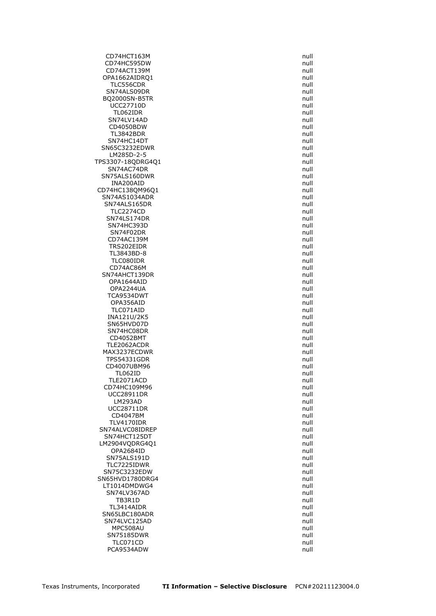CD74HCT163M null CD74HC595DW null CD74ACT139M null OPA1662AIDRQ1 null<br>TLC556CDR null null null null null null TLC556CDR SN74ALS09DR null and the state of the state of the state of the state of the state of the state of the state of the state of the state of the state of the state of the state of the state of the state of the state of the st BQ2000SN-B5TR null UCC27710D null TL062IDR null SN74LV14AD null CD4050BDW null<br>TL3842BDR null null null null null null **TL3842BDR** SN74HC14DT null SN65C3232EDWR LM285D-2-5 null TPS3307-18QDRG4Q1 null SN74AC74DR null and the state of the state of the state of the state of the state of the state of the state of the state of the state of the state of the state of the state of the state of the state of the state of the sta SN75ALS160DWR null INA200AID null CD74HC138QM96Q1 null SN74AS1034ADR null null and the state of the state of the state of the state of the state of the state of the state of the state of the state of the state of the state of the state of the state of the state of the state of SN74ALS165DR null<br>TLC2274CD null null null null null null TLC2274CD SN74LS174DR null SN74HC393D null SN74F02DR null CD74AC139M null TRS202EIDR null TL3843BD-8 null TLC080IDR CD74AC86M null<br>174AHCT139DR null and the state of the state of the state of the state of the state of the state of the state SN74AHCT139DR OPA1644AID null OPA2244UA null TCA9534DWT and the contract of the contract of the contract of the contract of the contract of the contract of the contract of the contract of the contract of the contract of the contract of the contract of the contract of OPA356AID null<br>TLC071AID null null null null null TLC071AID INA121U/2K5 null SN65HVD07D null and the state of the state of the state of the state of the state of the state of the state of the state of the state of the state of the state of the state of the state of the state of the state of the sta SN74HC08DR null CD4052BMT null TLE2062ACDR null null and the matrix of the matrix of the matrix of the matrix of the matrix of the matrix of the matrix of the matrix of the matrix of the matrix of the matrix of the matrix of the matrix of the matrix of MAX3237ECDWR null TPS54331GDR CD4007UBM96 **null** TL062ID null TLE2071ACD null CD74HC109M96 null UCC28911DR null LM293AD null UCC28711DR null CD4047BM null and the contract of the contract of the contract of the contract of the contract of the contract of the contract of the contract of the contract of the contract of the contract of the contract of the contract TLV4170IDR null SN74ALVC08IDREP SN74HCT125DT null LM2904VQDRG4Q1 OPA2684ID null SN75ALS191D null null and the state of the state of the state of the state of the state of the state of the state of the state of the state of the state of the state of the state of the state of the state of the state of t TLC7225IDWR null SN75C3232EDW null SN65HVD1780DRG4 null LT1014DMDWG4 null SN74LV367AD null TB3R1D null TL3414AIDR null SN65LBC180ADR null null and the state of the state of the state of the state of the state of the state of the state of the state of the state of the state of the state of the state of the state of the state of the state of SN74LVC125AD null MPC508AU null SN75185DWR null TLC071CD null PCA9534ADW null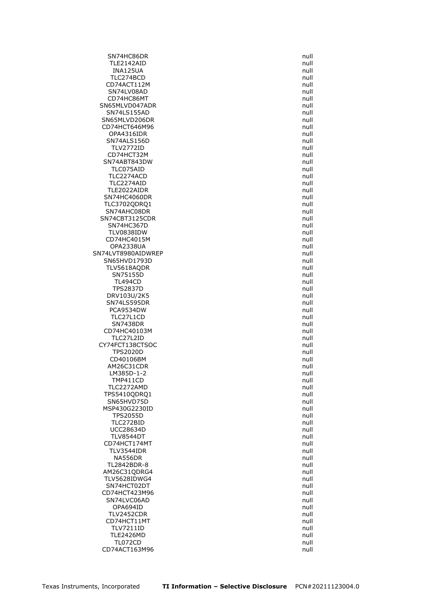SN74HC86DR null and the state of the state of the state of the state of the state of the state of the state of the state of the state of the state of the state of the state of the state of the state of the state of the sta TLE2142AID null INA125UA null TLC274BCD<br>TLC274BCD null and the state of the state of the state of the state of the state of the state of the state of <br>TLC274BCD null and the state of the state of the state of the state of the state of the state of the CD74ACT112M SN74LV08AD null and the state of the state of the state of the state of the state of the state of the state of the state of the state of the state of the state of the state of the state of the state of the state of the sta CD74HC86MT null SN65MLVD047ADR null null and the state of the state of the state of the state of the state of the state of the state of the state of the state of the state of the state of the state of the state of the state of the state o SN74LS155AD null null and the state of the state of the state of the state of the state of the state of the state of the state of the state of the state of the state of the state of the state of the state of the state of t SN65MLVD206DR null CD74HCT646M96 null OPA4316IDR SN74ALS156D null null and the state of the state of the state of the state of the state of the state of the state of the state of the state of the state of the state of the state of the state of the state of the state of t TLV2772ID CD74HCT32M null SN74ABT843DW null TLC075AID null TLC2274ACD null and the state of the state of the state of the state of the state of the state of the state of the state of the state of the state of the state of the state of the state of the state of the state of the sta TLC2274AID null TLE2022AIDR null SN74HC4060DR null TLC3702QDRQ1 null SN74AHC08DR SN74CBT3125CDR null SN74HC367D null null and the state of the state of the state of the state of the state of the state of the state of the state of the state of the state of the state of the state of the state of the state of the state of th TLV0838IDW null CD74HC4015M null OPA2338UA null SN74LVT8980AIDWREP null SN65HVD1793D TLV5618AQDR null SN75155D TL494CD null TPS2837D null DRV103U/2K5 null SN74LS595DR null PCA9534DW TLC27L1CD null and the state of the state of the state of the state of the state of the state of the state of the state of the state of the state of the state of the state of the state of the state of the state of the stat SN7438DR null CD74HC40103M null TLC27L2ID null CY74FCT138CTSOC null and the control of the control of the control of the control of the control of the control of the control of the control of the control of the control of the control of the control of the control of th TPS2020D null null and the matrix of the matrix of the matrix of the matrix of the matrix of the matrix of the<br>CD40106BM null and the matrix of the matrix of the matrix of the matrix of the matrix of the matrix of the mat CD40106BM AM26C31CDR null LM385D-1-2 null TMP411CD null TLC2272AMD null TPS5410QDRQ1 null SN65HVD75D null MSP430G2230ID null TPS2055D null TLC272BID null UCC28634D TLV8544DT null CD74HCT174MT TLV3544IDR null NA556DR null and the contract of the contract of the contract of the contract of the contract of the contract of the contract of the contract of the contract of the contract of the contract of the contract of the contract TL2842BDR-8 null AM26C31QDRG4 null TLV5628IDWG4 null SN74HCT02DT null CD74HCT423M96 null SN74LVC06AD null and the state of the state of the state of the state of the state of the state of the state of the state of the state of the state of the state of the state of the state of the state of the state of the st OPA694ID null TLV2452CDR null CD74HCT11MT null TLV7211ID null TLE2426MD null TL072CD null CD74ACT163M96 null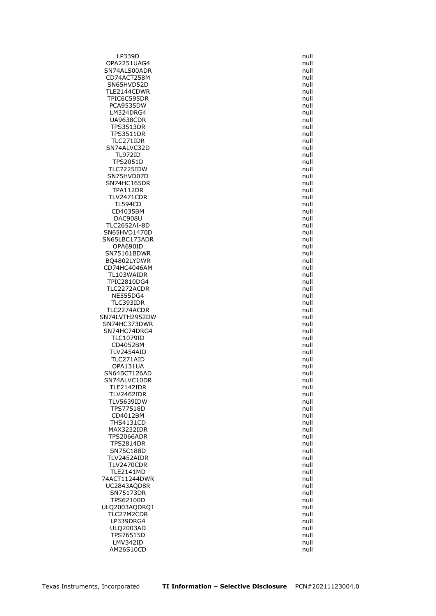LP339D null and the contract of the contract of the contract of the contract of the contract of the contract of the contract of the contract of the contract of the contract of the contract of the contract of the contract o OPA2251UAG4 null SN74ALS00ADR null and the state of the state of the state of the state of the state of the state of the state o CD74ACT258M null<br>SN65HVD52D sname and the state of the state of the state of the state of the state of the state of the state o SN65HVD52D TLE2144CDWR null TPIC6C595DR null PCA9535DW null LM324DRG4 null UA9638CDR null TPS3513DR null  $TPS3511DR$ TLC271IDR null SN74ALVC32D TL972ID null TPS2051D null TLC7225IDW null SN75HVD07D null SN74HC165DR null TPA112DR null TLV2471CDR null TL594CD null null and the control of the control of the control of the control of the control of the control of the control of the control of the control of the control of the control of the control of the control of the c CD4035BM DAC908U null and the contract of the contract of the contract of the contract of the contract of the contract of the contract of the contract of the contract of the contract of the contract of the contract of the contract TLC2652AI-8D null SN65HVD1470D null SN65LBC173ADR null OPA690ID null SN75161BDWR null BQ4802LYDWR CD74HC4046AM null<br>TL103WAIDR null and the control of the control of the control of the control of the control of the control of TL103WAIDR TPIC2810DG4 null TLC2272ACDR null NE555DG4 null TLC393IDR null TLC2274ACDR SN74LVTH2952DW null SN74HC373DWR null SN74HC74DRG4 null TLC1079ID null CD4052BM null TLV2454AID null<br>TLC271AID null null null null null TLC271AID OPA131UA null SN64BCT126AD null SN74ALVC10DR null TLE2142IDR null TLV2462IDR null TLV5639IDW **null** TPS77518D null CD4012BM null THS4131CD null MAX3232IDR TPS2066ADR null null and the state of the state of the state of the state of the state of the state of the state of the state of the state of the state of the state of the state of the state of the state of the state of th **TPS2814DR** SN75C188D null TLV2452AIDR null TLV2470CDR null TLE2141MD null 74ACT11244DWR null UC2843AQD8R null SN75173DR null TPS62100D null ULQ2003AQDRQ1 null TLC27M2CDR null null and the state of the state of the state of the state of the state of the state of the state of the state of the state of the state of the state of the state of the state of the state of the state of th LP339DRG4 null ULQ2003AD null TPS76515D null LMV342ID null AM26S10CD null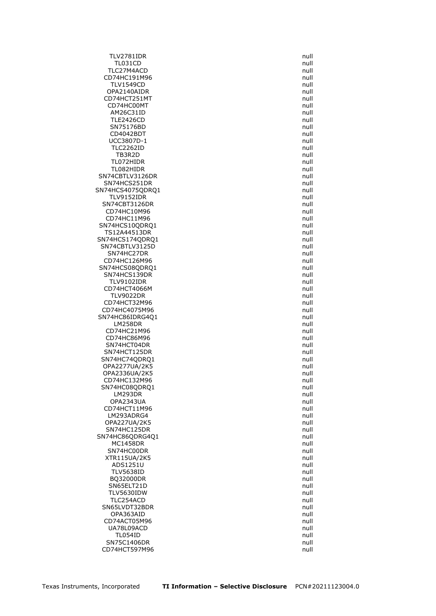TLV2781IDR null TL031CD null TLC27M4ACD null and the state of the state of the state of the state of the state of the state of the state of the state of the state of the state of the state of the state of the state of the state of the state of the sta CD74HC191M96 null<br>TLV1549CD null and the matrix of the matrix of the matrix of the matrix of the matrix of the matrix of the matrix of the matrix of the matrix of the matrix of the matrix of the matrix of the matrix of the **TLV1549CD** OPA2140AIDR null CD74HCT251MT null CD74HC00MT null AM26C31ID null TLE2426CD null SN75176BD null CD4042BDT UCC3807D-1 null<br>TLC2262ID null null null null **TLC2262ID** TB3R2D null and the state of the state of the state of the state of the state of the state of the state of the TL072HIDR null TL082HIDR null SN74CBTLV3126DR null SN74HCS251DR null SN74HCS4075QDRQ1 null null TLV9152IDR null SN74CBT3126DR null<br>CD74HC10M96 cD74HC10M96 CD74HC10M96 CD74HC11M96 **null** SN74HCS10QDRQ1 null TS12A44513DR null SN74HCS174QDRQ1 null SN74CBTLV3125D null SN74HC27DR null CD74HC126M96 SN74HCS08QDRQ1 null SN74HCS139DR TLV9102IDR null CD74HCT4066M null TLV9022DR null CD74HCT32M96 null CD74HC4075M96 SN74HC86IDRG4Q1 null LM258DR null CD74HC21M96 null CD74HC86M96 **null** SN74HCT04DR null and the state of the state of the state of the state of the state of the state of the state of the state of the state of the state of the state of the state of the state of the state of the state of the st SN74HCT125DR null SN74HC74QDRQ1 null OPA2277UA/2K5 null OPA2336UA/2K5 null CD74HC132M96 null SN74HC08QDRQ1 null LM293DR null OPA2343UA null CD74HCT11M96 null LM293ADRG4 null null and the state of the state of the state of the state of the state of the state of the state of the state of the state of the state of the state of the state of the state of the state of the state of th OPA227UA/2K5 null SN74HC125DR null SN74HC86QDRG4Q1 null  $MC1458DR$ SN74HC00DR null null and the state of the state of the state of the state of the state of the state of the state of the state of the state of the state of the state of the state of the state of the state of the state of th XTR115UA/2K5 null ADS1251U null TLV5638ID null BO32000DR null SN65ELT21D null TLV5630IDW null TLC254ACD null SN65LVDT32BDR null OPA363AID null and the contract of the contract of the contract of the contract of the contract of the contract of the contract of the contract of the contract of the contract of the contract of the contract of the contrac CD74ACT05M96 null UA78L09ACD null null and the state of the state of the state of the state of the state of the state of the state of the state of the state of the state of the state of the state of the state of the state of the state of th TL054ID null SN75C1406DR null CD74HCT597M96 null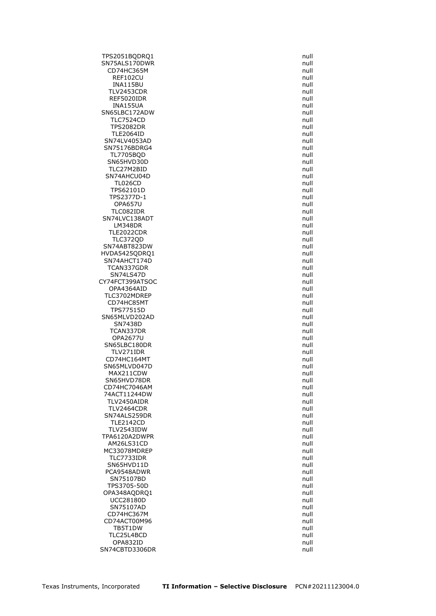TPS2051BQDRQ1 null SN75ALS170DWR null CD74HC365M null REF102CU null  $INA115BU$ TLV2453CDR null REF5020IDR null INA155UA null SN65LBC172ADW null TLC7524CD null and the contract of the contract of the contract of the contract of the contract of the contract of the contract of the contract of the contract of the contract of the contract of the contract of the contrac TPS2082DR null<br>TLE2064ID null null null null null **TLE2064ID** SN74LV4053AD null and the state of the state of the state of the state of the state of the state of the state o<br>SN75176BDRG4 state of the state of the state of the state of the state of the state of the state of the state SN75176BDRG4 TL7705BQD null SN65HVD30D null and the state of the state of the state of the state of the state of the state of the state of the state of the state of the state of the state of the state of the state of the state of the state of the sta TLC27M2BID null and the state of the state of the state of the state of the state of the state of the state of the state of the state of the state of the state of the state of the state of the state of the state of the sta SN74AHCU04D null and the state of the state of the state of the state of the state of the state of the state of the state of the state of the state of the state of the state of the state of the state of the state of the st TL026CD null TPS62101D null TPS2377D-1 null OPA657U null TLC082IDR SN74LVC138ADT null LM348DR null TLE2022CDR null TLC372QD null SN74ABT823DW null HVDA5425QDRQ1 null SN74AHCT174D TCAN337GDR null SN74LS47D CY74FCT399ATSOC null null and the contract of the contract of the contract of the contract of the contract of the contract of the contract of the contract of the contract of the contract of the contract of the contract of OPA4364AID null and the contract of the contract of the contract of the contract of the contract of the contract of the contract of the contract of the contract of the contract of the contract of the contract of the contra TLC3702MDREP null CD74HC85MT null and the control of the control of the control of the control of the control of the control of the control of the control of the control of the control of the control of the control of the control of the con TPS77515D SN65MLVD202AD null and the state of the state of the state of the state of the state of the state of the state of the state of the state of the state of the state of the state of the state of the state of the state of the SN7438D null TCAN337DR null OPA2677U null SN65LBC180DR null TLV271IDR null CD74HC164MT SN65MLVD047D null MAX211CDW null SN65HVD78DR null CD74HC7046AM null 74ACT11244DW null TLV2450AIDR null TLV2464CDR null SN74ALS259DR null and the state of the state of the state of the state of the state of the state of the state o TLE2142CD null TLV2543IDW TPA6120A2DWPR null AM26LS31CD MC33078MDREP null TLC7733IDR null SN65HVD11D null PCA9548ADWR null and the contract of the contract of the contract of the contract of the contract of the contract of the contract of the contract of the contract of the contract of the contract of the contract of the contr SN75107BD null TPS3705-50D null OPA348AQDRQ1 null UCC28180D null SN75107AD null CD74HC367M null CD74ACT00M96 null TB5T1DW null and the state of the state of the state of the state of the state of the state of the state of the state of the state of the state of the state of the state of the state of the state of the state of the state TLC25L4BCD null OPA832ID null SN74CBTD3306DR null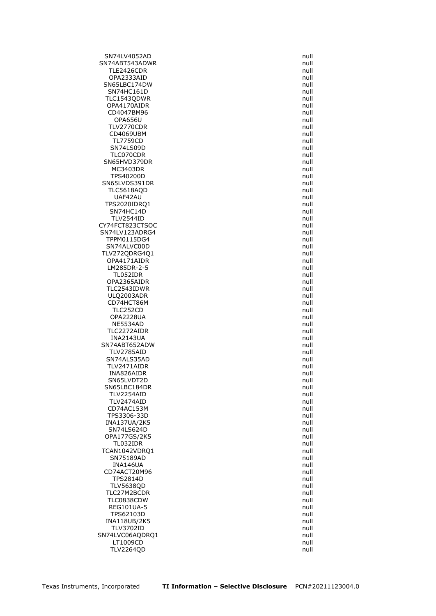SN74LV4052AD null SN74ABT543ADWR null null and the state of the state of the state of the state of the state of the state of the TLE2426CDR null and the contract of the contract of the contract of the contract of the contract of the contract of the contract of the contract of the contract of the contract of the contract of the contract of the contra operation of the control of the control of the control of the control of the control of the control of the control of the control of the control of the control of the control of the control of the control of the control of SN65LBC174DW SN74HC161D null TLC1543QDWR null OPA4170AIDR null CD4047BM96 null and the contract of the contract of the contract of the contract of the contract of the contract of the contract of the contract of the contract of the contract of the contract of the contract of the contra OPA656U null TLV2770CDR null CD4069UBM TL7759CD null<br>SN74LS09D null and the state of the state of the state of the state of the state of the state of the state of SN74LS09D TLC070CDR null SN65HVD379DR null and the state of the state of the state of the state of the state of the state of the state of the state of the state of the state of the state of the state of the state of the state of the state of the s MC3403DR null and the state of the state of the state of the state of the state of the state of the state of the state of the state of the state of the state of the state of the state of the state of the state of the state TPS40200D null SN65LVDS391DR null TLC5618AQD null UAF42AU null TPS2020IDRQ1 null  $SN74HC14D$ TLV2544ID null and the state of the state of the state of the state of the state of the state of the state of the state of the state of the state of the state of the state of the state of the state of the state of the stat CY74FCT823CTSOC null SN74LV123ADRG4 null TPPM0115DG4 null SN74ALVC00D null and the state of the state of the state of the state of the state of the state of the state of the state of the state of the state of the state of the state of the state of the state of the state of the st TLV272QDRG4Q1 null OPA4171AIDR LM285DR-2-5 null TL052IDR OPA2365AIDR null TLC2543IDWR null ULQ2003ADR null CD74HCT86M null<br>TLC252CD null null null null null null TLC252CD OPA2228UA null NE5534AD null and the state of the state of the state of the state of the state of the state of the state of the state of the state of the state of the state of the state of the state of the state of the state of the state TLC2272AIDR null and the state of the state of the state of the state of the state of the state of the state of the state of the state of the state of the state of the state of the state of the state of the state of the st INA2143UA null SN74ABT652ADW null null and the state of the state of the state of the state of the state of the state of the state of the state of the state of the state of the state of the state of the state of the state of the state of TLV2785AID null SN74ALS35AD TLV2471AIDR null INA826AIDR null and the state of the state of the state of the state of the state of the state of the state of the state of the state of the state of the state of the state of the state of the state of the state of the sta SN65LVDT2D null SN65LBC184DR null and the state of the state of the state of the state of the state of the state of the state of the state of the state of the state of the state of the state of the state of the state of the state of the s TLV2254AID null TLV2474AID null CD74AC153M null TPS3306-33D null INA137UA/2K5 null<br>SN74LS624D null null null null null null  $SN74LS624D$ OPA177GS/2K5 null TL032IDR TCAN1042VDRQ1 null SN75189AD null INA146UA null CD74ACT20M96 null TPS2814D null TLV5638QD null TLC27M2BCDR null TLC0838CDW null REG101UA-5 null TPS62103D null and the contract of the contract of the contract of the contract of the contract of the contract of the contract of the contract of the contract of the contract of the contract of the contract of the contrac INA118UB/2K5 null TLV3702ID null SN74LVC06AQDRQ1 null LT1009CD null TLV2264QD null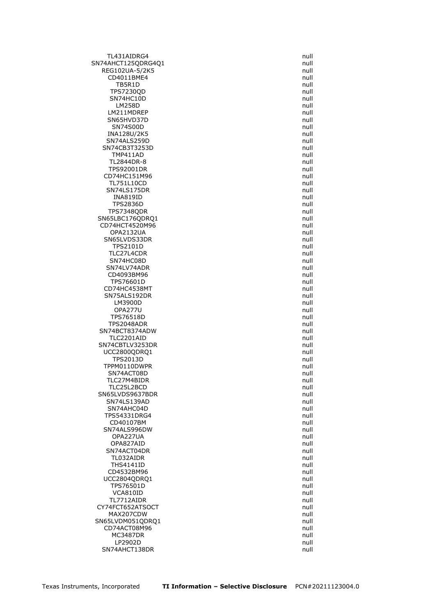TL431AIDRG4 null SN74AHCT125QDRG4Q1 null null REG102UA-5/2K5 null CD4011BME4 null<br>TB5R1D null null null null TB5R1D TPS7230QD null SN74HC10D null LM258D null LM211MDREP null SN65HVD37D null SN74S00D null INA128U/2K5 SN74ALS259D<br>SN74CB3T3253D null and the state of the state of the state of the state of the state of the state of the state SN74CB3T3253D TMP411AD null TL2844DR-8 null TPS92001DR null CD74HC151M96 null TL751L10CD null SN74LS175DR null INA819ID null TPS2836D null<br>PS7348QDR null and the state of the state of the state of the state of the state of the state of the state of TPS7348QDR SN65LBC176QDRQ1 null CD74HCT4520M96 null OPA2132UA null SN65LVDS33DR null TPS2101D null TLC27L4CDR null SN74HC08D SN74LV74ADR null<br>CD4093BM96 cD4093BM96 null CD4093BM96 TPS76601D null CD74HC4538MT null SN75ALS192DR null LM3900D null null and the control of the control of the control of the control of the control of the control of the control of the control of the control of the control of the control of the control of the control of the c **OPA277U** TPS76518D null and the state of the state of the state of the state of the state of the state of the state of the state of the state of the state of the state of the state of the state of the state of the state of the stat TPS2048ADR null and the contract of the contract of the contract of the contract of the contract of the contract of the contract of the contract of the contract of the contract of the contract of the contract of the contra SN74BCT8374ADW null TLC2201AID null SN74CBTLV3253DR null UCC2800QDRQ1 null<br>TPS2013D null null null **TPS2013D** TPPM0110DWPR null SN74ACT08D null and the state of the state of the state of the state of the state of the state of the state of the state of the state of the state of the state of the state of the state of the state of the state of the sta TLC27M4BIDR null TLC25L2BCD null SN65LVDS9637BDR null SN74LS139AD null SN74AHC04D null and the state of the state of the state of the state of the state of the state of the state of the state of the state of the state of the state of the state of the state of the state of the state of the sta TPS54331DRG4 null CD40107BM null SN74ALS996DW OPA227UA null OPA827AID SN74ACT04DR null and the state of the state of the state of the state of the state of the state of the state of the state of the state of the state of the state of the state of the state of the state of the state of the st TL032AIDR null THS4141ID null CD4532BM96 **null** UCC2804ODRO1 null null and the control of the control of the control of the control of the control of the control of the control of the control of the control of the control of the control of the control of the control of TPS76501D null VCA810ID null TL7712AIDR null CY74FCT652ATSOCT null MAX207CDW null and the state of the state of the state of the state of the state of the state of the state of the state of the state of the state of the state of the state of the state of the state of the state of the stat SN65LVDM051QDRQ1 null CD74ACT08M96 null MC3487DR null LP2902D null SN74AHCT138DR null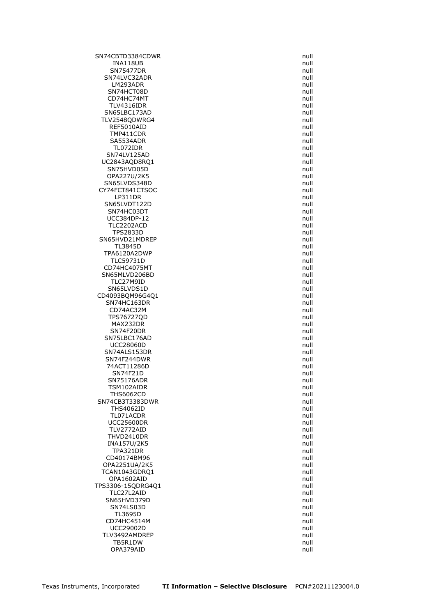SN74CBTD3384CDWR null null and the state of the state of the state of the state of the state of the state of the state of the state of the state of the state of the state of the state of the state of the state of the state INA118UB null SN75477DR null and the state of the state of the state of the state of the state of the state of the state of the state of the state of the state of the state of the state of the state of the state of the state of the stat SN74LVC32ADR null<br>LM293ADR null null null LM293ADR SN74HCT08D null and the state of the state of the state of the state of the state of the state of the state of the state of the state of the state of the state of the state of the state of the state of the state of the sta CD74HC74MT null TLV4316IDR null SN65LBC173AD null TLV2548QDWRG4 null REF5010AID null TMP411CDR SA5534ADR null TL072IDR SN74LV125AD null UC2843AQD8RQ1 null SN75HVD05D null and the state of the state of the state of the state of the state of the state of the state of the state of the state of the state of the state of the state of the state of the state of the state of the sta OPA227U/2K5 null SN65LVDS348D null CY74FCT841CTSOC null LP311DR null SN65LVDT122D null null and the state of the state of the state of the state of the state of the state of the s<br>SN74HC03DT state of the state of the state of the state of the state of the state of the state of the state of SN74HC03DT UCC384DP-12 null TLC2202ACD null TPS2833D null and the contract of the contract of the contract of the contract of the contract of the contract of the contract of the contract of the contract of the contract of the contract of the contract of the contract SN65HVD21MDREP null TL3845D null TPA6120A2DWP null null and the matrix of the matrix of the matrix of the matrix of the matrix of the matrix of<br>TLC59731D null and the matrix of the matrix of the matrix of the matrix of the matrix of the matrix of the matr TLC59731D CD74HC4075MT null SN65MLVD206BD TLC27M9ID null SN65LVDS1D null CD4093BQM96G4Q1 null SN74HC163DR null<br>CD74AC32M null null null null null null CD74AC32M TPS76727QD null MAX232DR null SN74F20DR null SN75LBC176AD null UCC28060D null SN74ALS153DR<br>SN74F244DWR null sn74F244DWR SN74F244DWR 74ACT11286D null SN74F21D null SN75176ADR null TSM102AIDR null THS6062CD null and the contract of the contract of the contract of the contract of the contract of the contract of the contract of the contract of the contract of the contract of the contract of the contract of the contrac SN74CB3T3383DWR null THS4062ID null TL071ACDR null UCC25600DR null<br>TLV2772AID null null null null null TLV2772AID THVD2410DR null<br>INA157U/2K5 null null null null null null null INA157U/2K5 TPA321DR null CD40174BM96 null OPA2251UA/2K5 null TCAN1043GDRQ1 null OPA1602AID null TPS3306-15QDRG4Q1 null TLC27L2AID null SN65HVD379D null and the state of the state of the state of the state of the state of the state of the state of the state of the state of the state of the state of the state of the state of the state of the state of the st SN74LS03D null TL3695D null and the contract of the contract of the contract of the contract of the contract of the contract of the contract of the contract of the contract of the contract of the contract of the contract of the contract CD74HC4514M null UCC29002D null TLV3492AMDREP null TB5R1DW null and the contract of the contract of the contract of the contract of the contract of the contract of the contract of the contract of the contract of the contract of the contract of the contract of the contract OPA379AID null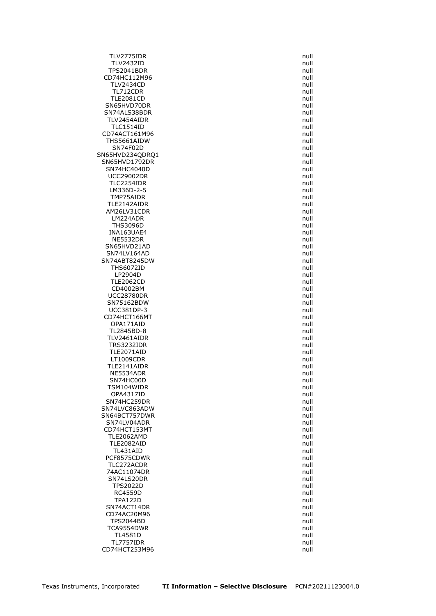TLV2775IDR null TLV2432ID null TPS2041BDR null CD74HC112M96 null<br>TLV2434CD null null null null null null **TLV2434CD** TL712CDR null TLE2081CD null SN65HVD70DR null SN74ALS38BDR null TLV2454AIDR null TLC1514ID null CD74ACT161M96 THS5661AIDW null null and the state of the state of the state of the state of the state of the state of the state of the state of the state of the state of the state of the state of the state of the state of the state of t SN74F02D SN65HVD234QDRQ1 null SN65HVD1792DR null SN74HC4040D null and the state of the state of the state of the state of the state of the state of the state of the state of the state of the state of the state of the state of the state of the state of the state of the st UCC29002DR null TLC2254IDR null LM336D-2-5 null TMP75AIDR null TLE2142AIDR null AM26LV31CDR LM224ADR null and the contract of the contract of the contract of the contract of the contract of the contract of the contract of the contract of the contract of the contract of the contract of the contract of the contract THS3096D null and the contract of the contract of the contract of the contract of the contract of the contract of the contract of the contract of the contract of the contract of the contract of the contract of the contract INA163UAE4 null NE5532DR null SN65HVD21AD null SN74LV164AD null SN74ABT8245DW THS6072ID null<br>LP2904D null null null null null null LP2904D TLE2062CD null CD4002BM null UCC28780DR null SN75162BDW null null and the state of the state of the state of the state of the state of the state of the state of the state of the state of the state of the state of the state of the state of the state of the state of th UCC381DP-3 CD74HCT166MT null OPA171AID null TL2845BD-8 null TLV2461AIDR null TRS3232IDR null TLE2071AID null<br>LT1009CDR null null null null null null  $LT1009CDR$ TLE2141AIDR null NE5534ADR null and the state of the state of the state of the state of the state of the state of the state of the state of the state of the state of the state of the state of the state of the state of the state of the stat SN74HC00D null TSM104WIDR null OPA4317ID null SN74HC259DR null SN74LVC863ADW null null and the state of the state of the state of the state of the state of the state of the state of the state of the state of the state of the state of the state of the state of the state of the state of SN64BCT757DWR null SN74LV04ADR null CD74HCT153MT TLE2062AMD null TLE2082AID TL431AID null PCF8575CDWR null TLC272ACDR null 74AC11074DR null SN74LS20DR null TPS2022D null RC4559D null and the contract of the contract of the contract of the contract of the contract of the contract of the contract of the contract of the contract of the contract of the contract of the contract of the contract TPA122D null SN74ACT14DR null CD74AC20M96 **null** TPS2044BD null TCA9554DWR null TL4581D null TL7757IDR null CD74HCT253M96 null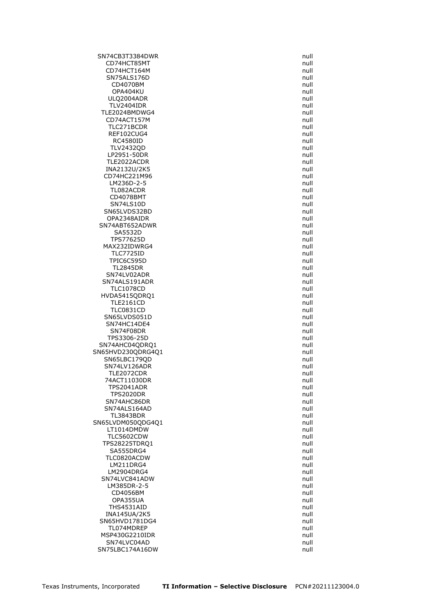SN74CB3T3384DWR null CD74HCT85MT null CD74HCT164M null SN75ALS176D null null and the state of the state of the state of the state of the state of the state of the state of the state of the state of the state of the state of the state of the state of the state of the state of t CD4070BM OPA404KU null ULQ2004ADR null TLV2404IDR null TLE2024BMDWG4 null CD74ACT157M null TLC271BCDR null<br>REF102CUG4 null null null null null null null REF102CUG4 RC4580ID null null and the set of the set of the set of the set of the set of the set of the set of the set of<br>TLV2432QD null and the set of the set of the set of the set of the set of the set of the set of the set of the **TLV2432QD** LP2951-50DR null TLE2022ACDR null INA2132U/2K5 null CD74HC221M96 **null** LM236D-2-5 null TL082ACDR null and the contract of the contract of the contract of the contract of the contract of the contract of the contract of the contract of the contract of the contract of the contract of the contract of the contrac CD4078BMT null SN74LS10D null SN65LVDS32BD OPA2348AIDR null and the contract of the contract of the contract of the contract of the contract of the contract of the contract of the contract of the contract of the contract of the contract of the contract of the contr SN74ABT652ADWR null and the state of the state of the state of the state of the state of the state of the state of the state of the state of the state of the state of the state of the state of the state of the state of the SA5532D null and the state of the state of the state of the state of the state of the state of the state of the state of the state of the state of the state of the state of the state of the state of the state of the state TPS77625D null MAX232IDWRG4 null TLC7725ID null<br>TPIC6C595D null and the state of the state of the state of the state of the state of the state of the state of TPIC6C595D TL2845DR null SN74LV02ADR SN74ALS191ADR null TLC1078CD null HVDA5415QDRQ1 null TLE2161CD null<br>TLC0831CD null null null null null null **TLC0831CD** SN65LVDS051D null and the state of the state of the state of the state of the state of the state of the state of the state of the state of the state of the state of the state of the state of the state of the state of the s SN74HC14DE4 null SN74F08DR null TPS3306-25D null SN74AHC04QDRQ1 null SN65HVD230QDRG4Q1 null<br>SN65LBC179QD null null SN65LBC179QD SN74LV126ADR null TLE2072CDR null 74ACT11030DR null TPS2041ADR null TPS2020DR null SN74AHC86DR null and the state of the state of the state of the state of the state of the state of the state of the state of the state of the state of the state of the state of the state of the state of the state of the st SN74ALS164AD null null and the state of the state of the state of the state of the state of the state of the state of the state of the state of the state of the state of the state of the state of the state of the state of TL3843BDR null SN65LVDM050QDG4Q1 null<br>LT1014DMDW null null  $LT1014$ DMDW TLC5602CDW null<br>PS28225TDRQ1 null null null null null null TPS28225TDRQ1 null SA555DRG4 null null and the state of the state of the state of the state of the state of the state of the state of the state of the state of the state of the state of the state of the state of the state of the state of the TLC0820ACDW null LM211DRG4 null LM2904DRG4 null null and the state of the state of the state of the state of the state of the state of the state of the state of the state of the state of the state of the state of the state of the state of the state of th SN74LVC841ADW null LM385DR-2-5 null CD4056BM null OPA355UA null THS4531AID null INA145UA/2K5 null SN65HVD1781DG4 null TL074MDRFP null and the state of the state of the state of the state of the state of the state of the state of the state of the state of the state of the state of the state of the state of the state of the state of the sta MSP430G2210IDR null SN74LVC04AD null and the state of the state of the state of the state of the state of the state of the state of the state of the state of the state of the state of the state of the state of the state of the state of the st SN75LBC174A16DW null and the state of the state of the state of the state of the state of the state of the state of the state of the state of the state of the state of the state of the state of the state of the state of th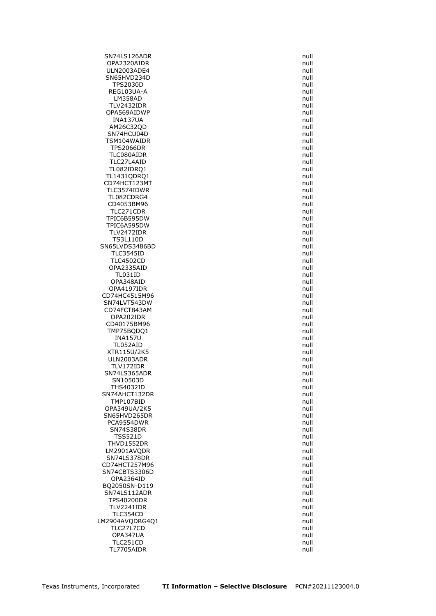SN74LS126ADR null OPA2320AIDR null ULN2003ADE4 null SN65HVD234D null<br>TPS2030D null null null null null **TPS2030D** REG103UA-A null LM358AD null and the contract of the contract of the contract of the contract of the contract of the contract of the contract of the contract of the contract of the contract of the contract of the contract of the contract TLV2432IDR null OPA569AIDWP null and the contract of the contract of the contract of the contract of the contract of the contract of the contract of the contract of the contract of the contract of the contract of the contract of the contr INA137UA null AM26C32QD null<br>SN74HCU04D null show that the state of the state of the state of the state of the state of the state of the st  $SN74$ HCU04D TSM104WAIDR null **TPS2066DR** TLC080AIDR null and the contract of the contract of the contract of the contract of the contract of the contract of the contract of the contract of the contract of the contract of the contract of the contract of the contra TLC27L4AID null TL082IDRQ1 null TL1431QDRQ1 null CD74HCT123MT null TLC3574IDWR null TL082CDRG4 null CD4053BM96 null<br>TLC271CDR null null null null null TLC271CDR TPIC6B595DW null and the state of the state of the state of the state of the state of the state of the state of the state of the state of the state of the state of the state of the state of the state of the state of the st TPIC6A595DW null TLV2472IDR null TS3L110D null SN65LVDS3486BD null null and the state of the state of the state of the state of the state of the state of the TLC3545ID null<br>TLC4502CD null and the state of the state of the state of the state of the state of the state of the state of **TLC4502CD** OPA2335AID null<br>TL031ID null null null null null null  $TL031ID$ OPA348AID null and the contract of the contract of the contract of the contract of the contract of the contract of the contract of the contract of the contract of the contract of the contract of the contract of the contrac OPA4197IDR null CD74HC4515M96 null SN74LVT543DW null null to the state of the state of the state of the state of the state of the state of the state of the state of the state of the state of the state of the state of the state of the state of the state of t CD74FCT843AM OPA202IDR null and the contract of the contract of the contract of the contract of the contract of the contract of the contract of the contract of the contract of the contract of the contract of the contract of the contrac CD40175BM96 **null** TMP75BQDQ1 null INA157U null TL052AID null XTR115U/2K5 null ULN2003ADR TLV172IDR null SN74LS365ADR null null and the state of the state of the state of the state of the state of the state of the state of the state of the state of the state of the state of the state of the state of the state of the state of SN10503D null and the state of the state of the state of the state of the state of the state of the state of the state of the state of the state of the state of the state of the state of the state of the state of the state THS4032ID null SN74AHCT132DR null TMP107BID null OPA349UA/2K5 null SN65HVD265DR null PCA9554DWR null SN74S38DR TSS521D null THVD1552DR LM2901AVQDR null SN74LS378DR null CD74HCT257M96 null SN74CBTS3306D null OPA2364ID null BQ2050SN-D119 null SN74LS112ADR null TPS40200DR null TLV2241IDR null TLC354CD null and the state of the state of the state of the state of the state of the state of the state of the state of the state of the state of the state of the state of the state of the state of the state of the state LM2904AVQDRG4Q1 null TLC27L7CD null OPA347UA null TLC251CD null TL7705AIDR null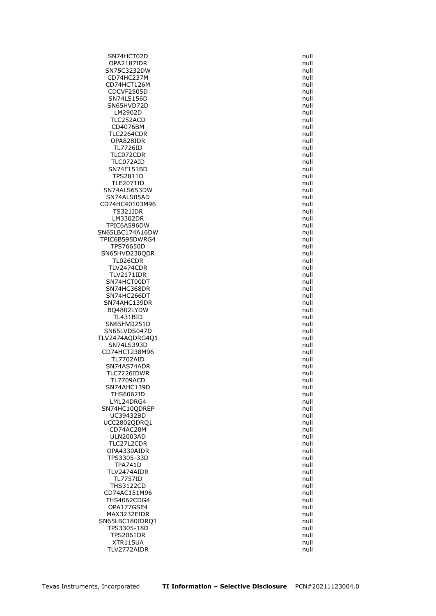SN74HCT02D null OPA2187IDR null SN75C3232DW null CD74HC237M null<br>CD74HCT126M null control and the control of the control of the control of the control of the control of the co CD74HCT126M CDCVF2505D null SN74LS156D null SN65HVD72D null LM2902D null TLC252ACD null CD4076BM null<br>TLC2264CDR null null null null null null TLC2264CDR OPA828IDR null TL7726ID TLC072CDR null TLC072AID null SN74F151BD null TPS2811D null TLE2071ID null SN74ALS653DW null SN74ALS05AD null and the state of the state of the state of the state of the state of the state of the state of the state of the state of the state of the state of the state of the state of the state of the state of the st CD74HC40103M96 null<br>TS321IDR null null null null null null **TS321IDR** LM3302DR null TPIC6A596DW null SN65LBC174A16DW null TPIC6B595DWRG4 null TPS76650D null SN65HVD230QDR null TL026CDR TLV2474CDR null TLV2171IDR SN74HCT00DT null SN74HC368DR null and the state of the state of the state of the state of the state of the state of the state of the state of the state of the state of the state of the state of the state of the state of the state of the st SN74HC266DT null SN74AHC139DR null BQ4802LYDW TL431BID null SN65HVD251D null SN65LVDS047D null null and the state of the state of the state of the state of the state of the state of the state of the state of the state of the state of the state of the state of the state of the state of the state of TLV2474AQDRG4Q1 null SN74LS393D null CD74HCT238M96 null<br>TL7702AID null null null null null null TL7702AID SN74AS74ADR null and the state of the state of the state of the state of the state of the state of the state of the state of the state of the state of the state of the state of the state of the state of the state of the st TLC7226IDWR null TL7709ACD null SN74AHC139D null and the state of the state of the state of the state of the state of the state of the state of the state of the state of the state of the state of the state of the state of the state of the state of the st THS6062ID null LM124DRG4 null SN74HC10QDREP null null and the state of the state of the state of the state of the state of the state of the state of the state of the state of the state of the state of the state of the state of the state of the state of UC39432BD null UCC2802QDRQ1 null<br>CD74AC20M null null null null null  $CD74AC20M$ ULN2003AD null null and the set of the set of the set of the set of the set of the set of the set of the set o<br>TLC27L2CDR null and the set of the set of the set of the set of the set of the set of the set of the set of th TLC27L2CDR OPA4330AIDR null and the contract of the contract of the contract of the contract of the contract of the contract of the contract of the contract of the contract of the contract of the contract of the contract of the contr TPS3305-33D null TPA741D null and the contract of the contract of the contract of the contract of the contract of the contract of the contract of the contract of the contract of the contract of the contract of the contract of the contract TLV2474AIDR null TL7757ID null THS3122CD null CD74AC151M96 null THS4062CDG4 null OPA177GSE4 null MAX3232EIDR null and the matrix of the matrix of the matrix of the matrix of the matrix of the matrix of the m SN65LBC180IDRQ1 null TPS3305-18D null TPS2061DR null XTR115UA null TLV2772AIDR null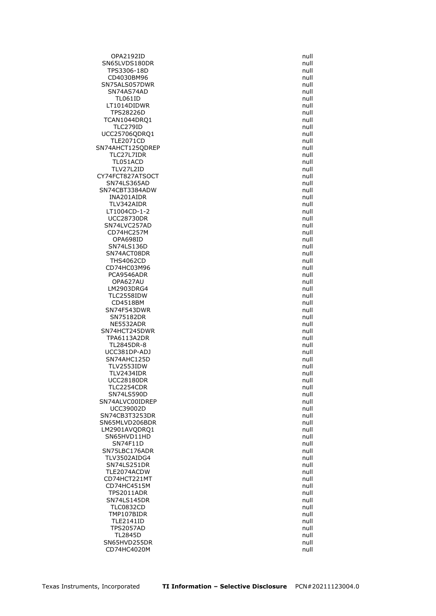OPA2192ID null SN65LVDS180DR null TPS3306-18D null and the contract of the contract of the contract of the contract of the contract of the contract of the contract of the contract of the contract of the contract of the contract of the contract of the contr CD4030BM96 null SN75ALS057DWR SN74AS74AD null and the state of the state of the state of the state of the state of the state of the state of the state of the state of the state of the state of the state of the state of the state of the state of the sta TL061ID null LT1014DIDWR null TPS28226D null TCAN1044DRO1 null null and the matrix of the matrix of the matrix of the matrix of the matrix of the matrix of the matrix of the matrix of the matrix of the matrix of the matrix of the matrix of the matrix of the matrix of TLC279ID null UCC25706QDRQ1 null TLE2071CD<br>4AHCT125QDREP null SN74AHCT125QDREP TLC27L7IDR null TL051ACD null TLV27L2ID null and the contract of the contract of the contract of the contract of the contract of the contract of the contract of the contract of the contract of the contract of the contract of the contract of the contrac CY74FCT827ATSOCT null and the state of the state of the state of the state of the state of the state of the state of the state of the state of the state of the state of the state of the state of the state of the state of t SN74LS365AD null SN74CBT3384ADW null INA201AIDR null TLV342AIDR null LT1004CD-1-2 UCC28730DR null SN74LVC257AD null CD74HC257M null OPA698ID null SN74LS136D null SN74ACT08DR null null and the state of the state of the state of the state of the state of the state of the state of the state of the state of the state of the state of the state of the state of the state of the state of t **THS4062CD** CD74HC03M96 null and the control of the control of the control of the control of the control of the control of<br>The control of the control of the control of the control of the control of the control of the control of the c PCA9546ADR OPA627AU null LM2903DRG4 null TLC2558IDW null CD4518BM null SN74F543DWR SN75182DR null and the state of the state of the state of the state of the state of the state of the state of the state of the state of the state of the state of the state of the state of the state of the state of the stat NE5532ADR null and the matrix of the matrix of the matrix of the matrix of the matrix of the matrix of the matrix of the matrix of the matrix of the matrix of the matrix of the matrix of the matrix of the matrix of the mat SN74HCT245DWR null TPA6113A2DR null TL2845DR-8 null UCC381DP-ADJ null and the state of the state of the state of the state of the state of the state of the state o<br>
USN74AHC125D state of the state of the state of the state of the state of the state of the state of the state SN74AHC125D TLV2553IDW null and the state of the state of the state of the state of the state of the state of the state of the state of the state of the state of the state of the state of the state of the state of the state of the sta TLV2434IDR null UCC28180DR null TLC2254CDR null SN74LS590D null and the state of the state of the state of the state of the state of the state of the state of the state of the state of the state of the state of the state of the state of the state of the state of the sta SN74ALVC00IDREP null null and the state of the state of the state of the state of the state of the state of the state of the state of the state of the state of the state of the state of the state of the state of the state UCC39002D null SN74CB3T3253DR null SN65MLVD206BDR null LM2901AVODRO1 SN65HVD11HD null SN74F11D SN75LBC176ADR null TLV3502AIDG4 null SN74LS251DR null TLE2074ACDW null and the contract of the contract of the contract of the contract of the contract of the contract of the contract of the contract of the contract of the contract of the contract of the contract of the contr CD74HCT221MT null CD74HC4515M null TPS2011ADR null SN74LS145DR null TLC0832CD null TMP107BIDR null and the state of the state of the state of the state of the state of the state of the state of the state of the state of the state of the state of the state of the state of the state of the state of the sta TLE2141ID null TPS2057AD null and the contract of the contract of the contract of the contract of the contract of the contract of the contract of the contract of the contract of the contract of the contract of the contract of the contrac TL2845D null SN65HVD255DR null CD74HC4020M null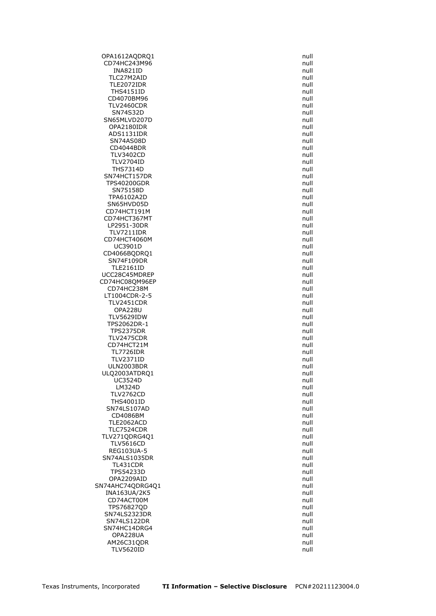OPA1612AQDRQ1 null CD74HC243M96 null INA821ID null and the set of the set of the set of the set of the set of the set of the set of the set of the set of the set of the set of the set of the set of the set of the set of the set of the set of the set of the se TLC27M2AID null<br>TLE2072IDR null null null null null TLE2072IDR THS4151ID null CD4070BM96 null and the contract of the contract of the contract of the contract of the contract of the contract of the contract of the contract of the contract of the contract of the contract of the contract of the contra TLV2460CDR null SN74S32D null SN65MLVD207D null null and the state of the state of the state of the state of the state of the state of the state of the state of the state of the state of the state of the state of the state of the state of the state of OPA2180IDR null ADS1131IDR SN74AS08D null  $CD4044BDR$ TLV3402CD null TLV2704ID null THS7314D null SN74HCT157DR null TPS40200GDR null SN75158D null TPA6102A2D null SN65HVD05D<br>CD74HCT191M null CD74HCT191M CD74HCT367MT null LP2951-30DR null TLV7211IDR null CD74HCT4060M null UC3901D null CD4066BQDRQ1 null<br>SN74F109DR null null null null SN74F109DR TLE2161ID null UCC28C45MDREP CD74HC08QM96EP null and the control of the control of the control of the control of the control of the control of the control of the control of the control of the control of the control of the control of the control of the CD74HC238M null LT1004CDR-2-5 null TLV2451CDR null **OPA228U** TLV5629IDW null and the state of the state of the state of the state of the state of the state of the state of the state of the state of the state of the state of the state of the state of the state of the state of the sta TPS2062DR-1 null TPS2375DR null TLV2475CDR null CD74HCT21M null TL7726IDR null<br>TLV2371ID null null null null **TLV2371ID** ULN2003BDR null ULQ2003ATDRQ1 null UC3524D null and the contract of the contract of the contract of the contract of the contract of the contract of the contract of the contract of the contract of the contract of the contract of the contract of the contract LM324D null TLV2762CD null THS4001ID null SN74LS107AD null CD4086BM null TLE2062ACD null TLC7524CDR TLV271QDRG4Q1 null<br>TLV5616CD null null null null null null **TLV5616CD** REG103UA-5 null SN74ALS1035DR null TL431CDR null TPS54233D null OPA2209AID null SN74AHC74QDRG4Q1 null INA163UA/2K5 null CD74ACT00M null and the contract of the contract of the contract of the contract of the contract of the contract of the contract of the contract of the contract of the contract of the contract of the contract of the contra TPS76827QD null SN74LS2323DR null SN74LS122DR null SN74HC14DRG4 null OPA228UA null AM26C31ODR null TLV5620ID null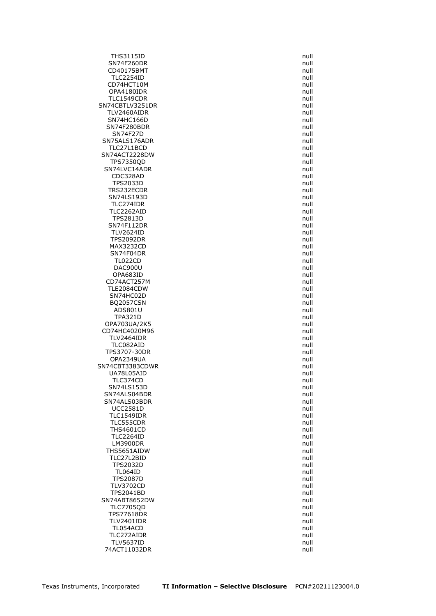THS3115ID null SN74F260DR null and the state of the state of the state of the state of the state of the state of the state of the state of the state of the state of the state of the state of the state of the state of the state of the sta CD40175BMT null TLC2254ID null<br>CD74HCT10M null and the contract of the contract of the contract of the contract of the contract of the contra<br>CD74HCT10M null and the contract of the contract of the contract of the contract of the contract CD74HCT10M OPA4180IDR null TLC1549CDR null SN74CBTLV3251DR null TLV2460AIDR null SN74HC166D null SN74F280BDR null<br>SN74F27D null null null null null SN74F27D SN75ALS176ADR null<br>TLC27L1BCD null null null null null TLC27L1BCD SN74ACT2228DW null TPS7350QD null SN74LVC14ADR null CDC328AD null TPS2033D null TRS232ECDR null null and the matrix of the matrix of the matrix of the matrix of the matrix of the matrix of the matrix of the matrix of the matrix of the matrix of the matrix of the matrix of the matrix of the matrix of t SN74LS193D null TLC274IDR null TLC2262AID TPS2813D null and the state of the state of the state of the state of the state of the state of the state of the state of the state of the state of the state of the state of the state of the state of the state of the state SN74F112DR null TLV2624ID null TPS2092DR null MAX3232CD null SN74F04DR null<br>TL022CD null null null null null null **TL022CD** DAC900U null OPA683ID CD74ACT257M null TLE2084CDW null and the contract of the contract of the contract of the contract of the contract of the contract of the contract of the contract of the contract of the contract of the contract of the contract of the contra SN74HC02D null and the state of the state of the state of the state of the state of the state of the state of the state of the state of the state of the state of the state of the state of the state of the state of the stat BQ2057CSN null<br>ADS801U null and a series and a series of the series of the series of the series of the series of the series o  $ADS801U$ TPA321D null OPA703UA/2K5 null CD74HC4020M96 null TLV2464IDR null TLC082AID null TPS3707-30DR null **OPA2349UA** SN74CBT3383CDWR null UA78L05AID null and the contract of the contract of the contract of the contract of the contract of the contract of the contract of the contract of the contract of the contract of the contract of the contract of the contra TLC374CD null SN74LS153D null SN74ALS04BDR null and the state of the state of the state of the state of the state of the state of the state of the state of the state of the state of the state of the state of the state of the state of the state of the s SN74ALS03BDR null null and the state of the state of the state of the state of the state of the state of the state of the state of the state of the state of the state of the state of the state of the state of the state of UCC2581D null TLC1549IDR null TLC555CDR null **THS4601CD** TLC2264ID null LM3900DR THS5651AIDW null TLC27L2BID null TPS2032D null TL064ID null TPS2087D null TLV3702CD null TPS2041BD null SN74ABT8652DW null TLC7705QD null TPS77618DR null null and the state of the state of the state of the state of the state of the state of the state of the state of the state of the state of the state of the state of the state of the state of the state of th TLV2401IDR null TL054ACD null null and the matrix of the matrix of the matrix of the matrix of the matrix of the matrix of the matrix of the matrix of the matrix of the matrix of the matrix of the matrix of the matrix of the matrix of the TLC272AIDR null TLV5637ID null 74ACT11032DR null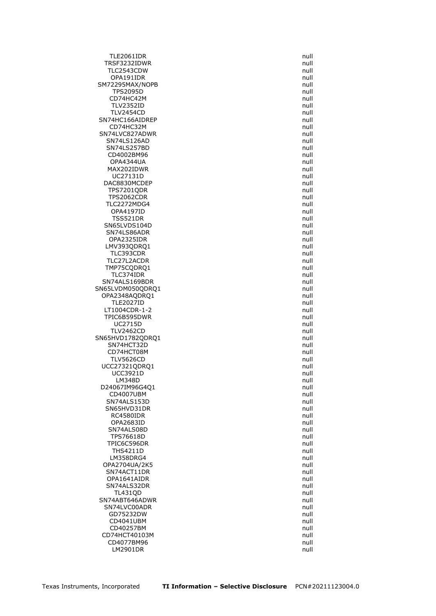TLE2061IDR null TRSF3232IDWR null TLC2543CDW null and the state of the state of the state of the state of the state of the state of the state of the state of the state of the state of the state of the state of the state of the state of the state of the sta OPA191IDR null SM72295MAX/NOPB TPS2095D null CD74HC42M null TLV2352ID null TLV2454CD null SN74HC166AIDREP null null and the state of the state of the state of the state of the state of the state of the state of the state of the state of the state of the state of the state of the state of the state of the state CD74HC32M null SN74LVC827ADWR SN74LS126AD null null show that the state of the state of the state of the state of the state of the state of the state of the state of the state of the state of the state of the state of the state of the state of the stat SN74LS257BD CD4002BM96 **null** OPA4344UA null and the contract of the contract of the contract of the contract of the contract of the contract of the contract of the contract of the contract of the contract of the contract of the contract of the contrac MAX202IDWR null UC27131D null DAC8830MCDEP null and the null and the null and the null and the null and the null and the null and the null TPS7201QDR null TPS2062CDR null TLC2272MDG4 null **OPA4197ID** TSS521DR null and the state of the state of the state of the state of the state of the state of the state of the state of the state of the state of the state of the state of the state of the state of the state of the state SN65LVDS104D null SN74LS86ADR null OPA2325IDR null LMV393QDRQ1 null and the contract of the contract of the contract of the contract of the contract of the contract of the contract of the contract of the contract of the contract of the contract of the contract of the contr TLC393CDR null TLC27L2ACDR TMP75CQDRQ1 null TLC374IDR SN74ALS169BDR null SN65LVDM050QDRQ1 null OPA2348AQDRQ1 null TLE2027ID null<br>1004CDR-1-2 null null null null null LT1004CDR-1-2 TPIC6B595DWR null and the state of the state of the state of the state of the state of the state of the state of the state of the state of the state of the state of the state of the state of the state of the state of the s UC2715D null TLV2462CD null SN65HVD1782QDRQ1 null null SN74HCT32D null CD74HCT08M null and the control of the control of the control of the control of the control of the control of the control of the control of the control of the control of the control of the control of the control of the con **TLV5626CD** UCC27321QDRQ1 null UCC3921D null LM348D null D24067IM96G4Q1 null CD4007UBM null SN74ALS153D null and the state of the state of the state of the state of the state of the state of the state of the state of the state of the state of the state of the state of the state of the state of the state of the st SN65HVD31DR null RC4580IDR null and the contract of the contract of the contract of the contract of the contract of the contract of the contract of the contract of the contract of the contract of the contract of the contract of the contrac OPA2683ID null<br>SN74ALS08D null and the state of the state of the state of the state of the state of the state of the state of SN74ALS08D TPS76618D null null and the state of the state of the state of the state of the state of the state of the state of the state of the state of the state of the state of the state of the state of the state of the state of the TPIC6C596DR THS4211D null LM358DRG4 null null and the state of the state of the state of the state of the state of the state of the state of the state of the state of the state of the state of the state of the state of the state of the state of the OPA2704UA/2K5 null SN74ACT11DR null OPA1641AIDR null SN74ALS32DR null TL431QD null SN74ABT646ADWR null and the state of the state of the state of the state of the state of the state of the state of the state of the state of the state of the state of the state of the state of the state of the state of the SN74LVC00ADR null GD75232DW null and the state of the state of the state of the state of the state of the state of the state of the state of the state of the state of the state of the state of the state of the state of the state of the stat CD4041UBM null CD40257BM null CD74HCT40103M null CD4077BM96 null LM2901DR null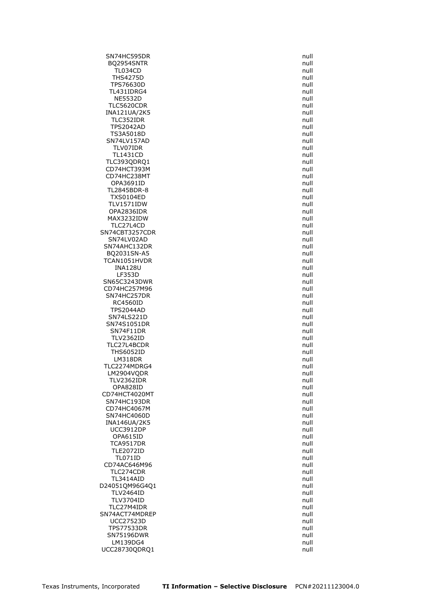SN74HC595DR null BQ2954SNTR null TL034CD null THS4275D null TPS76630D TL431IDRG4 null NE5532D null and the contract of the contract of the contract of the contract of the contract of the contract of the contract of the contract of the contract of the contract of the contract of the contract of the contract TLC5620CDR null INA121UA/2K5 null TLC352IDR null TPS2042AD null TS3A5018D SN74LV157AD null<br>TLV07IDR null null null null null null TLV07IDR TL1431CD null TLC393QDRQ1 null CD74HCT393M null CD74HC238MT null OPA3691ID null TL2845BDR-8 null TXS0104ED null TLV1571IDW null OPA2836IDR MAX3232IDW **null** TLC27L4CD null SN74CBT3257CDR null SN74LV02AD null and the state of the state of the state of the state of the state of the state of the state of the state of the state of the state of the state of the state of the state of the state of the state of the sta SN74AHC132DR null BQ2031SN-A5 null TCAN1051HVDR INA128U null  $LF353D$ SN65C3243DWR null CD74HC257M96 **null** SN74HC257DR null RC4560ID null null and the control of the control of the control of the control of the control of the control o<br>TPS2044AD null and the control of the control of the control of the control of the control of the control of t **TPS2044AD** SN74LS221D null and the state of the state of the state of the state of the state of the state of the state of the state of the state of the state of the state of the state of the state of the state of the state of the sta SN74S1051DR null SN74F11DR null TLV2362ID null TLC27L4BCDR null THS6052ID null null and the matrix of the matrix of the matrix of the matrix of the matrix of the matrix of th<br>The matrix of the matrix of the matrix of the matrix of the matrix of the matrix of the matrix of the matrix o  $LM318DR$ TLC2274MDRG4 null null and the state of the state of the state of the state of the state of the state of the state of the state of the state of the state of the state of the state of the state of the state of the state of LM2904VQDR null and the contract of the contract of the contract of the contract of the contract of the contract of the contract of the contract of the contract of the contract of the contract of the contract of the contra TLV2362IDR null OPA828ID null CD74HCT4020MT null SN74HC193DR null CD74HC4067M null SN74HC4060D null and the state of the state of the state of the state of the state of the state of the state of the state of the state of the state of the state of the state of the state of the state of the state of the st INA146UA/2K5 null<br>UCC3912DP null null null null null null  $UCC3912DP$ OPA615ID null null and the control of the control of the control of the control of the control of the control o<br>TCA9517DR null and the control of the control of the control of the control of the control of the control of t **TCA9517DR** TLE2072ID null TL071ID null CD74AC646M96 null TLC274CDR null TL3414AID null D24051QM96G4Q1 null TLV2464ID null TLV3704ID null TLC27M4IDR null SN74ACT74MDREP null null and the state of the state of the state of the state of the state of the state of the UCC27523D null TPS77533DR null SN75196DWR null LM139DG4 null UCC28730QDRQ1 null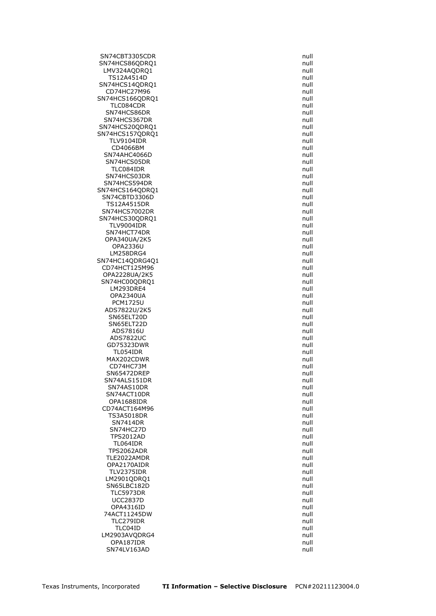SN74CBT3305CDR null SN74HCS86QDRQ1 null LMV324AQDRQ1 null TS12A4514D null<br>74HCS14ODRO1 74HCS14ODRO1 SN74HCS14QDRQ1 CD74HC27M96 **null** SN74HCS166ODRO1 null and the state of the state of the state of the state of the state of the state of the state of the state of the state of the state of the state of the state of the state of the state of the state of th TLC084CDR null SN74HCS86DR null and the state of the state of the state of the state of the state of the state of the state of the state of the state of the state of the state of the state of the state of the state of the state of the st SN74HCS367DR null SN74HCS20QDRQ1<br>SN74HCS157ODRO1 null and the state of the state of the state of the state of the state of the state of the sta SN74HCS157QDRQ1 TLV9104IDR null<br>CD4066BM null cD4066BM null CD4066BM SN74AHC4066D null null and the state of the state of the state of the state of the state of the state of the state of the state of the state of the state of the state of the state of the state of the state of the state of SN74HCS05DR null TLC084IDR null and the state of the state of the state of the state of the state of the state of the state of the state of the state of the state of the state of the state of the state of the state of the state of the stat SN74HCS03DR null SN74HCS594DR null SN74HCS164QDRQ1 null SN74CBTD3306D null TS12A4515DR<br>N74HCS7002DR null and the state of the state of the state of the state of the state of the state of the state SN74HCS7002DR SN74HCS30QDRQ1 null TLV9004IDR null SN74HCT74DR null and the state of the state of the state of the state of the state of the state of the state of the state of the state of the state of the state of the state of the state of the state of the state of the st OPA340UA/2K5 null OPA2336U null LM258DRG4 null SN74HC14QDRG4Q1 CD74HCT125M96 null OPA2228UA/2K5 SN74HC00QDRQ1 null LM293DRE4 null OPA2340UA null and the contract of the contract of the contract of the contract of the contract of the contract of the contract of the contract of the contract of the contract of the contract of the contract of the contrac PCM1725U null ADS7822U/2K5 SN65ELT20D null and the state of the state of the state of the state of the state of the state of the state of the state of the state of the state of the state of the state of the state of the state of the state of the sta SN65ELT22D null ADS7816U null ADS7822UC null and the state of the state of the state of the state of the state of the state of the state of the state of the state of the state of the state of the state of the state of the state of the state of the stat GD75323DWR null TL054IDR null MAX202CDWR CD74HC73M null SN65472DREP null null and the state of the state of the state of the state of the state of the state of the state of the state of the state of the state of the state of the state of the state of the state of the state of t SN74ALS151DR null SN74AS10DR null SN74ACT10DR null OPA1688IDR null CD74ACT164M96 null TS3A5018DR null and the state of the state of the state of the state of the state of the state of the state of the state of the state of the state of the state of the state of the state of the state of the state of the sta SN7414DR null SN74HC27D TPS2012AD null null and the state of the state of the state of the state of the state of the state of the state of the state of the state of the state of the state of the state of the state of the state of the state of the TL064IDR TPS2062ADR null and the contract of the contract of the contract of the contract of the contract of the contract of the contract of the contract of the contract of the contract of the contract of the contract of the contra TLE2022AMDR null OPA2170AIDR null TLV2375IDR null LM2901QDRQ1 null SN65LBC182D null TLC5973DR null UCC2837D null OPA4316ID null 74ACT11245DW null TLC279IDR null TLC04ID null and the contract of the contract of the contract of the contract of the contract of the contract of the contract of the contract of the contract of the contract of the contract of the contract of the contract LM2903AVQDRG4 null OPA187IDR null SN74LV163AD null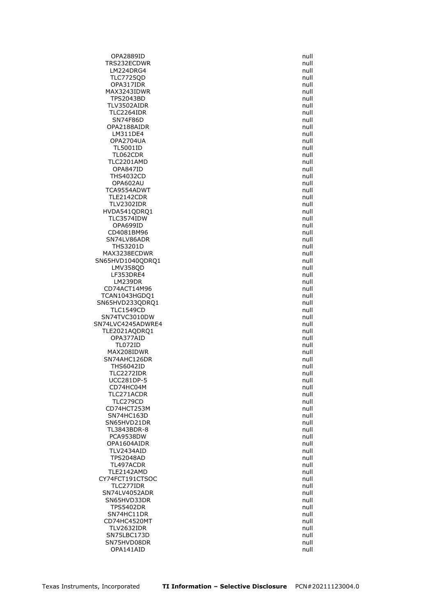OPA2889ID null TRS232ECDWR null and the contract of the contract of the contract of the contract of the contract of the contract of the contract of the contract of the contract of the contract of the contract of the contract of the contr LM224DRG4 null TLC7725QD null OPA317IDR MAX3243IDWR null TPS2043BD null and the contract of the contract of the contract of the contract of the contract of the contract of the contract of the contract of the contract of the contract of the contract of the contract of the contrac TLV3502AIDR null TLC2264IDR null SN74F86D null OPA2188AIDR null  $LM311DE4$ OPA2704UA null<br>TL5001ID null null null null null null **TL5001ID** TL062CDR null TLC2201AMD null OPA847ID null and the contract of the contract of the contract of the contract of the contract of the contract of the contract of the contract of the contract of the contract of the contract of the contract of the contract THS4032CD null OPA602AU null TCA9554ADWT **null** TLE2142CDR null TLV2302IDR null HVDA541QDRQ1 TLC3574IDW null OPA699ID null CD4081BM96 null and the contract of the contract of the contract of the contract of the contract of the contract of the contract of the contract of the contract of the contract of the contract of the contract of the contra SN74LV86ADR null and the state of the state of the state of the state of the state of the state of the state of the state of the state of the state of the state of the state of the state of the state of the state of the st THS3201D null MAX3238ECDWR null SN65HVD1040QDRQ1 LMV358QD null null null have to the matter of the matter of the matter of the matter of the matter of the matter of the matter of the matter of the matter of the matter of the matter of the matter of the matter of the matt  $LF353DRE4$ LM239DR null CD74ACT14M96 null TCAN1043HGDQ1 null SN65HVD233QDRQ1 null  $TLC1549CD$ SN74TVC3010DW null SN74LVC4245ADWRE4 null TLE2021AQDRQ1 null OPA377AID null TL072ID null MAX208IDWR null SN74AHC126DR THS6042ID null and the state of the state of the state of the state of the state of the state of the state of the state of the state of the state of the state of the state of the state of the state of the state of the stat TLC2272IDR null UCC281DP-5 null CD74HC04M null TLC271ACDR null TLC279CD null CD74HCT253M null SN74HC163D null SN65HVD21DR null<br>TL3843BDR-8 null null null null null null TL3843BDR-8 PCA9538DW null null and the set of the set of the set of the set of the set of the set of the set of the set o<br>DPA1604AIDR null and the set of the set of the set of the set of the set of the set of the set of the set of t OPA1604AIDR TLV2434AID null TPS2048AD null TL497ACDR null TLE2142AMD null CY74FCT191CTSOC null TLC277IDR null SN74LV4052ADR null SN65HVD33DR null TPS5402DR null SN74HC11DR null CD74HC4520MT null TLV2632IDR null SN75LBC173D null SN75HVD08DR null OPA141AID null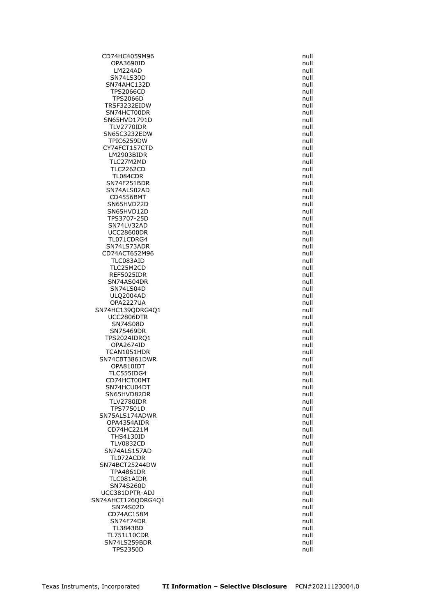CD74HC4059M96 null OPA3690ID null LM224AD null SN74LS30D<br>N74AHC132D null and the state of the state of the state of the state of the state of the state of the state of SN74AHC132D TPS2066CD null null and the contract of the contract of the contract of the contract of the contract of the contract of the contract of the contract of the contract of the contract of the contract of the contract of the co TPS2066D null TRSF3232EIDW null SN74HCT00DR null SN65HVD1791D null TLV2770IDR null SN65C3232EDW TPIC6259DW null null and the state of the state of the state of the state of the state of the state of the sta<br>The state of the state of the state of the state of the state of the state of the state of the state of the st CY74FCT157CTD LM2903BIDR null TLC27M2MD null TLC2262CD null and the contract of the contract of the contract of the contract of the contract of the contract of the contract of the contract of the contract of the contract of the contract of the contract of the contrac TL084CDR null SN74F251BDR null SN74ALS02AD null and the state of the state of the state of the state of the state of the state of the state of the state of the state of the state of the state of the state of the state of the state of the state of the st CD4556BMT null SN65HVD22D null SN65HVD12D TPS3707-25D null SN74LV32AD null UCC28600DR null TL071CDRG4 null SN74LS73ADR null CD74ACT652M96 null<br>TLC083AID null null null null null null TLC083AID TLC25M2CD null REF5025IDR SN74AS04DR null and the state of the state of the state of the state of the state of the state of the state of the state of the state of the state of the state of the state of the state of the state of the state of the sta SN74LS04D null and the state of the state of the state of the state of the state of the state of the state of the state of the state of the state of the state of the state of the state of the state of the state of the stat ULQ2004AD null OPA2227UA null SN74HC139QDRG4Q1 UCC2806DTR null SN74S08D null and the state of the state of the state of the state of the state of the state of the state of the state of the state of the state of the state of the state of the state of the state of the state of the state SN75469DR null TPS2024IDRQ1 null OPA2674ID null TCAN1051HDR null SN74CBT3861DWR OPA810IDT and the contract of the contract of the contract of the contract of the contract of the contract of the contract of the contract of the contract of the contract of the contract of the contract of the contract of TLC555IDG4 null CD74HCT00MT null SN74HCU04DT null and the state of the state of the state of the state of the state of the state of the state of the state of the state of the state of the state of the state of the state of the state of the state of the st SN65HVD82DR null and the state of the state of the state of the state of the state of the state of the state of the state of the state of the state of the state of the state of the state of the state of the state of the st TLV2780IDR null TPS77501D null SN75ALS174ADWR null OPA4354AIDR null CD74HC221M THS4130ID null **TLV0832CD** SN74ALS157AD null TL072ACDR null SN74BCT25244DW null TPA4861DR null TLC081AIDR null SN74S260D null UCC381DPTR-ADJ null SN74AHCT126QDRG4Q1 null null SN74S02D null CD74AC158M null and the contract of the contract of the contract of the contract of the contract of the contract of the contract of the contract of the contract of the contract of the contract of the contract of the contra SN74F74DR null TL3843BD null TL751L10CDR null SN74LS259BDR null TPS2350D null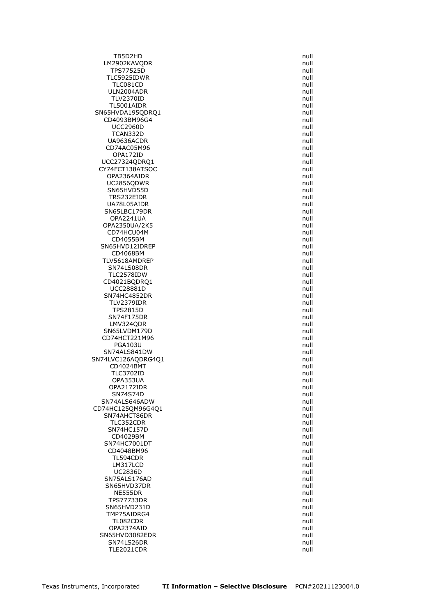TB5D2HD null LM2902KAVQDR null and the control of the control of the control of the control of the control of the control of the control of the control of the control of the control of the control of the control of the control of the c TPS77525D null TLC5925IDWR null  $TLC081CD$ ULN2004ADR null and the state of the state of the state of the state of the state of the state of the state of the state of the state of the state of the state of the state of the state of the state of the state of the sta TLV2370ID null TL5001AIDR null SN65HVDA195QDRQ1 null CD4093BM96G4 null UCC2960D null<br>TCAN332D null null null null null null TCAN332D UA9636ACDR null CD74AC05M96 OPA172ID null UCC27324QDRQ1 null CY74FCT138ATSOC null OPA2364AIDR null null and the contract of the contract of the contract of the contract of the contract of the contract of the contract of the contract of the contract of the contract of the contract of the contract of the UC2856QDWR null SN65HVD55D null null and the state of the state of the state of the state of the state of the state of the state of the state of the state of the state of the state of the state of the state of the state of the state of th TRS232EIDR null and the contract of the contract of the contract of the contract of the contract of the contract of the contract of the contract of the contract of the contract of the contract of the contract of the contra UA78L05AIDR null SN65LBC179DR OPA2241UA null and the contract of the contract of the contract of the contract of the contract of the contract of the contract of the contract of the contract of the contract of the contract of the contract of the contrac OPA2350UA/2K5 null CD74HCU04M null CD4055BM null SN65HVD12IDREP null CD4068BM null TLV5618AMDREP SN74LS08DR null<br>TLC2578IDW null null null null null null TLC2578IDW CD4021BQDRQ1 null UCC28881D null SN74HC4852DR null TLV2379IDR null **TPS2815D** SN74F175DR null and the state of the state of the state of the state of the state of the state of the state of the state of the state of the state of the state of the state of the state of the state of the state of the sta LMV324QDR null SN65LVDM179D null CD74HCT221M96 null PGA103U null SN74ALS841DW null SN74LVC126AQDRG4Q1 CD4024BMT null TLC3702ID null OPA353UA null OPA2172IDR null SN74S74D null SN74ALS646ADW null null and the state of the state of the state of the state of the state of the state of the state of the state of the state of the state of the state of the state of the state of the state of the state of CD74HC125QM96G4Q1 null SN74AHCT86DR null TLC352CDR null SN74HC157D CD4029BM null SN74HC7001DT CD4048BM96 **null** TL594CDR null LM317LCD null null and the state of the state of the state of the state of the state of the state of the state of the state of the state of the state of the state of the state of the state of the state of the state of the UC2836D null SN75ALS176AD null SN65HVD37DR null NE555DR null TPS77733DR null SN65HVD231D null TMP75AIDRG4 null TL082CDR null OPA2374AID null SN65HVD3082EDR null SN74LS26DR null TLE2021CDR null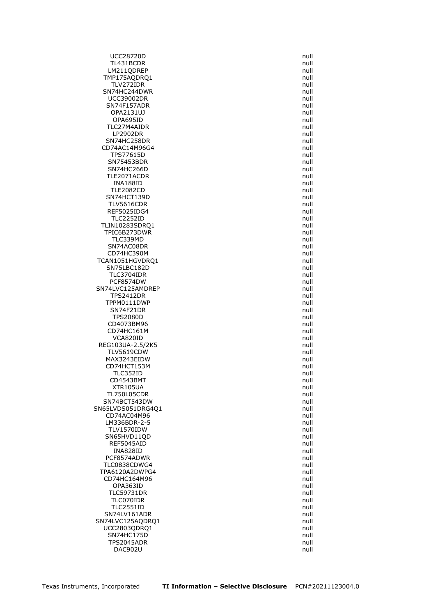UCC28720D null TL431BCDR null LM211QDREP null TMP175AQDRQ1 null TLV272IDR SN74HC244DWR null UCC39002DR null SN74F157ADR null OPA2131UJ null OPA695ID null TLC27M4AIDR null  $LP2902DR$ SN74HC258DR null CD74AC14M96G4 TPS77615D null SN75453BDR null SN74HC266D null and the state of the state of the state of the state of the state of the state of the state of the state of the state of the state of the state of the state of the state of the state of the state of the sta TLE2071ACDR null INA188ID null TLE2082CD null SN74HCT139D null TLV5616CDR null REF5025IDG4 TLC2252ID null TLIN10283SDRQ1 null TPIC6B273DWR null TLC339MD null SN74AC08DR null and the state of the state of the state of the state of the state of the state of the state of the state of the state of the state of the state of the state of the state of the state of the state of the sta CD74HC390M null<br>AN1051HGVDRQ1 and the control of the control of the control of the control of the control of the control of th TCAN1051HGVDRQ1 SN75LBC182D null null and the state of the state of the state of the state of the state of the state of the state of the state of the state of the state of the state of the state of the state of the state of the state of t TLC3704IDR PCF8574DW null SN74LVC125AMDREP null TPS2412DR null TPPM0111DWP null SN74F21DR TPS2080D null CD4073BM96 **null** CD74HC161M null VCA820ID null REG103UA-2.5/2K5 null TLV5619CDW null MAX3243EIDW CD74HCT153M null TLC352ID null CD4543BMT null XTR105UA null TL750L05CDR null SN74BCT543DW null SN65LVDS051DRG4Q1 null null CD74AC04M96 **null** LM336BDR-2-5 null **TLV1570IDW** SN65HVD11QD null REF5045AID INA828ID null PCF8574ADWR null and the contract of the contract of the contract of the contract of the contract of the contract of the contract of the contract of the contract of the contract of the contract of the contract of the contr TLC0838CDWG4 null TPA6120A2DWPG4 null CD74HC164M96 null OPA363ID null TLC59731DR null TLC070IDR null TLC2551ID null SN74LV161ADR null SN74LVC125AQDRQ1 null UCC2803QDRQ1 null SN74HC175D null TPS2045ADR null DAC902U null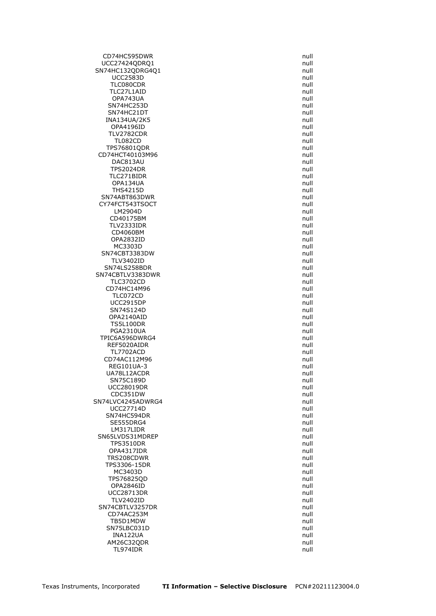CD74HC595DWR null UCC27424QDRQ1 null SN74HC132QDRG4Q1 null UCC2583D null<br>TLC080CDR null and the state of the state of the state of the state of the state of the state of the state of TLC080CDR TLC27L1AID null OPA743UA null SN74HC253D null SN74HC21DT null INA134UA/2K5 null OPA4196ID null null and the control of the control of the control of the control of the control of the control o<br>TLV2782CDR null and the control of the control of the control of the control of the control of the control of TLV2782CDR TL082CD null<br>S76801QDR null null null null null TPS76801QDR CD74HCT40103M96 null DAC813AU null TPS2024DR null TLC271BIDR null OPA134UA null THS4215D null SN74ABT863DWR null and the state of the state of the state of the state of the state of the state of the state of the state of the state of the state of the state of the state of the state of the state of the state of the CY74FCT543TSOCT null LM2904D CD40175BM null and the contract of the contract of the contract of the contract of the contract of the contract of the contract of the contract of the contract of the contract of the contract of the contract of the contrac TLV2333IDR null CD4060BM null OPA2832ID null MC3303D null and the contract of the contract of the contract of the contract of the contract of the contract of the contract of the contract of the contract of the contract of the contract of the contract of the contract SN74CBT3383DW null<br>TLV3402ID null null null null TLV3402ID SN74LS258BDR null SN74CBTLV3383DWR TLC3702CD null CD74HC14M96 **null** TLC072CD null UCC2915DP null<br>SN74S124D null null null null null null SN74S124D OPA2140AID null and the contract of the contract of the contract of the contract of the contract of the contract of the contract of the contract of the contract of the contract of the contract of the contract of the contra TS5L100DR null PGA2310UA null and the state of the state of the state of the state of the state of the state of the state of the state of the state of the state of the state of the state of the state of the state of the state of the stat TPIC6A596DWRG4 null REF5020AIDR null and the contract of the contract of the contract of the contract of the contract of the contract of the contract of the contract of the contract of the contract of the contract of the contract of the contr TL7702ACD null CD74AC112M96 REG101UA-3 null UA78L12ACDR null SN75C189D null UCC28019DR null CDC351DW null SN74LVC4245ADWRG4 null UCC27714D null SN74HC594DR null and the state of the state of the state of the state of the state of the state of the state of the state of the state of the state of the state of the state of the state of the state of the state of the st SE555DRG4 null LM317LIDR SN65LVDS31MDREP null<br>TPS3510DR null null null **TPS3510DR** OPA4317IDR null TRS208CDWR null and the contract of the contract of the contract of the contract of the contract of the contract of the contract of the contract of the contract of the contract of the contract of the contract of the contra TPS3306-15DR null MC3403D null TPS76825OD null OPA2846ID null UCC28713DR null TLV2402ID null SN74CBTLV3257DR null CD74AC253M and the contract of the contract of the contract of the contract of the contract of the contract of the contract of the contract of the contract of the contract of the contract of the contract of the contract of TB5D1MDW null SN75LBC031D null INA122UA null AM26C32ODR null TL974IDR null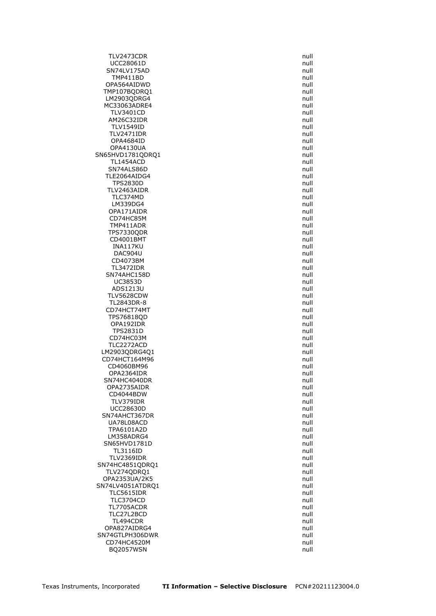TLV2473CDR null UCC28061D null SN74LV175AD null and the state of the state of the state of the state of the state of the state of the state of the state of the state of the state of the state of the state of the state of the state of the state of the st TMP411BD null OPA564AIDWD TMP107BQDRQ1 null LM2903QDRG4 null MC33063ADRE4 null TLV3401CD null AM26C32IDR null TLV1549ID null null and the matrix of the matrix of the matrix of the matrix of the matrix of the matrix of th<br>TLV2471IDR  $TLV2471IDR$ OPA4684ID null **OPA4130UA** SN65HVD1781QDRQ1 null null TL1454ACD null SN74ALS86D null TLE2064AIDG4 null TPS2830D null TLV2463AIDR null TLC374MD null LM339DG4 null OPA171AIDR CD74HC85M null TMP411ADR null TPS7330QDR null CD4001BMT null INA117KU null DAC904U null CD4073BM TL3472IDR null SN74AHC158D UC3853D null ADS1213U null TLV5628CDW null TL2843DR-8 null<br>CD74HCT74MT null CD74HCT74MT TPS76818QD null OPA192IDR null TPS2831D null and the state of the state of the state of the state of the state of the state of the state of the state of the state of the state of the state of the state of the state of the state of the state of the state CD74HC03M null TLC2272ACD null LM2903QDRG4Q1 null CD74HCT164M96 CD4060BM96 **null** OPA2364IDR null SN74HC4040DR null OPA2735AIDR null CD4044BDW null TLV379IDR null UCC28630D null SN74AHCT367DR null UA78L08ACD null null and the state of the state of the state of the state of the state of the state of the state of the state of the state of the state of the state of the state of the state of the state of the state of th TPA6101A2D LM358ADRG4 null SN65HVD1781D TL3116ID null TLV2369IDR null SN74HC4851QDRQ1 null TLV274QDRQ1 null OPA2353UA/2K5 null SN74LV4051ATDRQ1 null TLC5615IDR null TLC3704CD null TL7705ACDR null TLC27L2BCD null and the state of the state of the state of the state of the state of the state of the state of the state of the state of the state of the state of the state of the state of the state of the state of the sta TL494CDR null OPA827AIDRG4 null SN74GTLPH306DWR null CD74HC4520M null BQ2057WSN null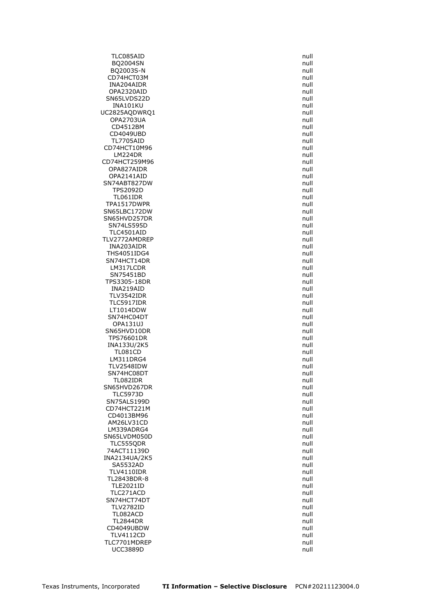TLC085AID null BQ2004SN null BQ2003S-N null CD74HCT03M null<br>INA204AIDR null null null null null INA204AIDR OPA2320AID null and the contract of the contract of the contract of the contract of the contract of the contract of the contract of the contract of the contract of the contract of the contract of the contract of the contra SN65LVDS22D null INA101KU null UC2825AQDWRQ1 null OPA2703UA null and the contract of the contract of the contract of the contract of the contract of the contract of the contract of the contract of the contract of the contract of the contract of the contract of the contrac CD4512BM null CD4049UBD TL7705AID null CD74HCT10M96 LM224DR null CD74HCT259M96 null OPA827AIDR null OPA2141AID null SN74ABT827DW null TPS2092D null TL061IDR null TPA1517DWPR null SN65LBC172DW SN65HVD257DR null SN74LS595D null and the state of the state of the state of the state of the state of the state of the state of the state of the state of the state of the state of the state of the state of the state of the state of the sta TLC4501AID null TLV2772AMDREP null INA203AIDR null THS4051IDG4 null<br>SN74HCT14DR null null null null null SN74HCT14DR LM317LCDR null SN75451BD TPS3305-18DR null INA219AID null TLV3542IDR null TLC5917IDR null<br>LT1014DDW null null null null null null  $LT1014DDW$ SN74HC04DT and the state of the state of the state of the state of the state of the state of the state of the state of the state of the state of the state of the state of the state of the state of the state of the state of OPA131UJ null SN65HVD10DR null TPS76601DR null INA133U/2K5 null TL081CD null  $LM311DRG4$ TLV2548IDW null SN74HC08DT null and the state of the state of the state of the state of the state of the state of the state of the state of the state of the state of the state of the state of the state of the state of the state of the sta TL082IDR null SN65HVD267DR null TLC5973D null SN75ALS199D null CD74HCT221M null CD4013BM96 null and the contract of the contract of the contract of the contract of the contract of the contract of the contract of the contract of the contract of the contract of the contract of the contract of the contra AM26LV31CD<br>LM339ADRG4 null LM339ADRG4 SN65LVDM050D null null and the state of the state of the state of the state of the state of the state of the s<br>TLC555QDR null and the state of the state of the state of the state of the state of the state of the state of TLC555QDR 74ACT11139D null INA2134UA/2K5 null SA5532AD null TLV4110IDR null TL2843BDR-8 null TLE2021ID null TLC271ACD null SN74HCT74DT null TLV2782ID null TL082ACD null and the state of the state of the state of the state of the state of the state of the state of the state of the state of the state of the state of the state of the state of the state of the state of the state TL2844DR null CD4049UBDW null and the contract of the contract of the contract of the contract of the contract of the contract of the contract of the contract of the contract of the contract of the contract of the contract of the contra TLV4112CD null TLC7701MDREP null UCC3889D null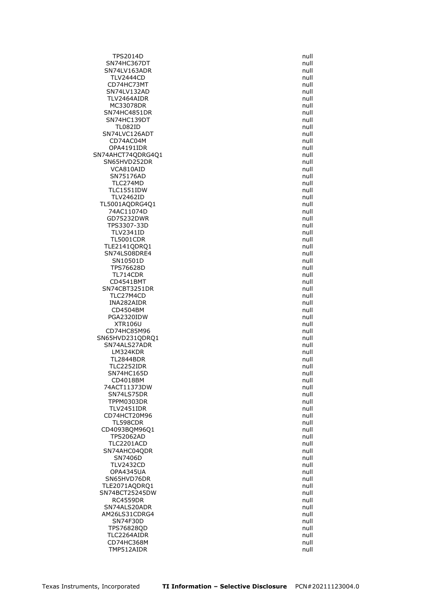TPS2014D null SN74HC367DT null SN74LV163ADR null TLV2444CD null CD74HC73MT SN74LV132AD null TLV2464AIDR null MC33078DR null SN74HC4851DR null SN74HC139DT null TL082ID null SN74LVC126ADT CD74AC04M null<br>OPA4191IDR null null null null null null null OPA4191IDR SN74AHCT74QDRG4Q1 null SN65HVD252DR null VCA810AID null SN75176AD null TLC274MD null TLC1551IDW null TLV2462ID null TL5001AQDRG4Q1 null 74AC11074D GD75232DWR null and the state of the state of the state of the state of the state of the state of the state of the state of the state of the state of the state of the state of the state of the state of the state of the sta TPS3307-33D null TLV2341ID null TL5001CDR null TLE2141ODRO1 null SN74LS08DRE4 null<br>SN10501D null null null null null SN10501D TPS76628D null null and the state of the state of the state of the state of the state of the state of the state of the state of the state of the state of the state of the state of the state of the state of the state of the TL714CDR CD4541BMT null SN74CBT3251DR null TLC27M4CD null INA282AIDR null<br>CD4504BM null cD4504BM null CD4504BM PGA2320IDW null and the contract of the contract of the contract of the contract of the contract of the contract of the contract of the contract of the contract of the contract of the contract of the contract of the contra XTR106U null CD74HC85M96 **null** SN65HVD231QDRQ1 null SN74ALS27ADR null null and the state of the state of the state of the state of the state of the state of the state of the state of the state of the state of the state of the state of the state of the state of the state of LM324KDR null TL2844BDR TLC2252IDR null SN74HC165D null CD4018BM null 74ACT11373DW null SN74LS75DR null TPPM0303DR null TLV2451IDR null CD74HCT20M96 null and the control of the control of the control of the control of the control of the control of the control of the control of the control of the control of the control of the control of the control of the c TL598CDR null CD4093BQM96Q1 TPS2062AD null null and the state of the state of the state of the state of the state of the state of the state of the state of the state of the state of the state of the state of the state of the state of the state of the TLC2201ACD SN74AHC04QDR null and the state of the state of the state of the state of the state of the state of the state of the state of the state of the state of the state of the state of the state of the state of the state of the s SN7406D null and the state of the state of the state of the state of the state of the state of the state of the state of the state of the state of the state of the state of the state of the state of the state of the state TLV2432CD null and the state of the state of the state of the state of the state of the state of the state of the state of the state of the state of the state of the state of the state of the state of the state of the stat OPA4345UA null and the contract of the contract of the contract of the contract of the contract of the contract of the contract of the contract of the contract of the contract of the contract of the contract of the contrac SN65HVD76DR null TLE2071AQDRQ1 null SN74BCT25245DW null RC4559DR null SN74ALS20ADR null and the state of the state of the state of the state of the state of the state of the state of the state of the state of the state of the state of the state of the state of the state of the state of the s AM26LS31CDRG4 null SN74F30D null TPS76828QD null TLC2264AIDR null and the state of the state of the state of the state of the state of the state of the state of the state of the state of the state of the state of the state of the state of the state of the state of the st CD74HC368M null TMP512AIDR null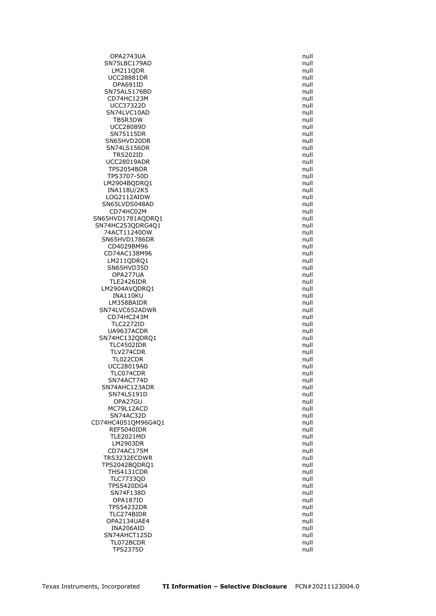OPA2743UA null SN75LBC179AD null LM211QDR null UCC28881DR null<br>
OPA691ID null null null null null null OPA691ID SN75ALS176BD null CD74HC123M null UCC37322D null SN74LVC10AD null and the state of the state of the state of the state of the state of the state of the state of the state of the state of the state of the state of the state of the state of the state of the state of the st TB5R3DW null UCC28089D null<br>SN75115DR null null null null null null SN75115DR SN65HVD20DR null and the state of the state of the state of the state of the state of the state of the state o<br>SN74LS156DR null and the state of the state of the state of the state of the state of the state of the state o SN74LS156DR TRS202ID null UCC28019ADR null TPS2054BDR null TPS3707-50D null LM2904BQDRQ1 null INA118U/2K5 null LOG2112AIDW null SN65LVDS048AD null<br>CD74HC02M null compared to the compared of the compared of the compared of the compared of the compared of the compared of the compared of the compared of the compared of the compared of the compared of CD74HC02M SN65HVD1781AQDRQ1 null SN74HC253QDRG4Q1 null 74ACT11240DW null and the contract of the contract of the contract of the contract of the contract of the contract of the contract of the contract of the contract of the contract of the contract of the contract of the cont SN65HVD1786DR null CD4029BM96 null and the contract of the contract of the contract of the contract of the contract of the contract of the contract of the contract of the contract of the contract of the contract of the contract of the contra CD74AC138M96 null  $LM211QDRQ1$ SN65HVD35D null OPA277UA TLE2426IDR null and the state of the state of the state of the state of the state of the state of the state of the state of the state of the state of the state of the state of the state of the state of the state of the sta LM2904AVQDRQ1 null INA110KU null LM358BAIDR null SN74LVC652ADWR CD74HC243M and the control of the control of the control of the control of the control of the control of the control of the control of the control of the control of the control of the control of the control of the control TLC2272ID null UA9637ACDR null and the state of the state of the state of the state of the state of the state of the state of the state of the state of the state of the state of the state of the state of the state of the state of the sta SN74HC132QDRQ1 null TLC4502IDR null TLV274CDR null<br>TL022CDR null null null null null null TL022CDR UCC28019AD null TLC074CDR null SN74ACT74D null null and the state of the state of the state of the state of the state of the state of the state of the state of the state of the state of the state of the state of the state of the state of the state of th SN74AHC123ADR null SN74LS191D null OPA27GU null MC79L12ACD null SN74AC32D null null and the state of the state of the state of the state of the state of the state of the state of the state of the state of the state of the state of the state of the state of the state of the state of the CD74HC4051QM96G4Q1 null<br>REF5040IDR null null null null REF5040IDR TLE2021MD null LM2903DR CD74AC175M null TRS3232ECDWR null null and the matrix of the matrix of the matrix of the matrix of the matrix of the matrix of the matrix of the matrix of the matrix of the matrix of the matrix of the matrix of the matrix of the matrix of TPS2042BQDRQ1 null THS4131CDR null TLC7733OD null TPS5420DG4 null SN74F138D null OPA187ID null TPS54232DR null TLC274BIDR null and the state of the state of the state of the state of the state of the state of the state of the state of the state of the state of the state of the state of the state of the state of the state of the sta OPA2134UAE4 null INA206AID null and the contract of the contract of the contract of the contract of the contract of the contract of the contract of the contract of the contract of the contract of the contract of the contract of the contrac SN74AHCT125D null TL072BCDR null TPS2375D null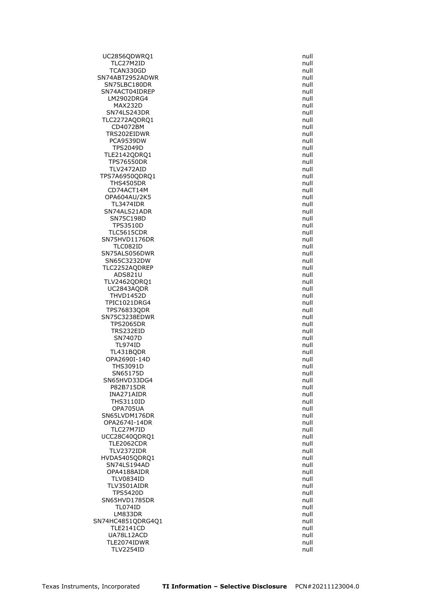UC2856QDWRQ1 null TLC27M2ID null TCAN330GD null and the state of the state of the state of the state of the state of the state of the state of the state of the state of the state of the state of the state of the state of the state of the state of the stat SN74ABT2952ADWR null<br>SN75LBC180DR null null null SN75LBC180DR SN74ACT04IDREP null null and the state of the state of the state of the state of the state of the state of the LM2902DRG4 null null and the state of the state of the state of the state of the state of the state of the state of the state of the state of the state of the state of the state of the state of the state of the state of th MAX232D null SN74LS243DR null TLC2272AODRO1 null CD4072BM null TRS202EIDWR PCA9539DW null null and the set of the set of the set of the set of the set of the set of the set of the set o<br>Present the set of the set of the set of the set of the set of the set of the set of the set of the set of the **TPS2049D** TLE2142QDRQ1 null TPS76550DR null TLV2472AID null TPS7A6950QDRQ1 null THS4505DR null CD74ACT14M null OPA604AU/2K5 null TL3474IDR null SN74ALS21ADR SN75C198D null TPS3510D null TLC5615CDR null SN75HVD1176DR null TLC082ID null SN75ALS056DWR<br>SN65C3232DW null null null null null null null SN65C3232DW TLC2252AQDREP null<br>ADS821U and and an analysis of the contract of the contract of the contract of the contract of the contract o  $ADS821U$ TLV2462QDRQ1 null UC2843AQDR null THVD1452D null TPIC1021DRG4 null<br>TPS76833ODR null TPS76833QDR SN75C3238EDWR null and the state of the state of the state of the state of the state of the state of the state of the state of the state of the state of the state of the state of the state of the state of the state of the TPS2065DR null TRS232EID null SN7407D null TL974ID null TL431BQDR null OPA2690I-14D THS3091D null SN65175D null SN65HVD33DG4 null P82B715DR null INA271AIDR null THS3110ID null OPA705UA null and the contract of the contract of the contract of the contract of the contract of the contract of the contract of the contract of the contract of the contract of the contract of the contract of the contract SN65LVDM176DR null OPA2674I-14DR null<br>TLC27M7ID null null null null TLC27M7ID UCC28C40QDRQ1 null<br>TLE2062CDR null null null null null  $TLE2062CDR$ TLV2372IDR null HVDA5405QDRQ1 null SN74LS194AD null and the state of the state of the state of the state of the state of the state of the state of the state of the state of the state of the state of the state of the state of the state of the state of the st OPA4188AIDR null TLV0834ID null TLV3501AIDR null TPS5420D null SN65HVD1785DR null TL074ID null LM833DR null and the state of the state of the state of the state of the state of the state of the state of the state of the state of the state of the state of the state of the state of the state of the state of the state SN74HC4851QDRG4Q1 null null TLE2141CD null UA78L12ACD null TLE2074IDWR null TLV2254ID null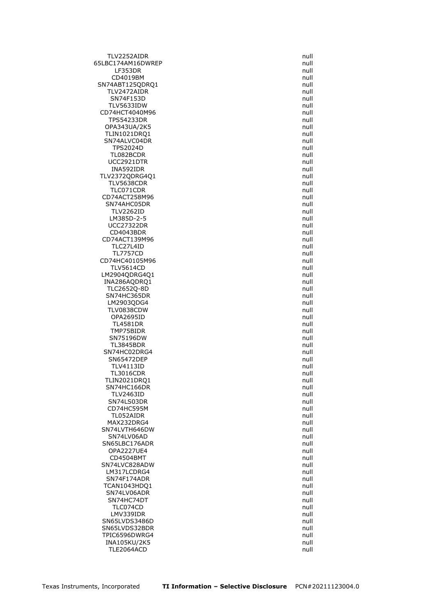TLV2252AIDR null 65LBC174AM16DWREP null null and the mail of the mail of the mail of the mail of the mail of the mail of the mail LF353DR null CD4019BM null SN74ABT125QDRQ1 TLV2472AIDR null SN74F153D null TLV5633IDW null CD74HCT4040M96 null TPS54233DR null OPA343UA/2K5 null<br>TLIN1021DRO1 null and the contract of the contract of the contract of the contract of the contract of the contr TLIN1021DRO1 SN74ALVC04DR null<br>TPS2024D null null null null null null TPS2024D TL082BCDR null UCC2921DTR null INA592IDR null TLV2372QDRG4Q1 null TLV5638CDR null null and the state of the state of the state of the state of the state of the state of the state of the state of the state of the state of the state of the state of the state of the state of the state of th TLC071CDR null CD74ACT258M96 null SN74AHC05DR null **TLV2262ID** LM385D-2-5 null UCC27322DR null CD4043BDR null and the contract of the contract of the contract of the contract of the contract of the contract of the contract of the contract of the contract of the contract of the contract of the contract of the contrac CD74ACT139M96 null TLC27L4ID null TL7757CD null CD74HC40105M96 TLV5614CD null LM2904QDRG4Q1 INA286AQDRQ1 null TLC2652Q-8D null SN74HC365DR null LM2903QDG4 null TLV0838CDW OPA2695ID null and the contract of the contract of the contract of the contract of the contract of the contract of the contract of the contract of the contract of the contract of the contract of the contract of the contrac TL4581DR null TMP75BIDR null SN75196DW null TL3845BDR null SN74HC02DRG4 null<br>SN65472DEP null and the state of the state of the state of the state of the state of the state of the state of SN65472DEP TLV4113ID null TL3016CDR null TLIN2021DRQ1 null SN74HC166DR null TLV2463ID null SN74LS03DR null CD74HC595M null TL052AIDR null and the state of the state of the state of the state of the state of the state of the state of the state of the state of the state of the state of the state of the state of the state of the state of the stat MAX232DRG4 null<br>N74LVTH646DW null SN74LVTH646DW SN74LV06AD null null and the state of the state of the state of the state of the state of the state of the sta<br>N65LBC176ADR null and the state of the state of the state of the state of the state of the state of the state SN65LBC176ADR OPA2227UE4 null CD4504BMT null SN74LVC828ADW null LM317LCDRG4 null SN74F174ADR null TCAN1043HDQ1 null SN74LV06ADR null and the state of the state of the state of the state of the state of the state of the state of the state of the state of the state of the state of the state of the state of the state of the state of the st SN74HC74DT null and the state of the state of the state of the state of the state of the state of the state of the state of the state of the state of the state of the state of the state of the state of the state of the sta TLC074CD null LMV339IDR null SN65LVDS3486D null SN65LVDS32BDR null null and the state of the state of the state of the state of the state of the state of the state of the state of the state of the state of the state of the state of the state of the state of the state of TPIC6596DWRG4 null INA105KU/2K5 null TLE2064ACD null null and the state of the state of the state of the state of the state of the state of the state of the state of the state of the state of the state of the state of the state of the state of the state of th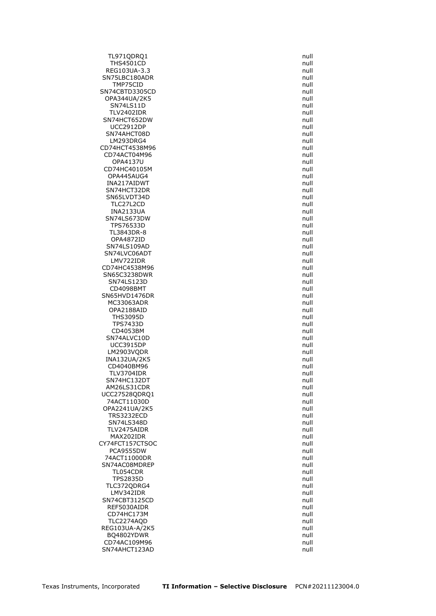TL971QDRQ1 null THS4501CD null REG103UA-3.3 null SN75LBC180ADR null<br>TMP75CID null null null null null TMP75CID SN74CBTD3305CD null OPA344UA/2K5 null SN74LS11D null TLV2402IDR null SN74HCT652DW null UCC2912DP null<br>N74AHCT08D null and the state of the state of the state of the state of the state of the state of the state of SN74AHCT08D LM293DRG4 null CD74HCT4538M96 CD74ACT04M96 null OPA4137U null CD74HC40105M null OPA445AUG4 null INA217AIDWT null SN74HCT32DR null SN65LVDT34D null TLC27L2CD null<br>INA2133UA null **INA2133UA** SN74LS673DW null TPS76533D null TL3843DR-8 null OPA4872ID null SN74LS109AD null SN74LVC06ADT null LMV722IDR CD74HC4538M96 null SN65C3238DWR SN74LS123D null CD4098BMT null SN65HVD1476DR null MC33063ADR null OPA2188AID THS3095D null and the state of the state of the state of the state of the state of the state of the state of the state of the state of the state of the state of the state of the state of the state of the state of the state TPS7433D null CD4053BM null SN74ALVC10D null and the state of the state of the state of the state of the state of the state of the state of the state of the state of the state of the state of the state of the state of the state of the state of the st UCC3915DP null LM2903VQDR null INA132UA/2K5 CD4040BM96 null and contract the contract of the contract of the contract of the contract of the contract of the contract of the contract of the contract of the contract of the contract of the contract of the contract of t TLV3704IDR null SN74HC132DT null AM26LS31CDR null UCC27528QDRQ1 null 74ACT11030D null OPA2241UA/2K5 null TRS3232ECD null SN74LS348D null<br>TLV2475AIDR null and the state of the state of the state of the state of the state of the state of the state o TLV2475AIDR MAX202IDR null CY74FCT157CTSOC PCA9555DW null 74ACT11000DR null SN74AC08MDREP null null and the state of the state of the state of the state of the state of the state of the state of the state of the state of the state of the state of the state of the state of the state of the state of TL054CDR null TPS2835D null TLC372QDRG4 null LMV342IDR null SN74CBT3125CD null REF5030AIDR null and the contract of the contract of the contract of the contract of the contract of the contract of the contract of the contract of the contract of the contract of the contract of the contract of the contr CD74HC173M null TLC2274AQD null REG103UA-A/2K5 null BQ4802YDWR null and the state of the state of the state of the state of the state of the state of the state of the state of the state of the state of the state of the state of the state of the state of the state of the sta CD74AC109M96 null SN74AHCT123AD null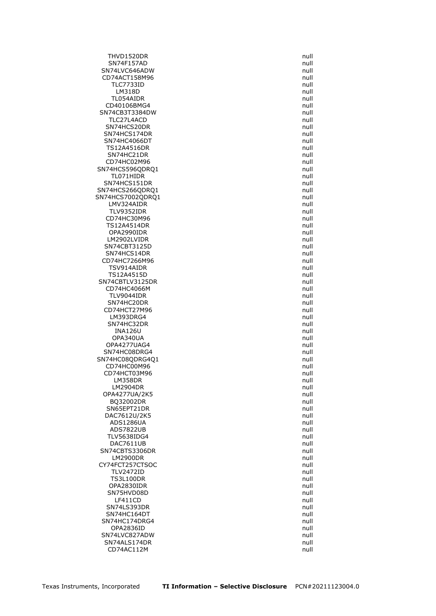THVD1520DR null SN74F157AD null SN74LVC646ADW null and the state of the state of the state of the state of the state of the state of the state of the state of the state of the state of the state of the state of the state of the state of the state of the CD74ACT158M96 null<br>TLC7733ID null null null null null null **TLC7733ID** LM318D null TL054AIDR null CD40106BMG4 null SN74CB3T3384DW null TLC27L4ACD null SN74HCS20DR<br>SN74HCS174DR null<br>SN74HCS174DR SN74HCS174DR SN74HC4066DT<br>TS12A4516DR null null null null null null TS12A4516DR SN74HC21DR null CD74HC02M96 **null** SN74HCS596QDRQ1 null TL071HIDR null SN74HCS151DR null SN74HCS266QDRQ1 null SN74HCS7002QDRQ1 null LMV324AIDR null<br>TLV9352IDR null null null null null null TLV9352IDR CD74HC30M96 **null** TS12A4514DR null OPA2990IDR null LM2902LVIDR null SN74CBT3125D null SN74HCS14DR null CD74HC7266M96 TSV914AIDR null TS12A4515D SN74CBTLV3125DR null CD74HC4066M null TLV9044IDR null SN74HC20DR null CD74HCT27M96 LM393DRG4 null and the state of the state of the state of the state of the state of the state of the state of the state of the state of the state of the state of the state of the state of the state of the state of the stat SN74HC32DR null INA126U null and the control of the control of the control of the control of the control of the control of the control of the control of the control of the control of the control of the control of the control of the contro OPA340UA null OPA4277UAG4 null SN74HC08DRG4 null null and the state of the state of the state of the state of the state of the state of the state of the state of the state of the state of the state of the state of the state of the state of the state of SN74HC08QDRG4Q1 null CD74HC00M96 **null** CD74HCT03M96 null LM358DR null LM2904DR null OPA4277UA/2K5 null BQ32002DR null SN65EPT21DR null DAC7612U/2K5 null ADS1286UA null<br>ADS7822UB null and the state of the state of the state of the state of the state of the state of the state of ADS7822UB TLV5638IDG4 null DAC7611UB SN74CBTS3306DR null LM2900DR null CY74FCT257CTSOC null TLV2472ID null TS3L100DR null OPA2830IDR null SN75HVD08D null and the state of the state of the state of the state of the state of the state of the state of the state of the state of the state of the state of the state of the state of the state of the state of the sta LF411CD null SN74LS393DR null SN74HC164DT null SN74HC174DRG4 null OPA2836ID null SN74LVC827ADW null SN74ALS174DR null CD74AC112M null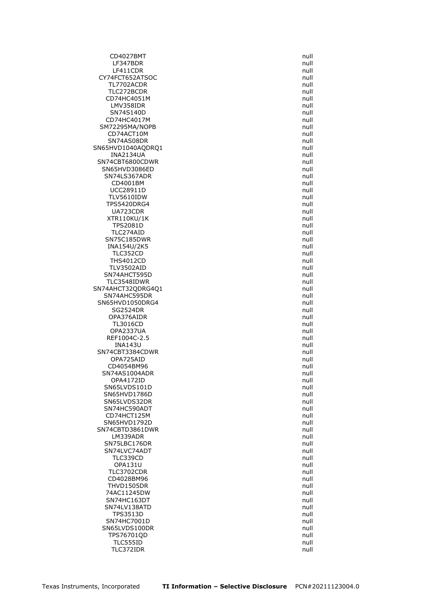CD4027BMT null LF347BDR null LF411CDR null and the contract of the contract of the contract of the contract of the contract of the contract of the contract of the contract of the contract of the contract of the contract of the contract of the contract CY74FCT652ATSOC null<br>TL7702ACDR null null null null null TL7702ACDR TLC272BCDR null CD74HC4051M null LMV358IDR null SN74S140D null CD74HC4017M null SM72295MA/NOPB null  $CD74ACT10M$ SN74AS08DR null SN65HVD1040AQDRQ1 INA2134UA null SN74CBT6800CDWR null and the state of the state of the state of the state of the state of the state of the state of the state of the state of the state of the state of the state of the state of the state of the state of th SN65HVD3086ED null and the state of the state of the state of the state of the state of the state of the state of the state of the state of the state of the state of the state of the state of the state of the state of the SN74LS367ADR null null and the state of the state of the state of the state of the state of the state of the state of the state of the state of the state of the state of the state of the state of the state of the state of CD4001BM null UCC28911D null TLV5610IDW null TPS5420DRG4 null UA723CDR XTR110KU/1K null TPS2081D null TLC274AID null and the contract of the contract of the contract of the contract of the contract of the contract of the contract of the contract of the contract of the contract of the contract of the contract of the contrac SN75C185DWR null INA154U/2K5 null TLC352CD null **THS4012CD** TLV3502AID null SN74AHCT595D TLC3548IDWR null SN74AHCT32QDRG4Q1 null SN74AHC595DR null SN65HVD1050DRG4 null<br>SG2524DR null null SG2524DR OPA376AIDR null and the contract of the contract of the contract of the contract of the contract of the contract of the contract of the contract of the contract of the contract of the contract of the contract of the contra TL3016CD null OPA2337UA null REF1004C-2.5 null INA143U null SN74CBT3384CDWR null<br>
OPA725AID null OPA725AID CD4054BM96 **null** SN74AS1004ADR null OPA4172ID null SN65LVDS101D null SN65HVD1786D null and the state of the state of the state of the state of the state of the state of the state of the state of the state of the state of the state of the state of the state of the state of the state of the s SN65LVDS32DR null SN74HC590ADT null null and the state of the state of the state of the state of the state of the state of the state of the state of the state of the state of the state of the state of the state of the state of the state of CD74HCT125M null SN65HVD1792D null SN74CBTD3861DWR LM339ADR null SN75LBC176DR SN74LVC74ADT null null and the state of the state of the state of the state of the state of the state of the state of the state of the state of the state of the state of the state of the state of the state of the state of TLC339CD null OPA131U null TLC3702CDR null CD4028BM96 null THVD1505DR null 74AC11245DW null SN74HC163DT null SN74LV138ATD null TPS3513D null SN74HC7001D null SN65LVDS100DR null TPS76701QD null TLC555ID null TLC372IDR null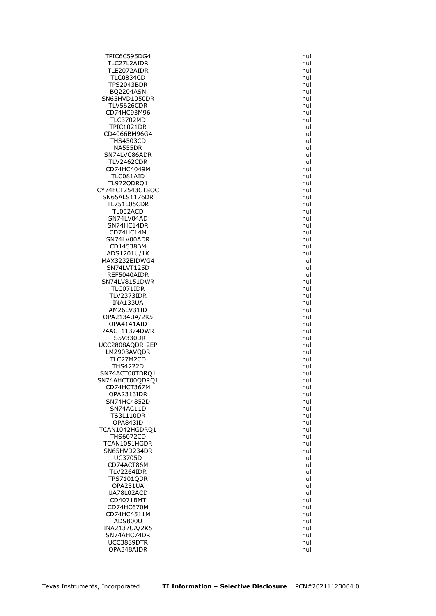TPIC6C595DG4 null TLC27L2AIDR null TLE2072AIDR null TLC0834CD null TPS2043BDR BQ2204ASN null SN65HVD1050DR null TLV5626CDR null CD74HC93M96 null and the contract of the contract of the contract of the contract of the contract of the contract of the contract of the contract of the contract of the contract of the contract of the contract of the contr TLC3702MD null and the contract of the contract of the contract of the contract of the contract of the contract of the contract of the contract of the contract of the contract of the contract of the contract of the contrac TPIC1021DR null CD4066BM96G4 THS4503CD null NA555DR SN74LVC86ADR null null and the state of the state of the state of the state of the state of the state of the state of the state of the state of the state of the state of the state of the state of the state of the state of TLV2462CDR null CD74HC4049M and the contract of the contract of the contract of the contract of the contract of the contract of the contract of the contract of the contract of the contract of the contract of the contract of the contract o TLC081AID null TL972QDRQ1 null CY74FCT2543CTSOC null SN65ALS1176DR null TL751L05CDR null<br>TL052ACD null null null null null null TL052ACD SN74LV04AD null and the state of the state of the state of the state of the state of the state of the state of the state of the state of the state of the state of the state of the state of the state of the state of the sta SN74HC14DR null CD74HC14M null SN74LV00ADR null and the state of the state of the state of the state of the state of the state of the state of the state of the state of the state of the state of the state of the state of the state of the state of the st CD14538BM null ADS1201U/1K null MAX3232EIDWG4 SN74LVT125D null REF5040AIDR SN74LV8151DWR null TLC071IDR null TLV2373IDR null INA133UA null AM26LV31ID OPA2134UA/2K5 null OPA4141AID null 74ACT11374DWR null TS5V330DR null UCC2808AQDR-2EP null LM2903AVQDR null TLC27M2CD THS4222D null SN74ACT00TDRQ1 null SN74AHCT00QDRQ1 null null CD74HCT367M null OPA2313IDR null SN74HC4852D null SN74AC11D null TS3L110DR null OPA843ID null<br>N1042HGDRO1 null and the state of the state of the state of the state of the state of the state of the state o TCAN1042HGDRO1 THS6072CD null TCAN1051HGDR SN65HVD234DR null and the state of the state of the state of the state of the state of the state of the state of the state of the state of the state of the state of the state of the state of the state of the state of the s UC3705D null and the contract of the contract of the contract of the contract of the contract of the contract of the contract of the contract of the contract of the contract of the contract of the contract of the contract CD74ACT86M and the control of the control of the control of the control of the control of the control of the control of the control of the control of the control of the control of the control of the control of the control TLV2264IDR null TPS7101QDR null OPA251UA null UA78L02ACD null CD4071BMT null CD74HC670M null CD74HC4511M null ADS800U null and the contract of the contract of the contract of the contract of the contract of the contract of the contract of the contract of the contract of the contract of the contract of the contract of the contract INA2137UA/2K5 null SN74AHC74DR null and the state of the state of the state of the state of the state of the state of the state of the state of the state of the state of the state of the state of the state of the state of the state of the st UCC3889DTR null OPA348AIDR null null and the contract of the contract of the contract of the contract of the contract of the contract of the contract of the contract of the contract of the contract of the contract of the contract of the c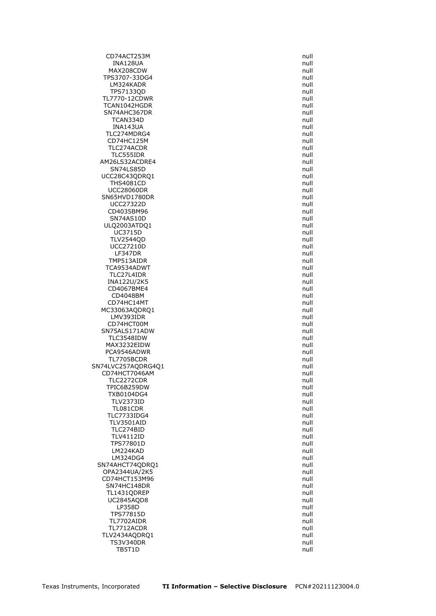CD74ACT253M null INA128UA null MAX208CDW and the contract of the contract of the contract of the contract of the contract of the contract of the contract of the contract of the contract of the contract of the contract of the contract of the contract of TPS3707-33DG4 null LM324KADR TPS7133QD null TL7770-12CDWR null TCAN1042HGDR null SN74AHC367DR null TCAN334D null INA143UA null TLC274MDRG4 CD74HC125M null<br>TLC274ACDR null null null null null null TLC274ACDR TLC555IDR null AM26LS32ACDRE4 null SN74LS85D null and the state of the state of the state of the state of the state of the state of the state of the state of the state of the state of the state of the state of the state of the state of the state of the stat UCC28C43QDRQ1 null THS4081CD null UCC28060DR null SN65HVD1780DR null UCC27322D null<br>CD4035BM96 null and the contract of the contract of the contract of the contract of the contract of the contra<br>The contract of the contract of the contract of the contract of the contract of the contract of CD4035BM96 SN74AS10D null ULQ2003ATDQ1 null UC3715D null TLV2544QD null UCC27210D null LF347DR null TMP513AIDR TCA9534ADWT null TLC27L4IDR INA122U/2K5 null CD4067BME4 null CD4048BM null CD74HC14MT null MC33063AQDRQ1 LMV393IDR null CD74HCT00M null and the contract of the contract of the contract of the contract of the contract of the contract of the contract of the contract of the contract of the contract of the contract of the contract of the contra SN75ALS171ADW null TLC3548IDW null MAX3232EIDW null PCA9546ADWR null null and the state of the state of the state of the state of the state of the state of the state of the state of the state of the state of the state of the state of the state of the state of the state of t TL7705BCDR SN74LVC257AQDRG4Q1 null null CD74HCT7046AM null TLC2272CDR null TPIC6B259DW null TXB0104DG4 null TLV2373ID null TL081CDR null TLC7733IDG4 null TLV3501AID null<br>TLC274BID null null null null null TLC274BID TLV4112ID null<br>TPS77801D null null null null TPS77801D LM224KAD null LM324DG4 null SN74AHCT74QDRQ1 null OPA2344UA/2K5 null CD74HCT153M96 null SN74HC148DR null TL1431QDREP null UC2845AQD8 null LP358D null and the contract of the contract of the contract of the contract of the contract of the contract of the contract of the contract of the contract of the contract of the contract of the contract of the contract o TPS77815D null TL7702AIDR null TL7712ACDR null TLV2434AQDRQ1 null TS3V340DR null and the state of the state of the state of the state of the state of the state of the state of the state of the state of the state of the state of the state of the state of the state of the state of the stat TB5T1D null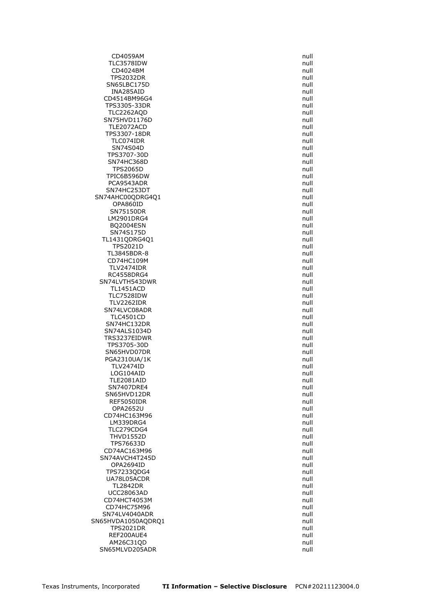CD4059AM null TLC3578IDW null CD4024BM null and the contract of the contract of the contract of the contract of the contract of the contract of the contract of the contract of the contract of the contract of the contract of the contract of the contract TPS2032DR null SN65LBC175D INA285AID null CD4514BM96G4 null TPS3305-33DR null TLC2262AQD null SN75HVD1176D null TLE2072ACD null<br>TPS3307-18DR null and the contract of the contract of the contract of the contract of the contract of the contr TPS3307-18DR TLC074IDR null SN74S04D TPS3707-30D null SN74HC368D null and the state of the state of the state of the state of the state of the state of the state of the state of the state of the state of the state of the state of the state of the state of the state of the sta TPS2065D null TPIC6B596DW null PCA9543ADR null SN74HC253DT null SN74AHC00QDRG4Q1 null opa860ID null null and the second of the second of the second of the second of the second of the second of the<br>SN75150DR null and the second of the second of the second of the second of the second of the second of the seco SN75150DR LM2901DRG4 null null and the state of the state of the state of the state of the state of the state of the state of the state of the state of the state of the state of the state of the state of the state of the state of th BQ2004ESN null SN74S175D null TL1431QDRG4Q1 null TPS2021D null TL3845BDR-8 null<br>CD74HC109M null and the control of the control of the control of the control of the control of the control of CD74HC109M TLV2474IDR null RC4558DRG4 SN74LVTH543DWR null TL1451ACD null TLC7528IDW and the contract of the contract of the contract of the contract of the contract of the contract of the contract of the contract of the contract of the contract of the contract of the contract of the contract of TLV2262IDR null SN74LVC08ADR TLC4501CD null and the contract of the contract of the contract of the contract of the contract of the contract of the contract of the contract of the contract of the contract of the contract of the contract of the contrac SN74HC132DR null SN74ALS1034D null TRS3237EIDWR null TPS3705-30D null SN65HVD07DR null<br>PGA2310UA/1K null null null null null null PGA2310UA/1K TLV2474ID null LOG104AID null TLE2081AID null null and the matrix of the matrix of the matrix of the matrix of the matrix of the matrix of the matrix of the matrix of the matrix of the matrix of the matrix of the matrix of the matrix of the matrix of t SN7407DRE4 null SN65HVD12DR null REF5050IDR null OPA2652U null CD74HC163M96 null LM339DRG4 null<br>TLC279CDG4 null TLC279CDG4 THVD1552D null<br>TPS76633D null null null null null null TPS76633D CD74AC163M96 null SN74AVCH4T245D null OPA2694ID null TPS7233QDG4 null UA78L05ACDR null TL2842DR null UCC28063AD null CD74HCT4053M null CD74HC75M96 **null** SN74LV4040ADR null SN65HVDA1050AQDRQ1 null TPS2021DR null REF200AUE4 null and the contract of the contract of the contract of the contract of the contract of the contract of the contract of the contract of the contract of the contract of the contract of the contract of the contra AM26C31OD null SN65MLVD205ADR null null and the state of the state of the state of the state of the state of the state of the state of the state of the state of the state of the state of the state of the state of the state of the state o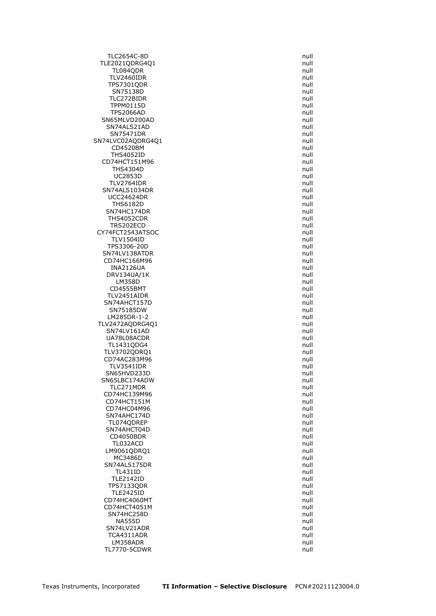TLC2654C-8D null TLE2021QDRG4Q1 null TL084QDR null TLV2460IDR null TPS7301QDR SN75138D null TLC272BIDR null TPPM0115D null TPS2066AD null and the contract of the contract of the contract of the contract of the contract of the contract of the contract of the contract of the contract of the contract of the contract of the contract of the contrac SN65MLVD200AD null null and the state of the state of the state of the state of the state of the state of the state of the state of the state of the state of the state of the state of the state of the state of the state of SN74ALS21AD null<br>SN75471DR null null null null null SN75471DR SN74LVC02AQDRG4Q1 null<br>CD4520BM cD4520BM null  $CD4520$ BM THS4052ID null CD74HCT151M96 null THS4304D null and the set of the set of the set of the set of the set of the set of the set of the set of the set of the set of the set of the set of the set of the set of the set of the set of the set of the set of the se UC2853D null TLV2764IDR null SN74ALS1034DR null UCC24624DR null THS6182D null<br>N74HC174DR null null null null null SN74HC174DR THS4052CDR null TRS202ECD null null and the state of the state of the state of the state of the state of the state of the state of the state of the state of the state of the state of the state of the state of the state of the state of the CY74FCT2543ATSOC null TLV1504ID null TPS3306-20D null SN74LV138ATDR null<br>CD74HC166M96 cD74HC166M96 CD74HC166M96 INA2126UA null DRV134UA/1K LM358D null CD4555BMT null TLV2451AIDR null SN74AHCT157D null SN75185DW LM285DR-1-2 null TLV2472AQDRG4Q1 null SN74LV161AD null and the state of the state of the state of the state of the state of the state of the state of the state of the state of the state of the state of the state of the state of the state of the state of the st UA78L08ACDR null TL1431QDG4 null TLV3702QDRQ1 null CD74AC283M96 TLV3541IDR null SN65HVD233D null and the state of the state of the state of the state of the state of the state of the state of the state of the state of the state of the state of the state of the state of the state of the state of the st SN65LBC174ADW null TLC271MDR null CD74HC139M96 null CD74HCT151M null CD74HC04M96 null and the contract of the contract of the contract of the contract of the contract of the contract of the contract of the contract of the contract of the contract of the contract of the contract of the contr SN74AHC174D null TL074QDREP null<br>SN74AHCT04D null and the state of the state of the state of the state of the state of the state of the state o SN74AHCT04D CD4050BDR null TL032ACD LM9061QDRQ1 null and the contract of the contract of the contract of the contract of the contract of the contract of the contract of the contract of the contract of the contract of the contract of the contract of the contr MC3486D null SN74ALS175DR null TL431ID null TLE2142ID null TPS7133QDR null TLE2425ID null CD74HC4060MT null CD74HCT4051M null SN74HC258D null and the state of the state of the state of the state of the state of the state of the state of the state of the state of the state of the state of the state of the state of the state of the state of the sta NA555D null and the contract of the contract of the contract of the contract of the contract of the contract of the contract of the contract of the contract of the contract of the contract of the contract of the contract o SN74LV21ADR null TCA4311ADR null LM358ADR null TL7770-5CDWR null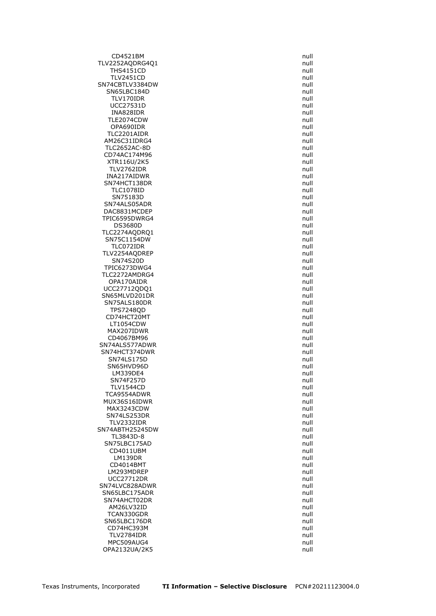CD4521BM null TLV2252AQDRG4Q1 null THS4151CD null TLV2451CD<br>1999 - Ann an Chrìostaig ann an Chrìostaig ann an Chrìostaig an Chrìostaig an Chrìostaig an Chrìostaig an Chrì<br>1999 - Ann am Dùbhlachas an Chrìostaig an Chrìostaig an Chrìostaig an Chrìostaig an Chrìostaig an Chr SN74CBTLV3384DW SN65LBC184D null TLV170IDR null UCC27531D null INA828IDR null TLE2074CDW null and the contract of the contract of the contract of the contract of the contract of the contract of the contract of the contract of the contract of the contract of the contract of the contract of the contra OPA690IDR null TLC2201AIDR AM26C31IDRG4 null TLC2652AC-8D CD74AC174M96 **null** XTR116U/2K5 null TLV2762IDR null and the contract of the contract of the contract of the contract of the contract of the contract of the contract of the contract of the contract of the contract of the contract of the contract of the contra INA217AIDWR null SN74HCT138DR null TLC1078ID null SN75183D null SN74ALS05ADR null null back of the state of the state of the state of the state of the state of the state of t<br>
SN74ALS05ADR null back of the state of the state of the state of the state of the state of the state of the s DAC8831MCDEP TPIC6595DWRG4 null and the state of the state of the state of the state of the state of the state of the state of the state of the state of the state of the state of the state of the state of the state of the state of the DS3680D null null and the contract of the contract of the contract of the contract of the contract of the contract of the contract of the contract of the contract of the contract of the contract of the contract of the cont TLC2274AQDRQ1 null SN75C1154DW null TLC072IDR null TLV2254AQDREP null<br>SN74S20D null null null null null SN74S20D TPIC6273DWG4<br>TLC2272AMDRG4 null TLC2272AMDRG4 OPA170AIDR null UCC27712QDQ1 null SN65MLVD201DR null SN75ALS180DR null<br>TPS7248OD null null null null null null TPS7248QD CD74HCT20MT null LT1054CDW null MAX207IDWR null and the state of the state of the state of the state of the state of the state of the state of the state of the state of the state of the state of the state of the state of the state of the state of the sta CD4067BM96 **null** SN74ALS577ADWR null and the state of the state of the state of the state of the state of the state of the state of the state of the state of the state of the state of the state of the state of the state of the state of the SN74HCT374DWR null null and the state of the state of the state of the state of the state of the state of the s<br>SN74LS175D state of the state of the state of the state of the state of the state of the state of the state of SN74LS175D SN65HVD96D null and the state of the state of the state of the state of the state of the state of the state of the state of the state of the state of the state of the state of the state of the state of the state of the sta LM339DE4 null SN74F257D null TLV1544CD null TCA9554ADWR null and the contract of the contract of the contract of the contract of the contract of the contract of the contract of the contract of the contract of the contract of the contract of the contract of the contr MUX36S16IDWR null MAX3243CDW null SN74LS253DR null TLV2332IDR null SN74ABTH25245DW TL3843D-8 null SN75LBC175AD CD4011UBM null LM139DR null CD4014BMT null LM293MDREP null UCC27712DR null SN74LVC828ADWR null SN65LBC175ADR null SN74AHCT02DR null AM26LV32ID null TCAN330GDR null null and the state of the state of the state of the state of the state of the state of the state of the state of the state of the state of the state of the state of the state of the state of the state of th SN65LBC176DR null CD74HC393M null and the contract of the contract of the contract of the contract of the contract of the contract of the contract of the contract of the contract of the contract of the contract of the contract of the contra TLV2784IDR null MPC509AUG4 null OPA2132UA/2K5 null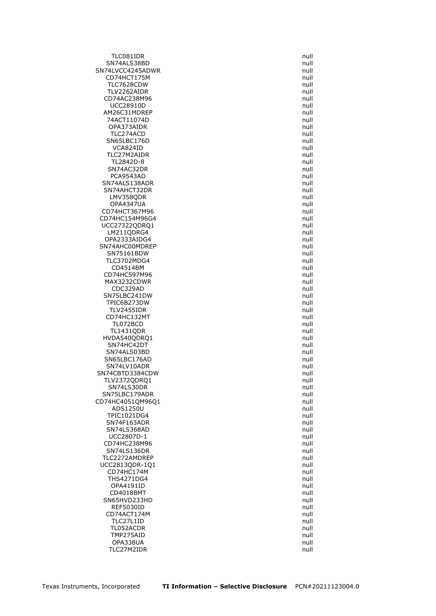TLC081IDR null SN74ALS38BD null and the state of the state of the state of the state of the state of the state of the state of the state of the state of the state of the state of the state of the state of the state of the state of the st SN74LVCC4245ADWR null and the state of the state of the state of the state of the state of the state of the state of the state of the state of the state of the state of the state of the state of the state of the state of t CD74HCT175M null<br>TLC7628CDW null and the contract of the contract of the contract of the contract of the contract of the contra<br>null and the contract of the contract of the contract of the contract of the contract of the c **TLC7628CDW** TLV2262AIDR null CD74AC238M96 null UCC28910D null AM26C31MDREP null 74ACT11074D null OPA373AIDR null<br>TLC274ACD null null null null null null TLC274ACD SN65LBC176D null null and the state of the state of the state of the state of the state of the state of the state of the state of the state of the state of the state of the state of the state of the state of the state of t VCA824ID TLC27M2AIDR null TL2842D-8 null SN74AC32DR null PCA9543AD null SN74ALS138ADR null SN74AHCT32DR null LMV358ODR null OPA4347UA null CD74HCT367M96 CD74HC154M96G4 null UCC27322QDRQ1 null LM211QDRG4 null OPA2333AIDG4 null SN74AHC00MDREP null and the state of the state of the state of the state of the state of the state of the state of the state of the state of the state of the state of the state of the state of the state of the state of the SN75161BDW<br>TLC3702MDG4 null TLC3702MDG4 CD4514BM null CD74HC597M96 MAX3232CDWR null CDC329AD null SN75LBC241DW null TPIC6B273DW null null and the state of the state of the state of the state of the state of the state of the st<br>TLV2455IDR null and the state of the state of the state of the state of the state of the state of the state of TLV2455IDR CD74HC132MT null and the contract of the contract of the contract of the contract of the contract of the contract of the contract of the contract of the contract of the contract of the contract of the contract of the contr TL072BCD null TL1431QDR null HVDA540QDRQ1 null SN74HC42DT null SN74ALS03BD<br>SN65LBC176AD null SN65LBC176AD SN74LV10ADR null SN74CBTD3384CDW null TLV2372QDRQ1 null SN74LS30DR null SN75LBC179ADR null CD74HC4051QM96Q1 null ADS1250U null TPIC1021DG4 null SN74F163ADR null<br>SN74LS368AD null and the state of the state of the state of the state of the state of the state of the state o SN74LS368AD UCC2807D-1 null<br>CD74HC238M96 null and the contract of the contract of the contract of the contract of the contract of the contra CD74HC238M96 SN74LS136DR null TLC2272AMDREP null UCC2813QDR-1Q1 null CD74HC174M null THS4271DG4 null OPA4191ID null CD4018BMT null SN65HVD233HD null REF5030ID null CD74ACT174M null TLC27L1ID null TL052ACDR null null and the state of the state of the state of the state of the state of the state of the state of the state of the state of the state of the state of the state of the state of the state of the state of the TMP275AID null OPA338UA null TLC27M2IDR null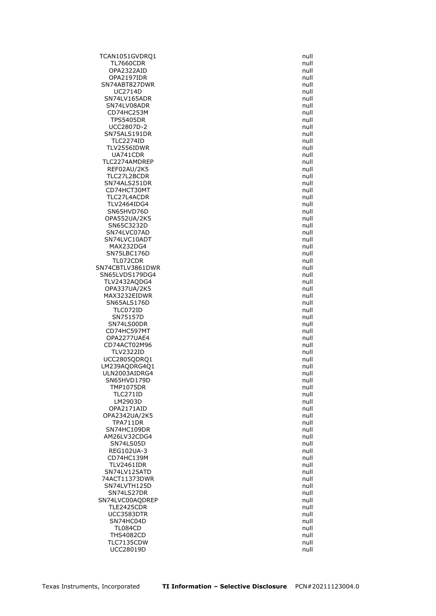TCAN1051GVDRQ1 null TL7660CDR null null and the contract of the contract of the contract of the contract of the contract of the contract of the contract of the contract of the contract of the contract of the contract of the contract of the co OPA2322AID null and the contract of the contract of the contract of the contract of the contract of the contract of the contract of the contract of the contract of the contract of the contract of the contract of the contra OPA2197IDR null SN74ABT827DWR UC2714D null SN74LV165ADR null SN74LV08ADR null and the state of the state of the state of the state of the state of the state of the state of the state of the state of the state of the state of the state of the state of the state of the state of the st CD74HC253M null TPS5405DR null UCC2807D-2 null SN75ALS191DR TLC2274ID null<br>TLC2274ID null and the state of the state of the state of the state of the state of the state of the state of TLV2556IDWR UA741CDR null TLC2274AMDREP null REF02AU/2K5 null TLC27L2BCDR null SN74ALS251DR null CD74HCT30MT null TLC27L4ACDR null TLV2464IDG4 null<br>SN65HVD76D snewstart and the state of the state of the state of the state of the state of the state of the sta SN65HVD76D OPA552UA/2K5 null SN65C3232D null SN74LVC07AD null SN74LVC10ADT null MAX232DG4 null SN75LBC176D null null and the state of the state of the state of the state of the state of the state of the state of the state of the state of the state of the state of the state of the state of the state of the state of t TL072CDR SN74CBTLV3861DWR<br>SN65LVDS179DG4 null SN65LVDS179DG4 TLV2432AQDG4 null OPA337UA/2K5 null MAX3232EIDWR null and the state of the state of the state of the state of the state of the state of the state o SN65ALS176D null<br>TLC072ID null null null null null TLC072ID SN75157D null and the state of the state of the state of the state of the state of the state of the state of the state of the state of the state of the state of the state of the state of the state of the state of the state SN74LS00DR null CD74HC597MT and the control of the control of the control of the control of the control of the control of the control of the control of the control of the control of the control of the control of the control of the control OPA2277UAE4 null CD74ACT02M96 null TLV2322ID null UCC2805QDRQ1 LM239AQDRG4Q1 null ULN2003AIDRG4 null SN65HVD179D null and the state of the state of the state of the state of the state of the state of the state of the state of the state of the state of the state of the state of the state of the state of the state of the st TMP1075DR null TLC271ID null LM2903D null OPA2171AID null OPA2342UA/2K5 null TPA711DR null SN74HC109DR AM26LV32CDG4 null<br>SN74LS05D null null null null null SN74LS05D REG102UA-3 null CD74HC139M null TLV2461IDR null SN74LV125ATD null 74ACT11373DWR null SN74LVTH125D null SN74LS27DR null SN74LVC00AQDREP null and the state of the state of the state of the state of the state of the state of the state of the state of the state of the state of the state of the state of the state of the state of the state of th TLE2425CDR null UCC3583DTR null SN74HC04D null TL084CD null THS4082CD null TLC7135CDW null UCC28019D null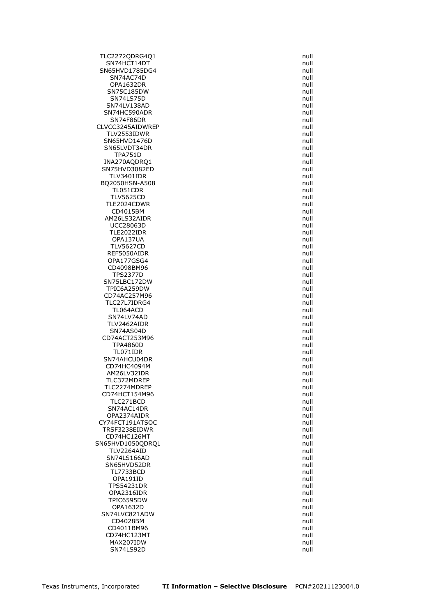TLC2272QDRG4Q1 null SN74HCT14DT null SN65HVD1785DG4 null SN74AC74D null null and the state of the state of the state of the state of the state of the state of the state of the state of the state of the state of the state of the state of the state of the state of the state of the **OPA1632DR** SN75C185DW null SN74LS75D null SN74LV138AD null SN74HC590ADR null and the state of the state of the state of the state of the state of the state of the state of the state of the state of the state of the state of the state of the state of the state of the state of the s SN74F86DR null CLVCC3245AIDWREP null<br>TLV2553IDWR null null null TLV2553IDWR SN65HVD1476D null SN65LVDT34DR TPA751D null INA270AQDRQ1 null SN75HVD3082ED null TLV3401IDR null BQ2050HSN-A508 null TL051CDR null TLV5625CD null TLE2024CDWR null<br>CD4015BM null communications of the communications of the communications of the communications of the communications of the communications of the communications of the communications of the communications CD4015BM AM26LS32AIDR null UCC28063D null TLE2022IDR null OPA137UA null TLV5627CD null REF5050AIDR null null and the matrix of the matrix of the matrix of the matrix of the matrix of the matrix of the matrix of the matrix of the matrix of the matrix of the matrix of the matrix of the matrix of the matrix of OPA177GSG4 CD4098BM96 null TPS2377D SN75LBC172DW null TPIC6A259DW null CD74AC257M96 null TLC27L7IDRG4 null<br>TL064ACD null null null null null null TL064ACD SN74LV74AD null and the state of the state of the state of the state of the state of the state of the state of the state of the state of the state of the state of the state of the state of the state of the state of the sta TLV2462AIDR null SN74AS04D null and the state of the state of the state of the state of the state of the state of the state of the state of the state of the state of the state of the state of the state of the state of the state of the stat CD74ACT253M96 null TPA4860D null TL071IDR null SN74AHCU04DR CD74HC4094M and the contract of the contract of the contract of the contract of the contract of the contract of the contract of the contract of the contract of the contract of the contract of the contract of the contract o AM26LV32IDR null TLC372MDREP null TLC2274MDREP null CD74HCT154M96 null TLC271BCD null SN74AC14DR null and the state of the state of the state of the state of the state of the state of the state of the state of the state of the state of the state of the state of the state of the state of the state of the sta OPA2374AIDR null CY74FCT191ATSOC null TRSF3238EIDWR CD74HC126MT null SN65HVD1050QDRQ1 TLV2264AID null SN74LS166AD null and the state of the state of the state of the state of the state of the state of the state of the state of the state of the state of the state of the state of the state of the state of the state of the st SN65HVD52DR null TL7733BCD null OPA191ID null TPS54231DR null OPA2316IDR null TPIC6595DW null OPA1632D null SN74LVC821ADW null CD4028BM null CD4011BM96 null CD74HC123MT null MAX207IDW null SN74LS92D null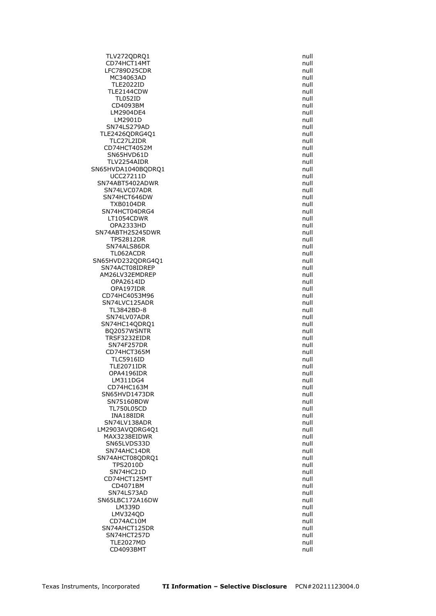TLV272QDRQ1 null CD74HCT14MT null LFC789D25CDR null and the state of the state of the state of the state of the state of the state of the state o MC34063AD null<br>TLE2022ID null and the matrix of the matrix of the matrix of the matrix of the matrix of the matrix of the matrix of the matrix of the matrix of the matrix of the matrix of the matrix of the matrix of the ma **TLE2022ID** TLE2144CDW null TL052ID null CD4093BM null LM2904DE4 null LM2901D null SN74LS279AD null<br>LE2426ODRG4O1 http://www.indu.com/watch?university/watch?university/watch?university/watch?university/watch?un<br>Distribution://www.indu.com/watch?university/watch?university/watch?university/watch?universit TLE2426QDRG4Q1 TLC27L2IDR null CD74HCT4052M SN65HVD61D null TLV2254AIDR null SN65HVDA1040BQDRQ1 null null UCC27211D null SN74ABT5402ADWR null and the state of the state of the state of the state of the state of the state of the state of the state of the state of the state of the state of the state of the state of the state of the state of th SN74LVC07ADR null null and the state of the state of the state of the state of the state of the state of the state of the state of the state of the state of the state of the state of the state of the state of the state of SN74HCT646DW null TXB0104DR null SN74HCT04DRG4 LT1054CDWR null and the contract of the contract of the contract of the contract of the contract of the contract of the contract of the contract of the contract of the contract of the contract of the contract of the contra OPA2333HD null SN74ABTH25245DWR null TPS2812DR null SN74ALS86DR null TL062ACDR null SN65HVD232QDRG4Q1 SN74ACT08IDREP null null and state of the state of the state of the state of the state of the state of the sta<br>AM26LV32EMDREP null and state of the state of the state of the state of the state of the state of the state of AM26LV32EMDREP OPA2614ID null OPA197IDR null CD74HC4053M96 null SN74LVC125ADR null TL3842BD-8 SN74LV07ADR null SN74HC14QDRQ1 null BQ2057WSNTR null TRSF3232EIDR null SN74F257DR null CD74HCT365M null<br>TLC5916ID null null null null null **TLC5916ID** TLE2071IDR null OPA4196IDR null LM311DG4 null CD74HC163M null SN65HVD1473DR null SN75160BDW null TL750L05CD null INA188IDR null SN74LV138ADR null LM2903AVODRG4O1 MAX3238EIDWR null and the matrix of the matrix of the matrix of the matrix of the matrix of the matrix of the<br>Initial system of the matrix of the matrix of the matrix of the matrix of the matrix of the matrix of the matr SN65LVDS33D SN74AHC14DR null SN74AHCT08QDRQ1 null TPS2010D null SN74HC21D null CD74HCT125MT null CD4071BM null SN74LS73AD null SN65LBC172A16DW null LM339D null and the contract of the contract of the contract of the contract of the contract of the contract of the contract of the contract of the contract of the contract of the contract of the contract of the contract o LMV324OD null and the state of the state of the state of the state of the state of the state of the state of the state of the state of the state of the state of the state of the state of the state of the state of the state CD74AC10M null SN74AHCT125DR null SN74HCT257D null TLE2027MD null CD4093BMT null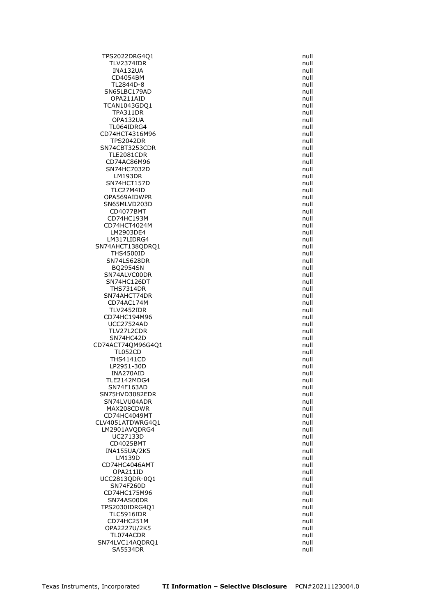TPS2022DRG4Q1 null TLV2374IDR null INA132UA null CD4054BM null TL2844D-8 SN65LBC179AD null OPA211AID null TCAN1043GDQ1 null TPA311DR null OPA132UA null TL064IDRG4 null<br>74HCT4316M96 null CD74HCT4316M96 TPS2042DR null SN74CBT3253CDR TLE2081CDR null CD74AC86M96 null and the contract of the contract of the contract of the contract of the contract of the contract of the contract of the contract of the contract of the contract of the contract of the contract of the contr SN74HC7032D null LM193DR null SN74HCT157D null TLC27M4ID null OPA569AIDWPR null and the contract of the contract of the contract of the contract of the contract of the contract of the contract of the contract of the contract of the contract of the contract of the contract of the cont SN65MLVD203D null null and the state of the state of the state of the state of the state of the state of the s<br>CD4077BMT null and the state of the state of the state of the state of the state of the state of the state of t CD4077BMT CD74HC193M and the contract of the contract of the contract of the contract of the contract of the contract of the contract of the contract of the contract of the contract of the contract of the contract of the contract of CD74HCT4024M null LM2903DE4 null LM317LIDRG4 null SN74AHCT138QDRQ1 null THS4500ID null null and the set of the set of the set of the set of the set of the set of the set of the set o<br>The set of the set of the set of the set of the set of the set of the set of the set of the set of the set of SN74LS628DR BQ2954SN null SN74ALVC00DR SN74HC126DT null THS7314DR null SN74AHCT74DR null CD74AC174M null<br>TLV2452IDR null null null null null null TLV2452IDR CD74HC194M96 null UCC27524AD null TLV27L2CDR null SN74HC42D null CD74ACT74QM96G4Q1 null TL052CD null **THS4141CD** LP2951-30D null INA270AID null TLE2142MDG4 null SN74F163AD null null and the state of the state of the state of the state of the state of the state of the state of the state of the state of the state of the state of the state of the state of the state of the state of th SN75HVD3082EDR null SN74LVU04ADR null null and the state of the state of the state of the state of the state of the state of the state of the state of the state of the state of the state of the state of the state of the state of the state of MAX208CDWR null and the contract of the contract of the contract of the contract of the contract of the contract of the contract of the contract of the contract of the contract of the contract of the contract of the contra CD74HC4049MT null CLV4051ATDWRG4Q1 null<br>LM2901AVODRG4 null null null null LM2901AVODRG4 UC27133D null<br>CD4025BMT null and the contract of the contract of the contract of the contract of the contract of the contract of the contract of the contract of the contract of the contract of the contract of the contract CD4025BMT INA155UA/2K5 null LM139D null CD74HC4046AMT null OPA211ID null UCC2813QDR-0Q1 null SN74F260D null CD74HC175M96 null SN74AS00DR null and the state of the state of the state of the state of the state of the state of the state of the state of the state of the state of the state of the state of the state of the state of the state of the sta TPS2030IDRG4Q1 null TLC5916IDR null CD74HC251M null OPA2227U/2K5 null TL074ACDR null and the contract of the contract of the contract of the contract of the contract of the contract of the contract of the contract of the contract of the contract of the contract of the contract of the contrac SN74LVC14AQDRQ1 null SA5534DR null

Texas Instruments, Incorporated **TI Information – Selective Disclosure** PCN#20211123004.0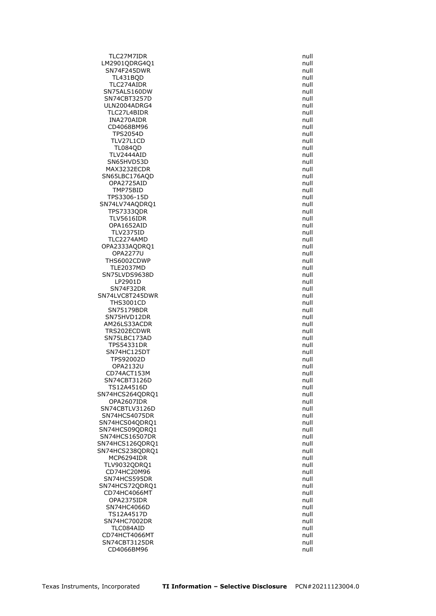TLC27M7IDR null LM2901QDRG4Q1 null SN74F245DWR null TL431BQD null TLC274AIDR SN75ALS160DW null SN74CBT3257D null ULN2004ADRG4 null TLC27L4BIDR null INA270AIDR null and the contract of the contract of the contract of the contract of the contract of the contract of the contract of the contract of the contract of the contract of the contract of the contract of the contra CD4068BM96 null<br>TPS2054D null null null null null null **TPS2054D** TLV27L1CD null<br>TL084QD null null null null null null **TL084QD** TLV2444AID null SN65HVD53D null and the state of the state of the state of the state of the state of the state of the state of the state of the state of the state of the state of the state of the state of the state of the state of the sta MAX3232ECDR null SN65LBC176AQD null OPA2725AID null TMP75BID null TPS3306-15D null SN74LV74AQDRQ1 null **TPS7333QDR** TLV5616IDR null OPA1652AID null null and the contract of the contract of the contract of the contract of the contract of the contract of the contract of the contract of the contract of the contract of the contract of the contract of the c TLV2375ID null and the state of the state of the state of the state of the state of the state of the state of the state of the state of the state of the state of the state of the state of the state of the state of the stat TLC2274AMD null OPA2333AQDRQ1 null OPA2277U null THS6002CDWP TLE2037MD null SN75LVDS9638D LP2901D null SN74F32DR null SN74LVC8T245DWR null THS3001CD null SN75179BDR SN75HVD12DR null and the state of the state of the state of the state of the state of the state of the state of the state of the state of the state of the state of the state of the state of the state of the state of the st AM26LS33ACDR null null and the matrix of the matrix of the matrix of the matrix of the matrix of the matrix of TRS202ECDWR null and the contract of the contract of the contract of the contract of the contract of the contract of the contract of the contract of the contract of the contract of the contract of the contract of the contr SN75LBC173AD null TPS54331DR null SN74HC125DT null TPS92002D null OPA2132U null and the contract of the contract of the contract of the contract of the contract of the contract of the contract of the contract of the contract of the contract of the contract of the contract of the contract CD74ACT153M null SN74CBT3126D null TS12A4516D null SN74HCS264ODRO1 null and the state of the state of the state of the state of the state of the state of the state of the state of the state of the state of the state of the state of the state of the state of the state of th OPA2607IDR null SN74CBTLV3126D null SN74HCS4075DR null and the state of the state of the state of the state of the state of the state of the state of the state of the state of the state of the state of the state of the state of the state of the state of the SN74HCS04QDRQ1 null SN74HCS09ODRO1 null SN74HCS16507DR<br>SN74HCS126QDRQ1 null SN74HCS126QDRQ1 SN74HCS238QDRQ1 null MCP6294IDR null TLV9032QDRQ1 null CD74HC20M96 **null** SN74HCS595DR null SN74HCS72QDRQ1 null CD74HC4066MT null OPA2375IDR null SN74HC4066D null and the state of the state of the state of the state of the state of the state of the state of the state of the state of the state of the state of the state of the state of the state of the state of the st TS12A4517D null SN74HC7002DR null TLC084AID null and the state of the state of the state of the state of the state of the state of the state of the state of the state of the state of the state of the state of the state of the state of the state of the stat CD74HCT4066MT null SN74CBT3125DR null CD4066BM96 **null**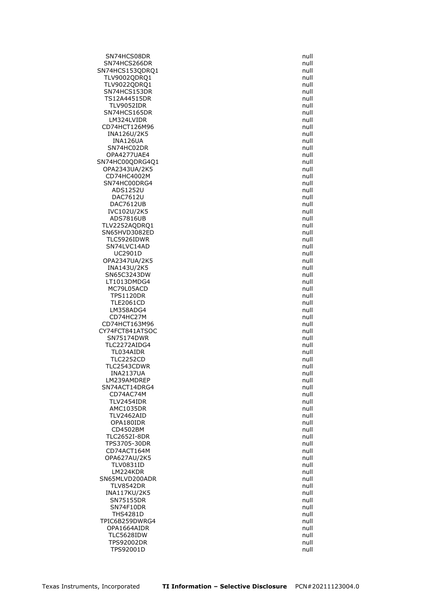SN74HCS08DR null and the state of the state of the state of the state of the state of the state of the state of the state of the state of the state of the state of the state of the state of the state of the state of the st SN74HCS266DR null null and the state of the state of the state of the state of the state of the state of the state of the state of the state of the state of the state of the state of the state of the state of the state of SN74HCS153QDRQ1 null TLV9002QDRQ1 null TLV9022QDRQ1 SN74HCS153DR null TS12A44515DR null TLV9052IDR null SN74HCS165DR null LM324LVIDR null CD74HCT126M96 null<br>INA126U/2K5 null null null null null null INA126U/2K5 INA126UA null and the control of the control of the control of the control of the control of the control of th<br>International control of the control of the control of the control of the control of the control of the control SN74HC02DR OPA4277UAE4 null SN74HC00QDRG4Q1 null OPA2343UA/2K5 CD74HC4002M null SN74HC00DRG4 null ADS1252U null DAC7612U null DAC7612UB null IVC102U/2K5 ADS7816UB and the state of the state of the state of the state of the state of the state of the state of the state of the state of the state of the state of the state of the state of the state of the state of the state of TLV2252AQDRQ1 null SN65HVD3082ED null TLC5926IDWR null SN74LVC14AD null UC2901D null OPA2347UA/2K5 INA143U/2K5 null SN65C3243DW LT1013DMDG4 null MC79L05ACD null and the matrix of the matrix of the matrix of the matrix of the matrix of the matrix of the matrix of the matrix of the matrix of the matrix of the matrix of the matrix of the matrix of the matrix of the ma TPS1120DR null TLE2061CD null LM358ADG4 CD74HC27M null and the contract of the contract of the contract of the contract of the contract of the contract of the contract of the contract of the contract of the contract of the contract of the contract of the contrac CD74HCT163M96 null CY74FCT841ATSOC null SN75174DWR null TLC2272AIDG4 null TL034AIDR null **TLC2252CD** TLC2543CDWR null and the state of the state of the state of the state of the state of the state of the state of the state of the state of the state of the state of the state of the state of the state of the state of the st INA2137UA null LM239AMDREP null SN74ACT14DRG4 null CD74AC74M null TLV2454IDR null AMC1035DR null TLV2462AID null and the state of the state of the state of the state of the state of the state of the state of the state of the state of the state of the state of the state of the state of the state of the state of the sta OPA180IDR null CD4502BM TLC2652I-8DR null TPS3705-30DR CD74ACT164M null OPA627AU/2K5 null TLV0831ID null LM224KDR null SN65MLVD200ADR null and the state of the state of the state of the state of the state of the state of the state of the state of the state of the state of the state of the state of the state of the state of the state of the TLV8542DR null INA117KU/2K5 null SN75155DR null SN74F10DR null THS4281D null and the state of the state of the state of the state of the state of the state of the state of the state of the state of the state of the state of the state of the state of the state of the state of the state TPIC6B259DWRG4 null OPA1664AIDR null TLC5628IDW null TPS92002DR null TPS92001D null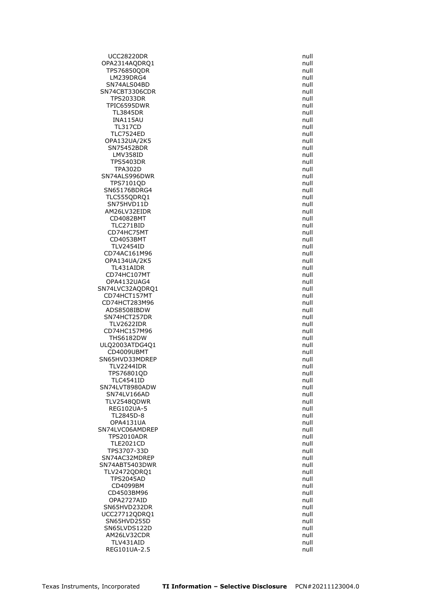UCC28220DR null OPA2314AQDRQ1 null TPS76850QDR null LM239DRG4 null SN74ALS04BD SN74CBT3306CDR null TPS2033DR null TPIC6595DWR null TL3845DR null INA115AU null TL317CD null<br>TLC7524ED null null null null null null **TLC7524ED** OPA132UA/2K5 null SN75452BDR LMV358ID null TPS5403DR null TPA302D null SN74ALS996DWR null and the state of the state of the state of the state of the state of the state of the state of the state of the state of the state of the state of the state of the state of the state of the state of the TPS7101OD null SN65176BDRG4 null TLC555ODRO1 null SN75HVD11D null AM26LV32EIDR CD4082BMT null and the contract of the contract of the contract of the contract of the contract of the contract of the contract of the contract of the contract of the contract of the contract of the contract of the contrac TLC271BID null CD74HC75MT null CD4053BMT null TLV2454ID null CD74AC161M96 null OPA134UA/2K5 TL431AIDR null CD74HC107MT OPA4132UAG4 null SN74LVC32AQDRQ1 null CD74HCT157MT null CD74HCT283M96 null ADS8508IBDW SN74HCT257DR null and the state of the state of the state of the state of the state of the state of the state of the state of the state of the state of the state of the state of the state of the state of the state of the s TLV2622IDR null CD74HC157M96 null THS6182DW null ULQ2003ATDG4Q1 null CD4009UBMT null and the control of the control of the control of the control of the control of the control of the control of the control of the control of the control of the control of the control of the control of the con SN65HVD33MDREP TLV2244IDR null TPS76801QD null and the contract of the contract of the contract of the contract of the contract of the contract of the contract of the contract of the contract of the contract of the contract of the contract of the contra TLC4541ID null SN74LVT8980ADW null SN74LV166AD null TLV2548QDWR null and the state of the state of the state of the state of the state of the state of the state of the state of the state of the state of the state of the state of the state of the state of the state of the st REG102UA-5 null TL2845D-8 null OPA4131UA null<br>1999 - Ann an Dùthair ann an Dùthachas ann an Dùthachas ann an Dùthachas an Dùthachas ann an Dùthachas ann an SN74LVC06AMDREP TPS2010ADR null null and the state of the state of the state of the state of the state of the state of the state of the state of the state of the state of the state of the state of the state of the state of the state of th **TLE2021CD** TPS3707-33D null SN74AC32MDREP null null and the state of the state of the state of the state of the state of the state of the state of the state of the state of the state of the state of the state of the state of the state of the state of SN74ABT5403DWR null TLV2472QDRQ1 null TPS2045AD null CD4099BM and the contract of the contract of the contract of the contract of the contract of the contract of the contract of the contract of the contract of the contract of the contract of the contract of the contract of t CD4503BM96 null and the contract of the contract of the contract of the contract of the contract of the contract of the contract of the contract of the contract of the contract of the contract of the contract of the contra OPA2727AID null SN65HVD232DR null UCC27712QDRQ1 null SN65HVD255D null null and the state of the state of the state of the state of the state of the state of the state of the state of the state of the state of the state of the state of the state of the state of the state of t SN65LVDS122D null AM26LV32CDR null TLV431AID null REG101UA-2.5 null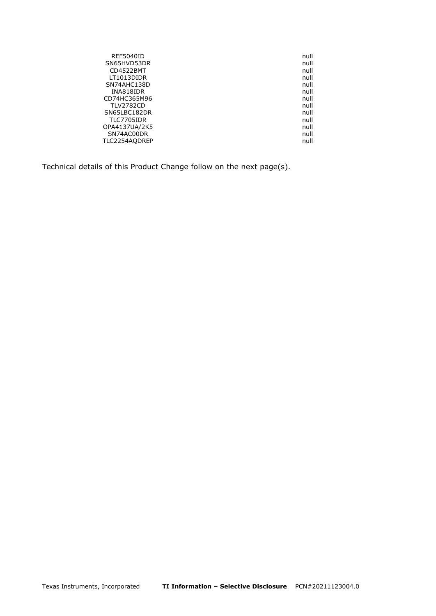| REF5040ID        | null |
|------------------|------|
| SN65HVD53DR      | null |
| CD4522BMT        | null |
| LT1013DIDR       | null |
| SN74AHC138D      | null |
| INA818IDR        | null |
| CD74HC365M96     | null |
| <b>TLV2782CD</b> | null |
| SN65LBC182DR     | null |
| TLC7705IDR       | null |
| OPA4137UA/2K5    | null |
| SN74AC00DR       | null |
| TLC2254AQDREP    | null |
|                  |      |

Technical details of this Product Change follow on the next page(s).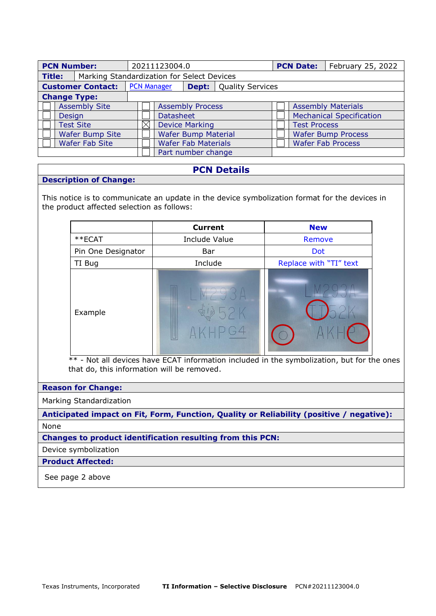| <b>PCN Number:</b>                             |                                            | 20211123004.0 |                               |                            |  | <b>PCN Date:</b>          | February 25, 2022               |                           |  |
|------------------------------------------------|--------------------------------------------|---------------|-------------------------------|----------------------------|--|---------------------------|---------------------------------|---------------------------|--|
| <b>Title:</b>                                  | Marking Standardization for Select Devices |               |                               |                            |  |                           |                                 |                           |  |
| <b>PCN Manager</b><br><b>Customer Contact:</b> |                                            |               | <b>Dept:</b> Quality Services |                            |  |                           |                                 |                           |  |
| <b>Change Type:</b>                            |                                            |               |                               |                            |  |                           |                                 |                           |  |
|                                                | <b>Assembly Site</b>                       |               | <b>Assembly Process</b>       |                            |  |                           |                                 | <b>Assembly Materials</b> |  |
| Design                                         |                                            |               | <b>Datasheet</b>              |                            |  |                           | <b>Mechanical Specification</b> |                           |  |
|                                                | <b>Test Site</b>                           |               | <b>Device Marking</b>         |                            |  | <b>Test Process</b>       |                                 |                           |  |
|                                                | Wafer Bump Site                            |               | <b>Wafer Bump Material</b>    |                            |  | <b>Wafer Bump Process</b> |                                 |                           |  |
|                                                | <b>Wafer Fab Site</b>                      |               |                               | <b>Wafer Fab Materials</b> |  |                           |                                 | <b>Wafer Fab Process</b>  |  |
|                                                |                                            |               |                               | Part number change         |  |                           |                                 |                           |  |

# **PCN Details**

### **Description of Change:**

This notice is to communicate an update in the device symbolization format for the devices in the product affected selection as follows:

|                    | <b>Current</b> | <b>New</b>             |  |  |
|--------------------|----------------|------------------------|--|--|
| **ECAT             | Include Value  | Remove                 |  |  |
| Pin One Designator | Bar            | <b>Dot</b>             |  |  |
| TI Bug             | Include        | Replace with "TI" text |  |  |
| Example            |                |                        |  |  |

\*\* - Not all devices have ECAT information included in the symbolization, but for the ones that do, this information will be removed.

### **Reason for Change:**

Marking Standardization

**Anticipated impact on Fit, Form, Function, Quality or Reliability (positive / negative):** None

**Changes to product identification resulting from this PCN:**

Device symbolization

**Product Affected:** 

See page 2 above